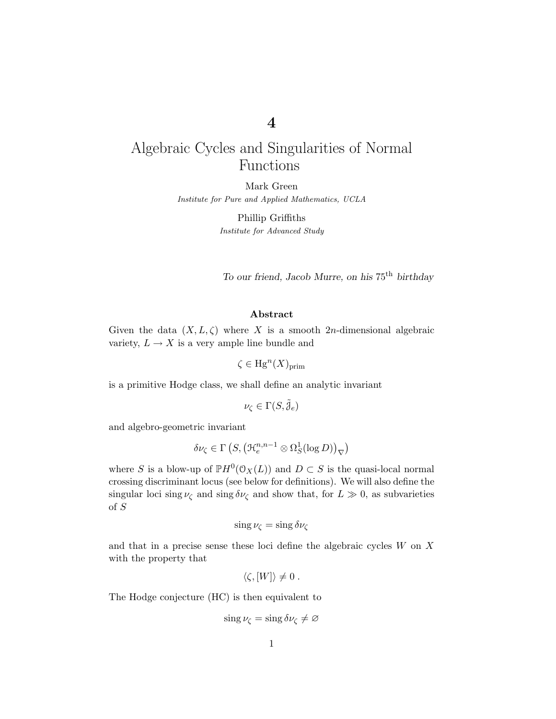# **4**

# Algebraic Cycles and Singularities of Normal Functions

Mark Green *Institute for Pure and Applied Mathematics, UCLA*

> Phillip Griffiths *Institute for Advanced Study*

*To our friend, Jacob Murre, on his* 75th *birthday*

### **Abstract**

Given the data  $(X, L, \zeta)$  where X is a smooth 2*n*-dimensional algebraic variety,  $L \to X$  is a very ample line bundle and

 $\zeta \in \text{Hg}^n(X)_{\text{prim}}$ 

is a primitive Hodge class, we shall define an analytic invariant

$$
\nu_{\zeta}\in \Gamma(S,\tilde{j}_e)
$$

and algebro-geometric invariant

$$
\delta \nu_{\zeta} \in \Gamma\left(S, \left(\mathcal{H}_e^{n,n-1} \otimes \Omega_S^1(\log D)\right)_{\nabla}\right)
$$

where *S* is a blow-up of  $\mathbb{P}H^0(\mathcal{O}_X(L))$  and  $D \subset S$  is the quasi-local normal crossing discriminant locus (see below for definitions). We will also define the singular loci sing  $\nu_{\zeta}$  and sing  $\delta \nu_{\zeta}$  and show that, for  $L \gg 0$ , as subvarieties of *S*

$$
\sin g \nu_{\zeta} = \sin g \, \delta \nu_{\zeta}
$$

and that in a precise sense these loci define the algebraic cycles *W* on *X* with the property that

$$
\langle \zeta, [W] \rangle \neq 0.
$$

The Hodge conjecture (HC) is then equivalent to

$$
\sin g \nu_{\zeta} = \sin g \, \delta \nu_{\zeta} \neq \varnothing
$$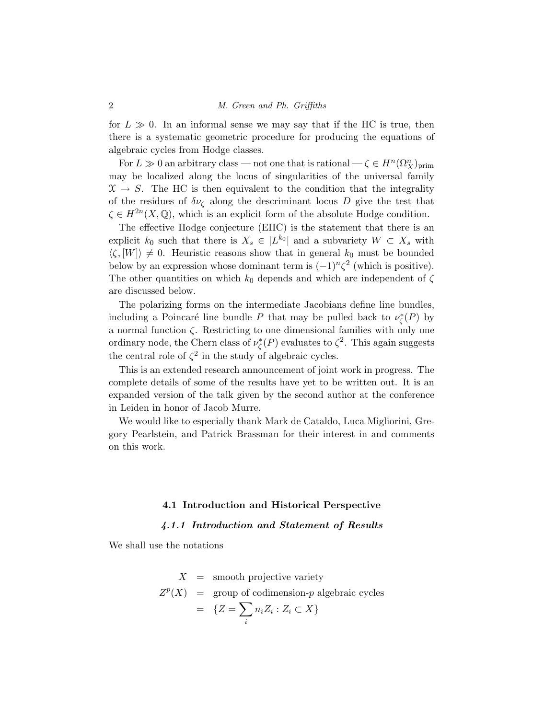for  $L \gg 0$ . In an informal sense we may say that if the HC is true, then there is a systematic geometric procedure for producing the equations of algebraic cycles from Hodge classes.

For  $L \gg 0$  an arbitrary class — not one that is rational —  $\zeta \in H^n(\Omega_X^n)_{\text{prim}}$ may be localized along the locus of singularities of the universal family  $\mathfrak{X} \to S$ . The HC is then equivalent to the condition that the integrality of the residues of  $\delta \nu_{\zeta}$  along the descriminant locus *D* give the test that  $\zeta \in H^{2n}(X, \mathbb{Q})$ , which is an explicit form of the absolute Hodge condition.

The effective Hodge conjecture (EHC) is the statement that there is an explicit  $k_0$  such that there is  $X_s \in |L^{k_0}|$  and a subvariety  $W \subset X_s$  with  $\langle \zeta, [W] \rangle \neq 0$ . Heuristic reasons show that in general  $k_0$  must be bounded below by an expression whose dominant term is  $(-1)^n \zeta^2$  (which is positive). The other quantities on which  $k_0$  depends and which are independent of  $\zeta$ are discussed below.

The polarizing forms on the intermediate Jacobians define line bundles, including a Poincaré line bundle *P* that may be pulled back to  $\nu^*_{\zeta}(P)$  by a normal function *ζ*. Restricting to one dimensional families with only one ordinary node, the Chern class of  $\nu_{\zeta}^*(P)$  evaluates to  $\zeta^2$ . This again suggests the central role of  $\zeta^2$  in the study of algebraic cycles.

This is an extended research announcement of joint work in progress. The complete details of some of the results have yet to be written out. It is an expanded version of the talk given by the second author at the conference in Leiden in honor of Jacob Murre.

We would like to especially thank Mark de Cataldo, Luca Migliorini, Gregory Pearlstein, and Patrick Brassman for their interest in and comments on this work.

### **4.1 Introduction and Historical Perspective**

### *4.1.1 Introduction and Statement of Results*

We shall use the notations

$$
X = \text{smooth projective variety}
$$
  
\n
$$
Z^{p}(X) = \text{group of codimension-}p \text{ algebraic cycles}
$$
  
\n
$$
= \{Z = \sum_{i} n_{i} Z_{i} : Z_{i} \subset X\}
$$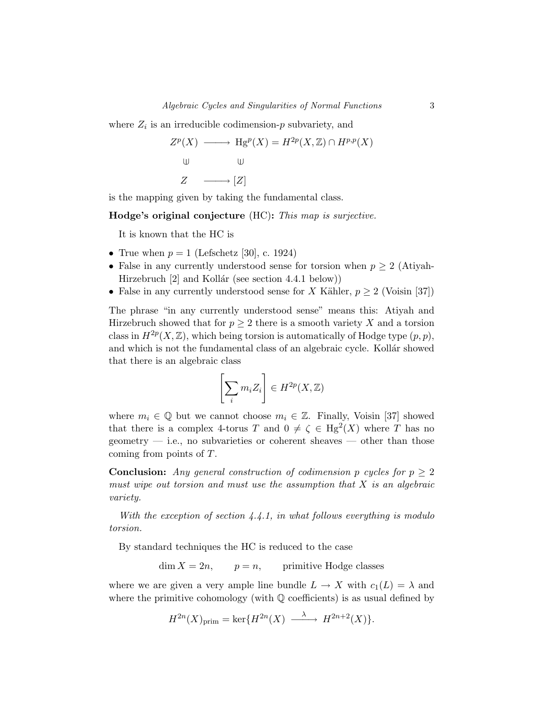where  $Z_i$  is an irreducible codimension- $p$  subvariety, and

$$
Z^{p}(X) \longrightarrow \text{Hg}^{p}(X) = H^{2p}(X, \mathbb{Z}) \cap H^{p,p}(X)
$$
  
u  

$$
\downarrow \qquad \qquad \downarrow \qquad \qquad \downarrow
$$
  

$$
Z \longrightarrow [Z]
$$

is the mapping given by taking the fundamental class.

**Hodge's original conjecture** (HC)**:** This map is surjective.

It is known that the HC is

- True when  $p = 1$  (Lefschetz [30], c. 1924)
- False in any currently understood sense for torsion when  $p \geq 2$  (Atiyah-Hirzebruch  $[2]$  and Kollár (see section 4.4.1 below))
- False in any currently understood sense for *X* Kähler,  $p \geq 2$  (Voisin [37])

The phrase "in any currently understood sense" means this: Atiyah and Hirzebruch showed that for  $p \geq 2$  there is a smooth variety X and a torsion class in  $H^{2p}(X,\mathbb{Z})$ , which being torsion is automatically of Hodge type  $(p, p)$ , and which is not the fundamental class of an algebraic cycle. Kollar showed that there is an algebraic class

$$
\left[\sum_i m_i Z_i\right] \in H^{2p}(X,\mathbb{Z})
$$

where  $m_i \in \mathbb{Q}$  but we cannot choose  $m_i \in \mathbb{Z}$ . Finally, Voisin [37] showed that there is a complex 4-torus *T* and  $0 \neq \zeta \in Hg^2(X)$  where *T* has no geometry  $-$  i.e., no subvarieties or coherent sheaves  $-$  other than those coming from points of *T*.

**Conclusion:** Any general construction of codimension *p* cycles for  $p \geq 2$ must wipe out torsion and must use the assumption that *X* is an algebraic variety.

With the exception of section  $4.4.1$ , in what follows everything is modulo torsion.

By standard techniques the HC is reduced to the case

 $\dim X = 2n$ ,  $p = n$ , primitive Hodge classes

where we are given a very ample line bundle  $L \to X$  with  $c_1(L) = \lambda$  and where the primitive cohomology (with  $\mathbb Q$  coefficients) is as usual defined by

 $H^{2n}(X)_{\text{prim}} = \ker\{H^{2n}(X) \longrightarrow H^{2n+2}(X)\}.$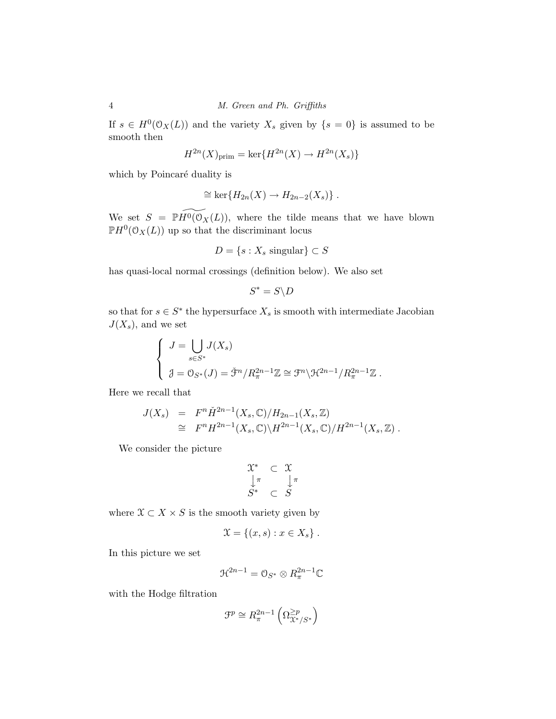If  $s \in H^0(\mathcal{O}_X(L))$  and the variety  $X_s$  given by  $\{s = 0\}$  is assumed to be smooth then

$$
H^{2n}(X)_{\text{prim}} = \ker\{H^{2n}(X) \to H^{2n}(X_s)\}
$$

which by Poincaré duality is

$$
\cong \ker\{H_{2n}(X) \to H_{2n-2}(X_s)\} .
$$

We set  $S = \mathbb{P}H^0(\mathcal{O}_X(L))$ , where the tilde means that we have blown  $\mathbb{P}H^0(\mathcal{O}_X(L))$  up so that the discriminant locus

$$
D = \{s : X_s \text{ singular}\} \subset S
$$

has quasi-local normal crossings (definition below). We also set

$$
S^*=S\backslash D
$$

so that for  $s \in S^*$  the hypersurface  $X_s$  is smooth with intermediate Jacobian  $J(X_s)$ , and we set

$$
\begin{cases}\nJ = \bigcup_{s \in S^*} J(X_s) \\
\vartheta = \mathcal{O}_{S^*}(J) = \tilde{\mathcal{F}}^n / R_{\pi}^{2n-1} \mathbb{Z} \cong \mathcal{F}^n \backslash \mathcal{H}^{2n-1} / R_{\pi}^{2n-1} \mathbb{Z} \n\end{cases}.
$$

Here we recall that

$$
J(X_s) = F^n \check{H}^{2n-1}(X_s, \mathbb{C}) / H_{2n-1}(X_s, \mathbb{Z})
$$
  
\n
$$
\cong F^n H^{2n-1}(X_s, \mathbb{C}) / H^{2n-1}(X_s, \mathbb{C}) / H^{2n-1}(X_s, \mathbb{Z}).
$$

We consider the picture

$$
\begin{array}{ccc}\n\mathfrak{X}^* & \subset & \mathfrak{X} \\
\downarrow^{\pi} & & \downarrow^{\pi} \\
S^* & \subset & S\n\end{array}
$$

where  $X \subset X \times S$  is the smooth variety given by

$$
\mathfrak{X} = \{(x, s) : x \in X_s\} .
$$

In this picture we set

$$
\mathfrak{R}^{2n-1}=\mathbb{O}_{S^*}\otimes R_{\pi}^{2n-1}\mathbb{C}
$$

with the Hodge filtration

$$
\mathfrak{F}^p\cong R_{\pi}^{2n-1}\left(\Omega_{\mathfrak{X}^*/S^*}^{\geq p}\right)
$$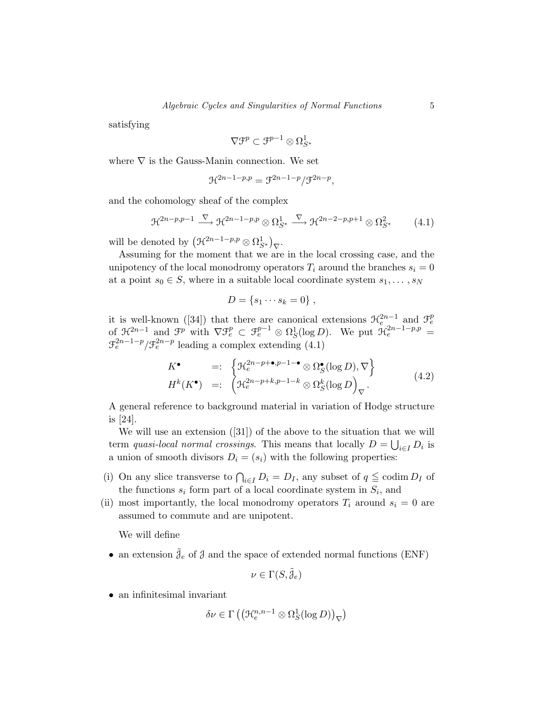satisfying

$$
\nabla \mathfrak{F}^p \subset \mathfrak{F}^{p-1} \otimes \Omega^1_{S^*}
$$

where  $\nabla$  is the Gauss-Manin connection. We set

$$
\mathcal{H}^{2n-1-p,p} = \mathcal{F}^{2n-1-p}/\mathcal{F}^{2n-p},
$$

and the cohomology sheaf of the complex

$$
\mathcal{H}^{2n-p,p-1} \xrightarrow{\nabla} \mathcal{H}^{2n-1-p,p} \otimes \Omega_{S^*}^1 \xrightarrow{\nabla} \mathcal{H}^{2n-2-p,p+1} \otimes \Omega_{S^*}^2 \tag{4.1}
$$

will be denoted by  $(\mathcal{H}^{2n-1-p,p}\otimes\Omega^1_{S^*})_{\nabla}$ .

Assuming for the moment that we are in the local crossing case, and the unipotency of the local monodromy operators  $T_i$  around the branches  $s_i = 0$ at a point  $s_0 \in S$ , where in a suitable local coordinate system  $s_1, \ldots, s_N$ 

$$
D = \{s_1 \cdots s_k = 0\} ,
$$

it is well-known ([34]) that there are canonical extensions  $\mathcal{H}_e^{2n-1}$  and  $\mathcal{F}_e^p$ <br>of  $\mathcal{H}_e^{2n-1}$  and  $\mathcal{F}^p$  with  $\nabla \mathcal{F}_e^p \subset \mathcal{F}_e^{p-1} \otimes \Omega_S^1(\log D)$ . We put  $\mathcal{H}_e^{2n-1-p,p} =$  $\mathcal{F}_e^{2n-1-p}/\mathcal{F}_e^{2n-p}$  leading a complex extending (4.1)

$$
K^{\bullet} =: \left\{ \mathcal{H}_e^{2n-p+\bullet,p-1-\bullet} \otimes \Omega_S^{\bullet}(\log D), \nabla \right\}
$$
  

$$
H^k(K^{\bullet}) =: \left( \mathcal{H}_e^{2n-p+k,p-1-k} \otimes \Omega_S^k(\log D)_{\nabla} \right).
$$
 (4.2)

A general reference to background material in variation of Hodge structure is [24].

We will use an extension ([31]) of the above to the situation that we will term quasi-local normal crossings. This means that locally  $D = \bigcup_{i \in I} D_i$  is a union of smooth divisors  $D_i = (s_i)$  with the following properties:

- (i) On any slice transverse to  $\bigcap_{i\in I} D_i = D_I$ , any subset of  $q \leq \operatorname{codim} D_I$  of the functions  $s_i$  form part of a local coordinate system in  $S_i$ , and
- (ii) most importantly, the local monodromy operators  $T_i$  around  $s_i = 0$  are assumed to commute and are unipotent.

We will define

 $\bullet\,$  an extension  $\tilde{\mathcal{J}}_e$  of  $\mathcal{J}$  and the space of extended normal functions (ENF)

$$
\nu\in \Gamma(S,\tilde{\mathcal{J}}_e)
$$

• an infinitesimal invariant

$$
\delta \nu \in \Gamma \left( \left( \mathcal{H}_e^{n,n-1} \otimes \Omega_S^1(\log D) \right)_{\nabla} \right)
$$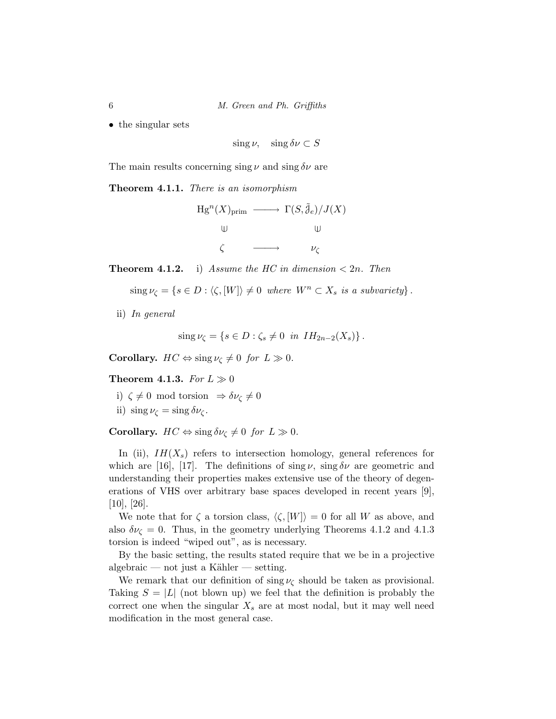• the singular sets

sing  $\nu$ , sing  $\delta \nu \subset S$ 

The main results concerning sing *ν* and sing *δν* are

**Theorem 4.1.1.** There is an isomorphism

$$
Hg^{n}(X)_{\text{prim}} \longrightarrow \Gamma(S,\tilde{g}_{e})/J(X)
$$
  

$$
\downarrow \qquad \qquad \downarrow \qquad \qquad \downarrow \qquad \qquad \downarrow
$$
  

$$
\zeta \longrightarrow \qquad \qquad \nu_{\zeta}
$$

**Theorem 4.1.2.** i) Assume the HC in dimension  $\lt 2n$ . Then

 $\langle S \rangle$  sing  $\nu_{\zeta} = \{ s \in D : \langle \zeta, [W] \rangle \neq 0 \text{ where } W^n \subset X_s \text{ is a subvariety} \}.$ 

ii) In general

$$
\operatorname{sing}\nu_{\zeta}=\left\{s\in D:\zeta_s\neq 0\ \text{in}\ IH_{2n-2}(X_s)\right\}.
$$

**Corollary.**  $HC \Leftrightarrow \text{sing } \nu_{\zeta} \neq 0$  for  $L \gg 0$ .

**Theorem 4.1.3.** For  $L \gg 0$ 

- i)  $\zeta \neq 0$  mod torsion  $\Rightarrow \delta \nu_{\zeta} \neq 0$
- ii)  $\sin g \nu_\zeta = \sin g \delta \nu_\zeta$ .

**Corollary.**  $HC \Leftrightarrow \text{sing } \delta \nu_{\zeta} \neq 0$  for  $L \gg 0$ .

In (ii),  $IH(X_s)$  refers to intersection homology, general references for which are [16], [17]. The definitions of sing  $\nu$ , sing  $\delta \nu$  are geometric and understanding their properties makes extensive use of the theory of degenerations of VHS over arbitrary base spaces developed in recent years [9], [10], [26].

We note that for  $\zeta$  a torsion class,  $\langle \zeta, [W] \rangle = 0$  for all W as above, and also  $\delta \nu_{\zeta} = 0$ . Thus, in the geometry underlying Theorems 4.1.2 and 4.1.3 torsion is indeed "wiped out", as is necessary.

By the basic setting, the results stated require that we be in a projective algebraic — not just a Kähler — setting.

We remark that our definition of sing  $\nu_{\zeta}$  should be taken as provisional. Taking  $S = |L|$  (not blown up) we feel that the definition is probably the correct one when the singular  $X_s$  are at most nodal, but it may well need modification in the most general case.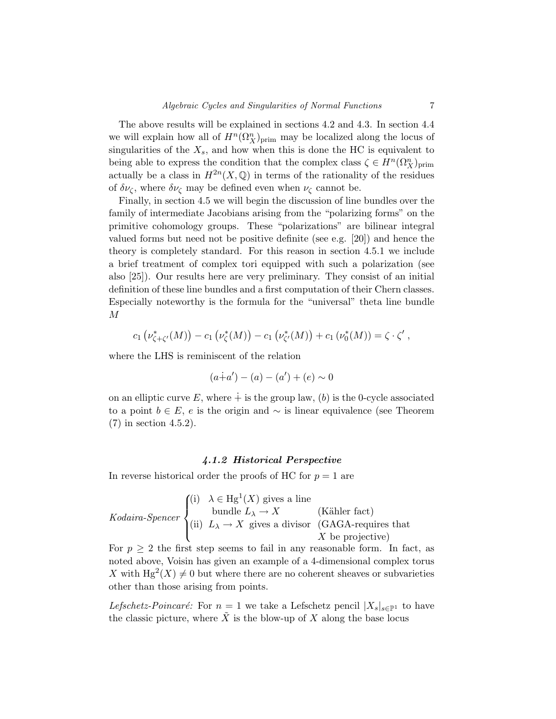The above results will be explained in sections 4.2 and 4.3. In section 4.4 we will explain how all of  $H^n(\Omega^n_X)_{\text{prim}}$  may be localized along the locus of singularities of the  $X_s$ , and how when this is done the HC is equivalent to being able to express the condition that the complex class  $\zeta \in H^n(\Omega_X^n)_{\text{prim}}$ actually be a class in  $H^{2n}(X,\mathbb{Q})$  in terms of the rationality of the residues of  $\delta \nu_{\zeta}$ , where  $\delta \nu_{\zeta}$  may be defined even when  $\nu_{\zeta}$  cannot be.

Finally, in section 4.5 we will begin the discussion of line bundles over the family of intermediate Jacobians arising from the "polarizing forms" on the primitive cohomology groups. These "polarizations" are bilinear integral valued forms but need not be positive definite (see e.g. [20]) and hence the theory is completely standard. For this reason in section 4.5.1 we include a brief treatment of complex tori equipped with such a polarization (see also [25]). Our results here are very preliminary. They consist of an initial definition of these line bundles and a first computation of their Chern classes. Especially noteworthy is the formula for the "universal" theta line bundle *M*

$$
c_1(\nu_{\zeta+\zeta'}^*(M)) - c_1(\nu_{\zeta}^*(M)) - c_1(\nu_{\zeta'}^*(M)) + c_1(\nu_0^*(M)) = \zeta \cdot \zeta',
$$

where the LHS is reminiscent of the relation

$$
(a+a') - (a) - (a') + (e) \sim 0
$$

on an elliptic curve  $E$ , where  $+$  is the group law, (b) is the 0-cycle associated to a point  $b \in E$ , *e* is the origin and  $\sim$  is linear equivalence (see Theorem (7) in section 4.5.2).

#### *4.1.2 Historical Perspective*

In reverse historical order the proofs of HC for  $p = 1$  are

\n
$$
Kodaira-Spencer
$$
\n $\begin{cases}\n(i) & \lambda \in \text{Hg}^1(X) \text{ gives a line} \\
\text{bundle } L_\lambda \to X \\
(ii) & L_\lambda \to X \text{ gives a divisor} \\
(X \text{ GAGA-requires that } X \text{ be projective})\n\end{cases}$ \n

For  $p \geq 2$  the first step seems to fail in any reasonable form. In fact, as noted above, Voisin has given an example of a 4-dimensional complex torus X with  $Hg^2(X) \neq 0$  but where there are no coherent sheaves or subvarieties other than those arising from points.

Lefschetz-Poincaré: For  $n = 1$  we take a Lefschetz pencil  $|X_s|_{s \in \mathbb{P}^1}$  to have the classic picture, where  $\tilde{X}$  is the blow-up of  $X$  along the base locus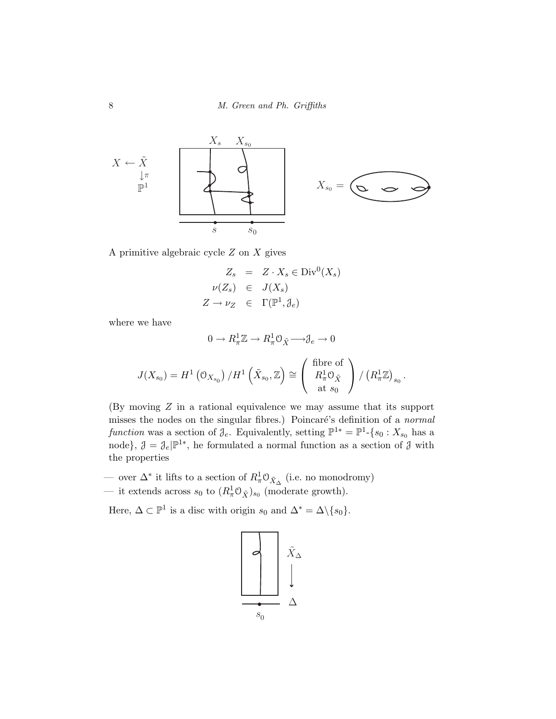

A primitive algebraic cycle *Z* on *X* gives

$$
Z_s = Z \cdot X_s \in \text{Div}^0(X_s)
$$
  

$$
\nu(Z_s) \in J(X_s)
$$
  

$$
Z \to \nu_Z \in \Gamma(\mathbb{P}^1, \mathcal{J}_e)
$$

where we have

$$
0 \to R_{\pi}^{1} \mathbb{Z} \to R_{\pi}^{1} \mathbb{O}_{\tilde{X}} \longrightarrow \mathcal{J}_{e} \to 0
$$

$$
J(X_{s_{0}}) = H^{1}(\mathbb{O}_{X_{s_{0}}}) / H^{1}(\tilde{X}_{s_{0}}, \mathbb{Z}) \cong \begin{pmatrix} \text{ fibre of} \\ R_{\pi}^{1} \mathbb{O}_{\tilde{X}} \\ \text{at } s_{0} \end{pmatrix} / (R_{\pi}^{1} \mathbb{Z})_{s_{0}}.
$$

(By moving *Z* in a rational equivalence we may assume that its support misses the nodes on the singular fibres.) Poincaré's definition of a normal function was a section of  $\mathcal{J}_e$ . Equivalently, setting  $\mathbb{P}^{1*} = \mathbb{P}^1$ - $\{s_0 : X_{s_0} \text{ has a }$ node},  $\mathcal{J} = \mathcal{J}_e | \mathbb{P}^{1*}$ , he formulated a normal function as a section of  $\mathcal{J}$  with the properties

- over  $\Delta^*$  it lifts to a section of  $R^1_\pi \mathcal{O}_{\tilde{X}_\Delta}$  (i.e. no monodromy)
- it extends across  $s_0$  to  $(R^1_\pi \mathcal{O}_{\tilde{X}})_{s_0}$  (moderate growth).

Here,  $\Delta \subset \mathbb{P}^1$  is a disc with origin  $s_0$  and  $\Delta^* = \Delta \setminus \{s_0\}.$ 

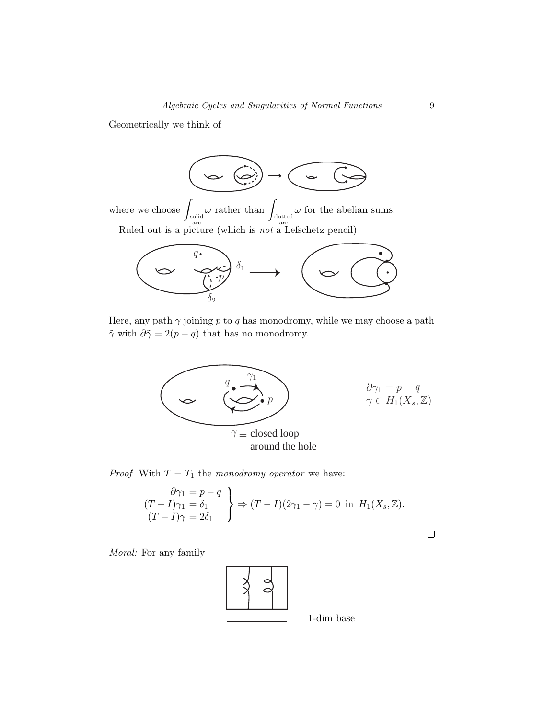Geometrically we think of



where we choose  $\int_{\substack{\text{solid} \\ \text{arc}}}$  $\omega$  rather than  $\int_{\frac{1}{\text{arcc}}}$ *ω* for the abelian sums. Ruled out is a picture (which is not a Lefschetz pencil)



Here, any path  $\gamma$  joining  $p$  to  $q$  has monodromy, while we may choose a path  $\tilde{\gamma}$  with  $\partial \tilde{\gamma} = 2(p - q)$  that has no monodromy.



*Proof* With  $T = T_1$  the monodromy operator we have:

$$
\begin{aligned}\n\frac{\partial \gamma_1 &= p - q \\
(T - I)\gamma_1 &= \delta_1 \\
(T - I)\gamma &= 2\delta_1\n\end{aligned}\n\Rightarrow\n(T - I)(2\gamma_1 - \gamma) = 0 \text{ in } H_1(X_s, \mathbb{Z}).
$$

Moral: For any family



 $\Box$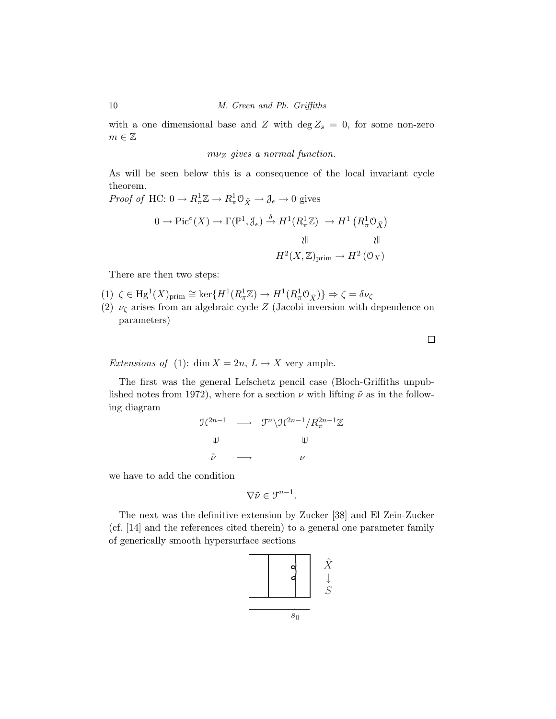with a one dimensional base and *Z* with  $\deg Z_s = 0$ , for some non-zero  $m\in\mathbb{Z}$ 

*mν*<sup>Z</sup> gives a normal function.

As will be seen below this is a consequence of the local invariant cycle theorem.

*Proof of* HC:  $0 \to R_{\pi}^1 \mathbb{Z} \to R_{\pi}^1 \mathbb{O}_{\tilde{X}} \to \mathfrak{J}_e \to 0$  gives

$$
0 \to \text{Pic}^{\circ}(X) \to \Gamma(\mathbb{P}^1, \mathcal{J}_e) \xrightarrow{\delta} H^1(R_{\pi}^1 \mathbb{Z}) \to H^1\left(R_{\pi}^1 \mathcal{O}_{\tilde{X}}\right)
$$
  
 
$$
\downarrow \parallel \qquad \qquad \downarrow \parallel
$$
  

$$
H^2(X, \mathbb{Z})_{\text{prim}} \to H^2\left(\mathcal{O}_X\right)
$$

There are then two steps:

 $(1) \ \ \zeta \in {\rm Hg}^1(X)_{\rm prim} \cong \ker\{ H^1(R^1_\pi\mathbb{Z}) \to H^1(R^1_\pi\mathbb{O}_{\tilde X}) \} \Rightarrow \zeta = \delta \nu_\zeta$ 

(2)  $\nu_{\zeta}$  arises from an algebraic cycle *Z* (Jacobi inversion with dependence on parameters)

Extensions of (1): dim  $X = 2n$ ,  $L \rightarrow X$  very ample.

The first was the general Lefschetz pencil case (Bloch-Griffiths unpublished notes from 1972), where for a section  $\nu$  with lifting  $\tilde{\nu}$  as in the following diagram

$$
\mathcal{H}^{2n-1} \longrightarrow \mathcal{F}^n \backslash \mathcal{H}^{2n-1} / R_{\pi}^{2n-1} \mathbb{Z}
$$
  
\n
$$
\uplus \qquad \qquad \downarrow \qquad \qquad \downarrow \qquad \qquad \downarrow
$$
  
\n
$$
\tilde{\nu} \longrightarrow \qquad \qquad \nu
$$

we have to add the condition

$$
\nabla \tilde{\nu} \in \mathfrak{F}^{n-1}.
$$

The next was the definitive extension by Zucker [38] and El Zein-Zucker (cf. [14] and the references cited therein) to a general one parameter family of generically smooth hypersurface sections



 $\Box$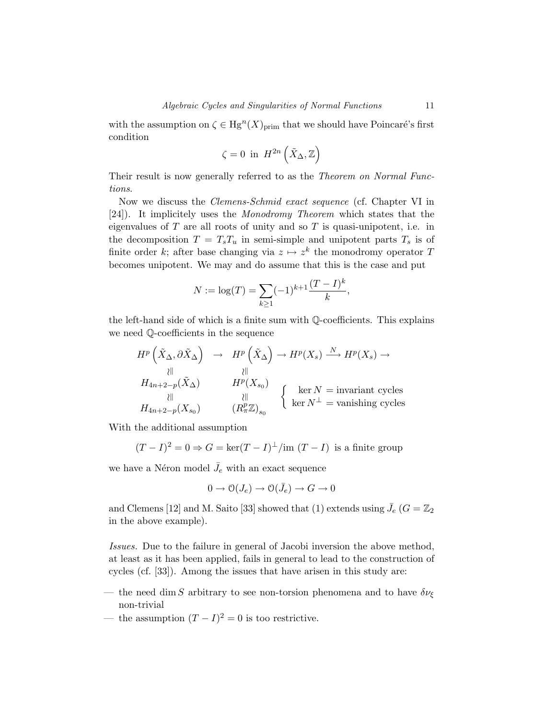with the assumption on  $\zeta \in \text{Hg}^n(X)_{\text{prim}}$  that we should have Poincaré's first condition

$$
\zeta = 0 \text{ in } H^{2n}\left(\tilde{X}_{\Delta}, \mathbb{Z}\right)
$$

Their result is now generally referred to as the *Theorem on Normal Func*tions.

Now we discuss the Clemens-Schmid exact sequence (cf. Chapter VI in [24]). It implicitely uses the Monodromy Theorem which states that the eigenvalues of *T* are all roots of unity and so *T* is quasi-unipotent, i.e. in the decomposition  $T = T_s T_u$  in semi-simple and unipotent parts  $T_s$  is of finite order *k*; after base changing via  $z \mapsto z^k$  the monodromy operator T becomes unipotent. We may and do assume that this is the case and put

$$
N := \log(T) = \sum_{k \ge 1} (-1)^{k+1} \frac{(T - I)^k}{k},
$$

the left-hand side of which is a finite sum with Q-coefficients. This explains we need Q-coefficients in the sequence

$$
H^{p}\left(\tilde{X}_{\Delta}, \partial \tilde{X}_{\Delta}\right) \rightarrow H^{p}\left(\tilde{X}_{\Delta}\right) \rightarrow H^{p}(X_{s}) \xrightarrow{\ N} H^{p}(X_{s}) \rightarrow H^{p}(X_{s})
$$
  
\n
$$
H_{4n+2-p}(\tilde{X}_{\Delta}) \qquad H^{p}(X_{s_{0}})
$$
  
\n
$$
\downarrow \parallel \qquad \qquad \downarrow \parallel \qquad \qquad \downarrow \parallel \qquad \qquad \downarrow \parallel \qquad \qquad \downarrow \parallel \qquad \qquad \downarrow \parallel \qquad \qquad \downarrow \parallel \qquad \qquad \downarrow \parallel \qquad \qquad \downarrow \parallel \qquad \qquad \downarrow \parallel \qquad \qquad \downarrow \parallel \qquad \qquad \downarrow \parallel \qquad \qquad \downarrow \parallel \qquad \qquad \downarrow \parallel \qquad \qquad \downarrow \parallel \qquad \qquad \downarrow \parallel \qquad \qquad \downarrow \parallel \qquad \qquad \downarrow \parallel \qquad \qquad \downarrow \parallel \qquad \qquad \downarrow \parallel \qquad \qquad \downarrow \parallel \qquad \qquad \downarrow \parallel \qquad \qquad \downarrow \parallel \qquad \qquad \downarrow \parallel \qquad \qquad \downarrow \parallel \qquad \qquad \downarrow \parallel \qquad \qquad \downarrow \parallel \qquad \qquad \downarrow \parallel \qquad \qquad \downarrow \parallel \qquad \qquad \downarrow \parallel \qquad \qquad \downarrow \parallel \qquad \qquad \downarrow \parallel \qquad \qquad \downarrow \parallel \qquad \qquad \downarrow \parallel \qquad \qquad \downarrow \parallel \qquad \qquad \downarrow \parallel \qquad \qquad \downarrow \parallel \qquad \qquad \downarrow \parallel \qquad \qquad \downarrow \parallel \qquad \qquad \downarrow \parallel \qquad \qquad \downarrow \parallel \qquad \qquad \downarrow \parallel \qquad \qquad \downarrow \parallel \qquad \qquad \downarrow \parallel \qquad \qquad \downarrow \parallel \qquad \qquad \downarrow \parallel \qquad \qquad \downarrow \parallel \qquad \qquad \downarrow \parallel \qquad \qquad \downarrow \parallel \qquad \qquad \downarrow \parallel \qquad \qquad \downarrow \parallel \qquad \qquad \downarrow \parallel \qquad \qquad \downarrow \parallel \qquad \qquad \downarrow \parallel \qquad \qquad \downarrow \parallel \qquad \qquad \downarrow \parallel \qquad \qquad \downarrow \parallel \qquad \qquad
$$

With the additional assumption

$$
(T - I)^2 = 0 \Rightarrow G = \ker((T - I)^{\perp}/\text{im} (T - I)
$$
 is a finite group

we have a Néron model  $\bar{J}_e$  with an exact sequence

$$
0\to \mathcal{O}(J_e)\to \mathcal{O}(\bar{J}_e)\to G\to 0
$$

and Clemens [12] and M. Saito [33] showed that (1) extends using  $\bar{J}_e$  ( $G = \mathbb{Z}_2$ in the above example).

Issues. Due to the failure in general of Jacobi inversion the above method, at least as it has been applied, fails in general to lead to the construction of cycles (cf. [33]). Among the issues that have arisen in this study are:

- the need dim *S* arbitrary to see non-torsion phenomena and to have  $\delta \nu_{\xi}$ non-trivial
- the assumption  $(T I)^2 = 0$  is too restrictive.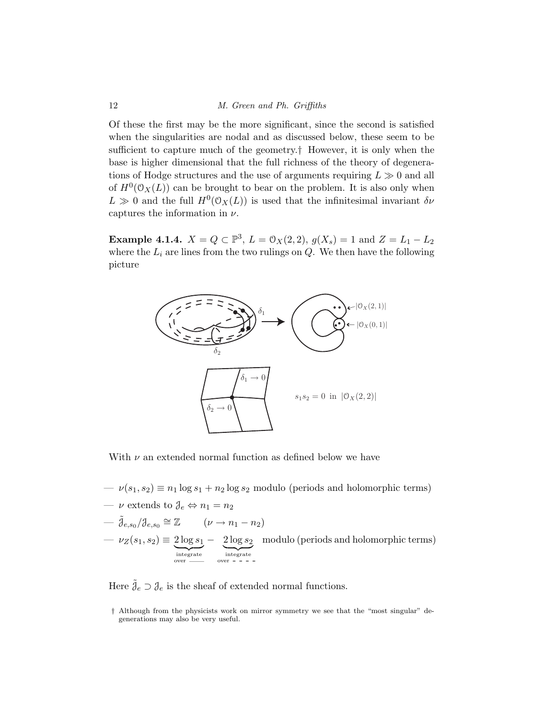Of these the first may be the more significant, since the second is satisfied when the singularities are nodal and as discussed below, these seem to be sufficient to capture much of the geometry.† However, it is only when the base is higher dimensional that the full richness of the theory of degenerations of Hodge structures and the use of arguments requiring  $L \gg 0$  and all of  $H^0(\mathcal{O}_X(L))$  can be brought to bear on the problem. It is also only when  $L \gg 0$  and the full  $H^0(\mathcal{O}_X(L))$  is used that the infinitesimal invariant  $\delta \nu$ captures the information in *ν*.

**Example 4.1.4.**  $X = Q \subset \mathbb{P}^3$ ,  $L = \mathcal{O}_X(2, 2)$ ,  $g(X_s) = 1$  and  $Z = L_1 - L_2$ where the  $L_i$  are lines from the two rulings on  $Q$ . We then have the following picture



With *ν* an extended normal function as defined below we have

 $-\nu(s_1, s_2) \equiv n_1 \log s_1 + n_2 \log s_2$  modulo (periods and holomorphic terms)

$$
- \nu \text{ extends to } \mathcal{J}_e \Leftrightarrow n_1 = n_2
$$
  
\n
$$
- \tilde{\mathcal{J}}_{e,s_0}/\mathcal{J}_{e,s_0} \cong \mathbb{Z} \qquad (\nu \to n_1 - n_2)
$$
  
\n
$$
- \nu_Z(s_1, s_2) \equiv \underbrace{2 \log s_1}_{\text{integerate}} - \underbrace{2 \log s_2}_{\text{over ----}} \qquad \text{modulo (periods and holomorphic terms)}
$$

Here  $\tilde{\theta}_e \supset \theta_e$  is the sheaf of extended normal functions.

<sup>†</sup> Although from the physicists work on mirror symmetry we see that the "most singular" degenerations may also be very useful.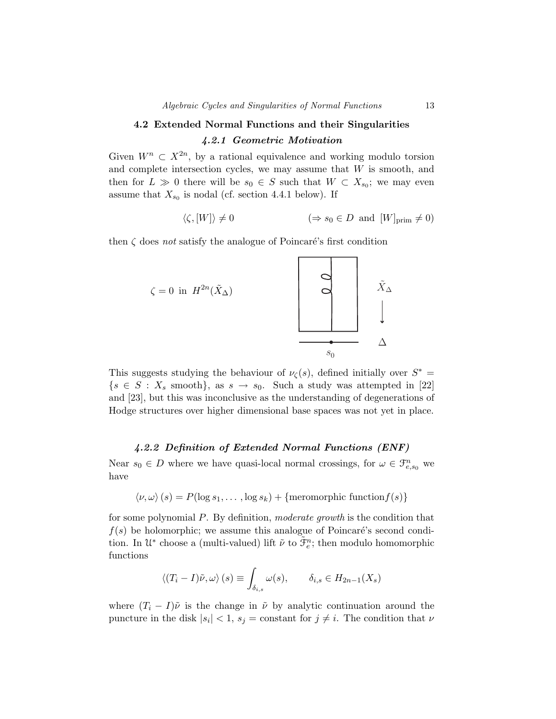# **4.2 Extended Normal Functions and their Singularities** *4.2.1 Geometric Motivation*

Given  $W^n \subset X^{2n}$ , by a rational equivalence and working modulo torsion and complete intersection cycles, we may assume that *W* is smooth, and then for  $L \gg 0$  there will be  $s_0 \in S$  such that  $W \subset X_{s_0}$ ; we may even assume that  $X_{s_0}$  is nodal (cf. section 4.4.1 below). If

$$
\langle \zeta, [W] \rangle \neq 0 \qquad (\Rightarrow s_0 \in D \text{ and } [W]_{\text{prim}} \neq 0)
$$

then  $\zeta$  does not satisfy the analogue of Poincaré's first condition



This suggests studying the behaviour of  $\nu_{\zeta}(s)$ , defined initially over  $S^*$  $\{s \in S : X_s \text{ smooth}\}, \text{ as } s \to s_0. \text{ Such a study was attempted in [22]}$ and [23], but this was inconclusive as the understanding of degenerations of Hodge structures over higher dimensional base spaces was not yet in place.

#### *4.2.2 Definition of Extended Normal Functions (ENF)*

Near  $s_0 \in D$  where we have quasi-local normal crossings, for  $\omega \in \mathcal{F}_{e,s_0}^n$  we have

$$
\langle \nu, \omega \rangle (s) = P(\log s_1, \dots, \log s_k) + \{\text{meromorphic function } f(s)\}\
$$

for some polynomial *P*. By definition, moderate growth is the condition that  $f(s)$  be holomorphic; we assume this analogue of Poincaré's second condition. In  $\mathfrak{U}^*$  choose a (multi-valued) lift  $\tilde{\nu}$  to  $\tilde{\mathfrak{F}}_e^n$ ; then modulo homomorphic functions

$$
\langle (T_i - I)\tilde{\nu}, \omega \rangle (s) \equiv \int_{\delta_{i,s}} \omega(s), \qquad \delta_{i,s} \in H_{2n-1}(X_s)
$$

where  $(T_i - I)\tilde{\nu}$  is the change in  $\tilde{\nu}$  by analytic continuation around the puncture in the disk  $|s_i| < 1$ ,  $s_j$  = constant for  $j \neq i$ . The condition that  $\nu$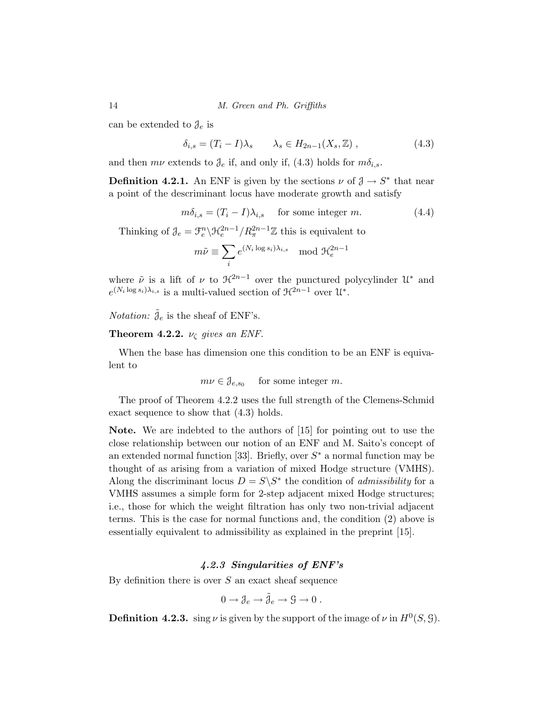can be extended to  $\mathcal{J}_e$  is

$$
\delta_{i,s} = (T_i - I)\lambda_s \qquad \lambda_s \in H_{2n-1}(X_s, \mathbb{Z}), \qquad (4.3)
$$

and then  $m\nu$  extends to  $\mathcal{J}_e$  if, and only if, (4.3) holds for  $m\delta_{i,s}$ .

**Definition 4.2.1.** An ENF is given by the sections  $\nu$  of  $\mathcal{J} \to S^*$  that near a point of the descriminant locus have moderate growth and satisfy

$$
m\delta_{i,s} = (T_i - I)\lambda_{i,s} \quad \text{ for some integer } m. \tag{4.4}
$$

Thinking of  $\partial_e = \mathcal{F}_e^n \backslash \mathcal{H}_e^{2n-1} / R_{\pi}^{2n-1} \mathbb{Z}$  this is equivalent to

$$
m\tilde{\nu} \equiv \sum_{i} e^{(N_i \log s_i)\lambda_{i,s}} \mod \mathfrak{H}_e^{2n-1}
$$

where  $\tilde{\nu}$  is a lift of  $\nu$  to  $\mathcal{H}^{2n-1}$  over the punctured polycylinder  $\mathcal{U}^*$  and  $e^{(N_i \log s_i)\lambda_{i,s}}$  is a multi-valued section of  $\mathcal{H}^{2n-1}$  over  $\mathcal{U}^*$ .

*Notation:*  $\tilde{\theta}_e$  is the sheaf of ENF's.

**Theorem 4.2.2.**  $\nu_{\zeta}$  gives an ENF.

When the base has dimension one this condition to be an ENF is equivalent to

 $m\nu \in \mathcal{J}_{e, so}$  for some integer *m*.

The proof of Theorem 4.2.2 uses the full strength of the Clemens-Schmid exact sequence to show that (4.3) holds.

**Note.** We are indebted to the authors of [15] for pointing out to use the close relationship between our notion of an ENF and M. Saito's concept of an extended normal function [33]. Briefly, over *S*∗ a normal function may be thought of as arising from a variation of mixed Hodge structure (VMHS). Along the discriminant locus  $D = S \ S^*$  the condition of *admissibility* for a VMHS assumes a simple form for 2-step adjacent mixed Hodge structures; i.e., those for which the weight filtration has only two non-trivial adjacent terms. This is the case for normal functions and, the condition (2) above is essentially equivalent to admissibility as explained in the preprint [15].

# *4.2.3 Singularities of ENF's*

By definition there is over *S* an exact sheaf sequence

$$
0 \to \mathcal{J}_e \to \tilde{\mathcal{J}}_e \to \mathcal{G} \to 0.
$$

**Definition 4.2.3.** sing  $\nu$  is given by the support of the image of  $\nu$  in  $H^0(S, \mathcal{G})$ .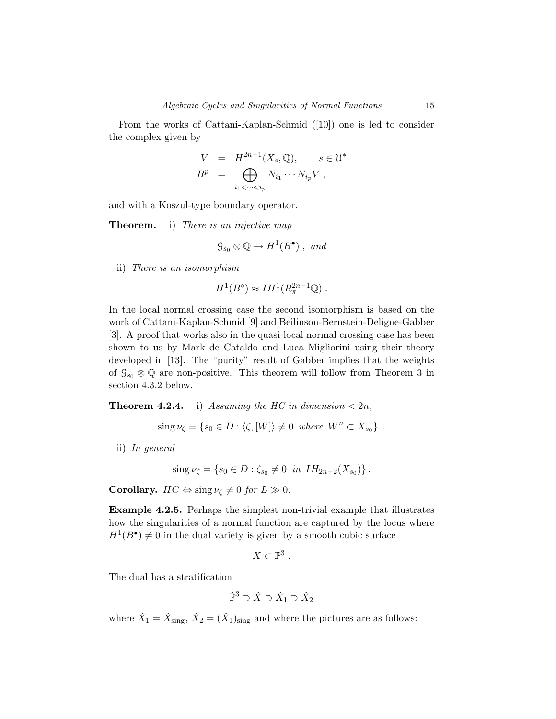From the works of Cattani-Kaplan-Schmid ([10]) one is led to consider the complex given by

$$
V = H^{2n-1}(X_s, \mathbb{Q}), \quad s \in \mathcal{U}^*
$$
  

$$
B^p = \bigoplus_{i_1 < \dots < i_p} N_{i_1} \dots N_{i_p} V,
$$

and with a Koszul-type boundary operator.

**Theorem.** i) There is an injective map

$$
\mathcal{G}_{s_0} \otimes \mathbb{Q} \to H^1(B^{\bullet}), \text{ and}
$$

ii) There is an isomorphism

$$
H^1(B^{\circ}) \approx IH^1(R^{2n-1}_{\pi}\mathbb{Q})\ .
$$

In the local normal crossing case the second isomorphism is based on the work of Cattani-Kaplan-Schmid [9] and Beilinson-Bernstein-Deligne-Gabber [3]. A proof that works also in the quasi-local normal crossing case has been shown to us by Mark de Cataldo and Luca Migliorini using their theory developed in [13]. The "purity" result of Gabber implies that the weights of  $\mathcal{G}_{s_0} \otimes \mathbb{Q}$  are non-positive. This theorem will follow from Theorem 3 in section 4.3.2 below.

**Theorem 4.2.4.** i) Assuming the HC in dimension  $\langle 2n, \rangle$ 

 $\sin g \nu_{\zeta} = \{s_0 \in D : \langle \zeta, [W] \rangle \neq 0 \text{ where } W^n \subset X_{s_0} \}$ .

ii) In general

$$
\operatorname{sing}\nu_{\zeta} = \{s_0 \in D : \zeta_{s_0} \neq 0 \ \text{in} \ IH_{2n-2}(X_{s_0})\}.
$$

**Corollary.**  $HC \Leftrightarrow \text{sing } \nu_{\zeta} \neq 0 \text{ for } L \gg 0.$ 

**Example 4.2.5.** Perhaps the simplest non-trivial example that illustrates how the singularities of a normal function are captured by the locus where  $H^1(B^{\bullet}) \neq 0$  in the dual variety is given by a smooth cubic surface

$$
X\subset\mathbb{P}^3.
$$

The dual has a stratification

$$
\check{\mathbb P}^3\supset \check X\supset \check X_1\supset \check X_2
$$

where  $\check{X}_1 = \check{X}_{\text{sing}}, \check{X}_2 = (\check{X}_1)_{\text{sing}}$  and where the pictures are as follows: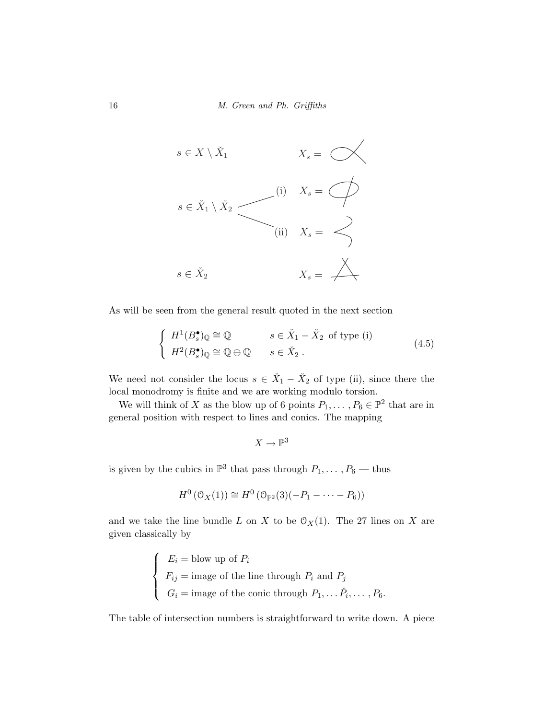

As will be seen from the general result quoted in the next section

$$
\begin{cases}\nH^1(B_s^{\bullet})_{\mathbb{Q}} \cong \mathbb{Q} & s \in \check{X}_1 - \check{X}_2 \text{ of type (i)} \\
H^2(B_s^{\bullet})_{\mathbb{Q}} \cong \mathbb{Q} \oplus \mathbb{Q} & s \in \check{X}_2 .\n\end{cases}
$$
\n(4.5)

We need not consider the locus  $s \in \check{X}_1 - \check{X}_2$  of type (ii), since there the local monodromy is finite and we are working modulo torsion.

We will think of *X* as the blow up of 6 points  $P_1, \ldots, P_6 \in \mathbb{P}^2$  that are in general position with respect to lines and conics. The mapping

$$
X\to\mathbb{P}^3
$$

is given by the cubics in  $\mathbb{P}^3$  that pass through  $P_1, \ldots, P_6$  — thus

$$
H^0(\mathcal{O}_X(1)) \cong H^0(\mathcal{O}_{\mathbb{P}^2}(3)(-P_1-\cdots-P_6))
$$

and we take the line bundle *L* on *X* to be  $O_X(1)$ . The 27 lines on *X* are given classically by

$$
\begin{cases}\nE_i = \text{blow up of } P_i \\
F_{ij} = \text{image of the line through } P_i \text{ and } P_j \\
G_i = \text{image of the conic through } P_1, \dots, \tilde{P}_i, \dots, P_6.\n\end{cases}
$$

The table of intersection numbers is straightforward to write down. A piece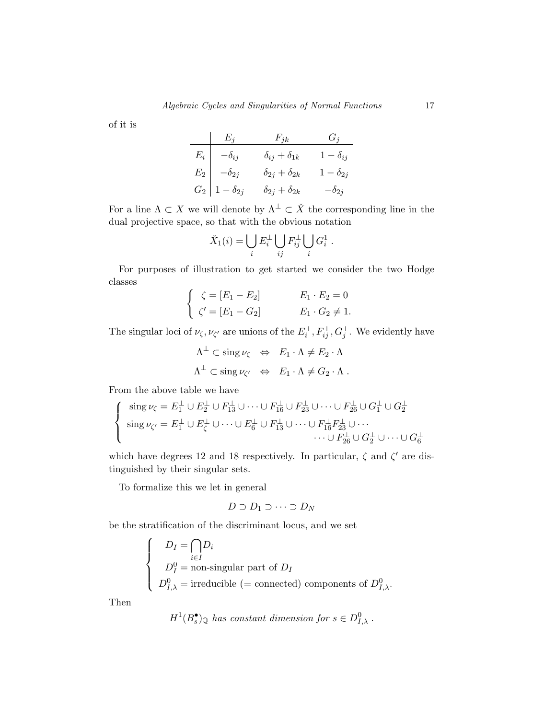of it is

| $E_j$ | $F_{jk}$          | $G_j$                       |                   |
|-------|-------------------|-----------------------------|-------------------|
| $E_i$ | $-\delta_{ij}$    | $\delta_{ij} + \delta_{1k}$ | $1 - \delta_{ij}$ |
| $E_2$ | $-\delta_{2j}$    | $\delta_{2j} + \delta_{2k}$ | $1 - \delta_{2j}$ |
| $G_2$ | $1 - \delta_{2j}$ | $\delta_{2j} + \delta_{2k}$ | $-\delta_{2j}$    |

For a line  $\Lambda \subset X$  we will denote by  $\Lambda^{\perp} \subset \check{X}$  the corresponding line in the dual projective space, so that with the obvious notation

$$
\check{X}_1(i) = \bigcup_i E_i^{\perp} \bigcup_{ij} F_{ij}^{\perp} \bigcup_i G_i^1.
$$

For purposes of illustration to get started we consider the two Hodge classes

$$
\begin{cases}\n\zeta = [E_1 - E_2] & E_1 \cdot E_2 = 0 \\
\zeta' = [E_1 - G_2] & E_1 \cdot G_2 \neq 1.\n\end{cases}
$$

The singular loci of  $\nu_{\zeta}, \nu_{\zeta'}$  are unions of the  $E_i^{\perp}, F_{ij}^{\perp}, G_j^{\perp}$ . We evidently have

$$
\Lambda^{\perp} \subset \operatorname{sing} \nu_{\zeta} \iff E_1 \cdot \Lambda \neq E_2 \cdot \Lambda
$$
  

$$
\Lambda^{\perp} \subset \operatorname{sing} \nu_{\zeta'} \iff E_1 \cdot \Lambda \neq G_2 \cdot \Lambda.
$$

From the above table we have

$$
\begin{cases}\n\operatorname{sing}\nu_{\zeta} = E_1^{\perp} \cup E_2^{\perp} \cup F_{13}^{\perp} \cup \cdots \cup F_{16}^{\perp} \cup F_{23}^{\perp} \cup \cdots \cup F_{26}^{\perp} \cup G_1^{\perp} \cup G_2^{\perp} \\
\operatorname{sing}\nu_{\zeta'} = E_1^{\perp} \cup E_{\zeta}^{\perp} \cup \cdots \cup E_6^{\perp} \cup F_{13}^{\perp} \cup \cdots \cup F_{16}^{\perp} F_{23}^{\perp} \cup \cdots \\
& \cdots \cup F_{26}^{\perp} \cup G_2^{\perp} \cup \cdots \cup G_6^{\perp}\n\end{cases}
$$

which have degrees 12 and 18 respectively. In particular,  $\zeta$  and  $\zeta'$  are distinguished by their singular sets.

To formalize this we let in general

$$
D \supset D_1 \supset \cdots \supset D_N
$$

be the stratification of the discriminant locus, and we set

$$
\begin{cases}\nD_I = \bigcap_{i \in I} D_i \\
D_I^0 = \text{non-singular part of } D_I \\
D_{I,\lambda}^0 = \text{irreducible } (= \text{connected}) \text{ components of } D_{I,\lambda}^0.\n\end{cases}
$$

Then

$$
H^1(B_s^{\bullet})_{\mathbb{Q}} \text{ has constant dimension for } s \in D^0_{I,\lambda} .
$$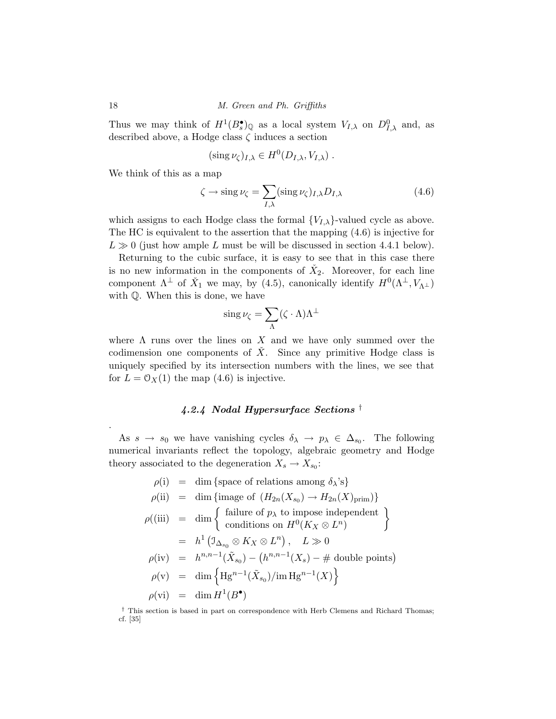Thus we may think of  $H^1(B_s^{\bullet})_{\mathbb{Q}}$  as a local system  $V_{I,\lambda}$  on  $D_{I,\lambda}^0$  and, as described above, a Hodge class *ζ* induces a section

$$
(\operatorname{sing}\nu_{\zeta})_{I,\lambda}\in H^0(D_{I,\lambda},V_{I,\lambda})\ .
$$

We think of this as a map

$$
\zeta \to \operatorname{sing} \nu_{\zeta} = \sum_{I,\lambda} (\operatorname{sing} \nu_{\zeta})_{I,\lambda} D_{I,\lambda} \tag{4.6}
$$

which assigns to each Hodge class the formal  ${V_{I,\lambda}}$ -valued cycle as above. The HC is equivalent to the assertion that the mapping (4.6) is injective for  $L \gg 0$  (just how ample *L* must be will be discussed in section 4.4.1 below).

Returning to the cubic surface, it is easy to see that in this case there is no new information in the components of  $\check{X}_2$ . Moreover, for each line component  $\Lambda^{\perp}$  of  $\check{X}_1$  we may, by (4.5), canonically identify  $H^0(\Lambda^{\perp}, V_{\Lambda^{\perp}})$ with Q. When this is done, we have

$$
\operatorname{sing}\nu_{\zeta}=\sum_{\Lambda}(\zeta\cdot\Lambda)\Lambda^{\perp}
$$

where  $\Lambda$  runs over the lines on  $X$  and we have only summed over the codimension one components of  $\check{X}$ . Since any primitive Hodge class is uniquely specified by its intersection numbers with the lines, we see that for  $L = \mathcal{O}_X(1)$  the map  $(4.6)$  is injective.

# *4.2.4 Nodal Hypersurface Sections* †

As  $s \to s_0$  we have vanishing cycles  $\delta_{\lambda} \to p_{\lambda} \in \Delta_{s_0}$ . The following numerical invariants reflect the topology, algebraic geometry and Hodge theory associated to the degeneration  $X_s \to X_{s_0}$ :

$$
\rho(i) = \dim \{\text{space of relations among } \delta_{\lambda} \text{'s}\}\
$$
  
\n
$$
\rho(ii) = \dim \{\text{image of } (H_{2n}(X_{s_0}) \to H_{2n}(X)_{\text{prim}})\}\
$$
  
\n
$$
\rho((iii) = \dim \left\{\begin{array}{l}\text{failure of } p_{\lambda} \text{ to impose independent} \\ \text{conditions on } H^0(K_X \otimes L^n)\end{array}\right\}
$$
  
\n
$$
= h^1 \left(\mathbb{I}_{\Delta_{s_0}} \otimes K_X \otimes L^n\right), \quad L \gg 0
$$
  
\n
$$
\rho(iv) = h^{n,n-1}(\tilde{X}_{s_0}) - (h^{n,n-1}(X_s) - \# \text{ double points})
$$
  
\n
$$
\rho(v) = \dim \left\{\text{Hg}^{n-1}(\tilde{X}_{s_0})/\text{im }\text{Hg}^{n-1}(X)\right\}
$$
  
\n
$$
\rho(vi) = \dim H^1(B^{\bullet})
$$

† This section is based in part on correspondence with Herb Clemens and Richard Thomas; cf. [35]

.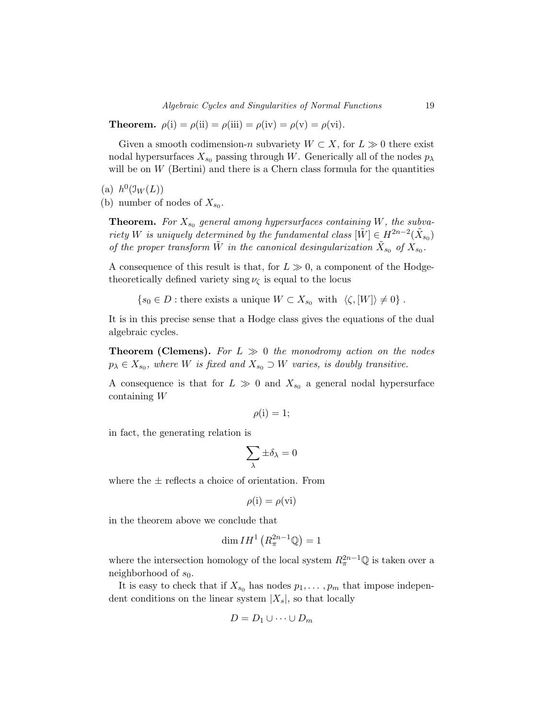**Theorem.**  $\rho(i) = \rho(ii) = \rho(iii) = \rho(iv) = \rho(v) = \rho(vi)$ .

Given a smooth codimension-*n* subvariety  $W \subset X$ , for  $L \gg 0$  there exist nodal hypersurfaces  $X_{s_0}$  passing through *W*. Generically all of the nodes  $p_\lambda$ will be on  $W$  (Bertini) and there is a Chern class formula for the quantities

(a)  $h^0(\mathfrak{I}_W(L))$ 

(b) number of nodes of  $X_{s_0}$ .

**Theorem.** For  $X_{s_0}$  general among hypersurfaces containing *W*, the subvariety *W* is uniquely determined by the fundamental class  $|\tilde{W}| \in H^{2n-2}(\tilde{X}_{s_0})$ of the proper transform  $\tilde{W}$  in the canonical desingularization  $\tilde{X}_{s_0}$  of  $X_{s_0}$ .

A consequence of this result is that, for  $L \gg 0$ , a component of the Hodgetheoretically defined variety sing  $\nu_{\zeta}$  is equal to the locus

 $\{s_0 \in D : \text{there exists a unique } W \subset X_{s_0} \text{ with } \langle \zeta, |W| \rangle \neq 0\}.$ 

It is in this precise sense that a Hodge class gives the equations of the dual algebraic cycles.

**Theorem (Clemens).** For  $L \gg 0$  the monodromy action on the nodes  $p_{\lambda} \in X_{s_0}$ , where *W* is fixed and  $X_{s_0} \supset W$  varies, is doubly transitive.

A consequence is that for  $L \gg 0$  and  $X_{s_0}$  a general nodal hypersurface containing *W*

$$
\rho(i) = 1;
$$

in fact, the generating relation is

$$
\sum_\lambda \pm \delta_\lambda = 0
$$

where the  $\pm$  reflects a choice of orientation. From

$$
\rho(i) = \rho(vi)
$$

in the theorem above we conclude that

$$
\dim IH^1\left(R_{\pi}^{2n-1}\mathbb{Q}\right)=1
$$

where the intersection homology of the local system  $R_{\pi}^{2n-1}\mathbb{Q}$  is taken over a neighborhood of *s*0.

It is easy to check that if  $X_{s_0}$  has nodes  $p_1, \ldots, p_m$  that impose independent conditions on the linear system |*X*s|, so that locally

$$
D = D_1 \cup \cdots \cup D_m
$$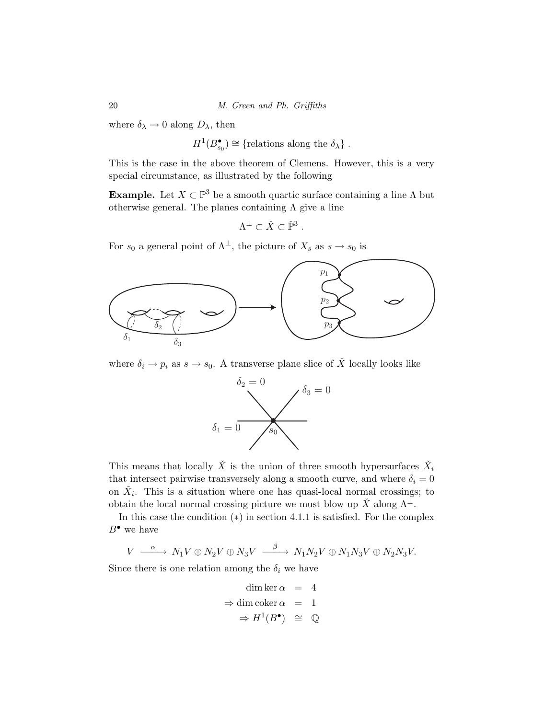where  $\delta_{\lambda} \rightarrow 0$  along  $D_{\lambda}$ , then

$$
H^1(B_{s_0}^{\bullet}) \cong \{ \text{relations along the } \delta_{\lambda} \} .
$$

This is the case in the above theorem of Clemens. However, this is a very special circumstance, as illustrated by the following

**Example.** Let  $X \subset \mathbb{P}^3$  be a smooth quartic surface containing a line  $\Lambda$  but otherwise general. The planes containing  $\Lambda$  give a line

$$
\Lambda^{\perp} \subset \check{X} \subset \check{\mathbb{P}}^3.
$$

For  $s_0$  a general point of  $\Lambda^{\perp}$ , the picture of  $X_s$  as  $s \to s_0$  is



where  $\delta_i \to p_i$  as  $s \to s_0$ . A transverse plane slice of  $\check{X}$  locally looks like



This means that locally  $\check{X}$  is the union of three smooth hypersurfaces  $\check{X}_i$ that intersect pairwise transversely along a smooth curve, and where  $\delta_i = 0$ on  $\check{X}_i$ . This is a situation where one has quasi-local normal crossings; to obtain the local normal crossing picture we must blow up  $\check{X}$  along  $\Lambda^{\perp}$ .

In this case the condition (∗) in section 4.1.1 is satisfied. For the complex *B*• we have

 $V \xrightarrow{\alpha} N_1 V \oplus N_2 V \oplus N_3 V \xrightarrow{\beta} N_1 N_2 V \oplus N_1 N_3 V \oplus N_2 N_3 V.$ 

Since there is one relation among the  $\delta_i$  we have

$$
\dim \ker \alpha = 4
$$
  
\n
$$
\Rightarrow \dim \operatorname{coker} \alpha = 1
$$
  
\n
$$
\Rightarrow H^{1}(B^{\bullet}) \cong \mathbb{Q}
$$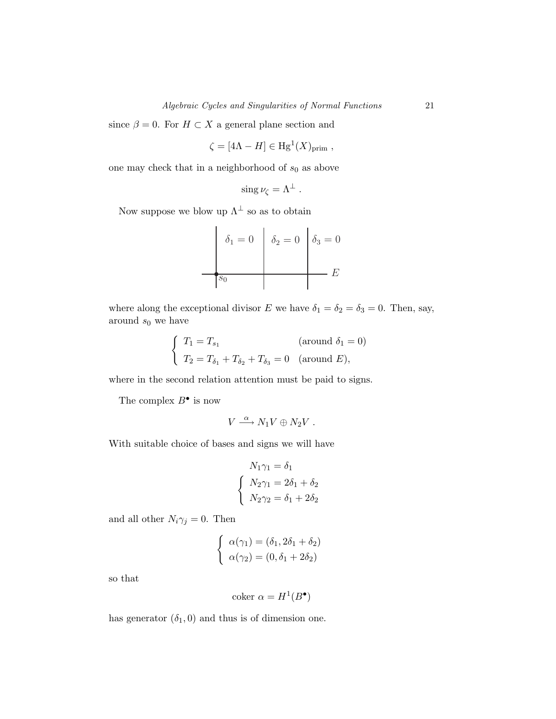since  $\beta = 0$ . For  $H \subset X$  a general plane section and

$$
\zeta = [4\Lambda - H] \in \mathrm{Hg}^1(X)_{\mathrm{prim}} ,
$$

one may check that in a neighborhood of  $s_0$  as above

$$
\operatorname{sing}\nu_{\zeta}=\Lambda^{\perp}.
$$

Now suppose we blow up  $\Lambda^\perp$  so as to obtain



where along the exceptional divisor *E* we have  $\delta_1 = \delta_2 = \delta_3 = 0$ . Then, say, around *s*<sup>0</sup> we have

$$
\begin{cases}\nT_1 = T_{s_1} & (\text{around } \delta_1 = 0) \\
T_2 = T_{\delta_1} + T_{\delta_2} + T_{\delta_3} = 0 & (\text{around } E),\n\end{cases}
$$

where in the second relation attention must be paid to signs.

The complex  $B^{\bullet}$  is now

$$
V \stackrel{\alpha}{\longrightarrow} N_1V \oplus N_2V .
$$

With suitable choice of bases and signs we will have

$$
N_1\gamma_1 = \delta_1
$$
  

$$
\begin{cases} N_2\gamma_1 = 2\delta_1 + \delta_2 \\ N_2\gamma_2 = \delta_1 + 2\delta_2 \end{cases}
$$

and all other  $N_i\gamma_j = 0$ . Then

$$
\begin{cases}\n\alpha(\gamma_1) = (\delta_1, 2\delta_1 + \delta_2) \\
\alpha(\gamma_2) = (0, \delta_1 + 2\delta_2)\n\end{cases}
$$

so that

coker  $\alpha = H^1(B^{\bullet})$ 

has generator  $(\delta_1, 0)$  and thus is of dimension one.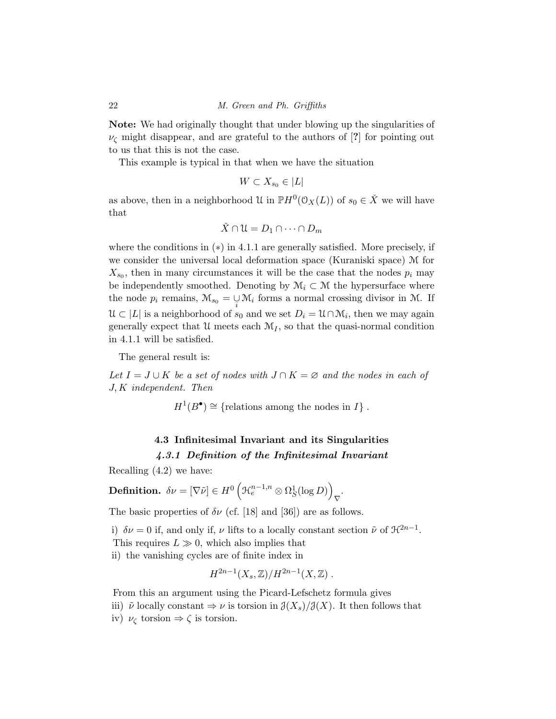**Note:** We had originally thought that under blowing up the singularities of *ν*<sup>ζ</sup> might disappear, and are grateful to the authors of [**?**] for pointing out to us that this is not the case.

This example is typical in that when we have the situation

$$
W \subset X_{s_0} \in |L|
$$

as above, then in a neighborhood U in  $\mathbb{P}H^0(\mathcal{O}_X(L))$  of  $s_0 \in \check{X}$  we will have that

$$
\check{X} \cap \mathcal{U} = D_1 \cap \dots \cap D_m
$$

where the conditions in  $(*)$  in 4.1.1 are generally satisfied. More precisely, if we consider the universal local deformation space (Kuraniski space) M for  $X_{s_0}$ , then in many circumstances it will be the case that the nodes  $p_i$  may be independently smoothed. Denoting by  $\mathcal{M}_i \subset \mathcal{M}$  the hypersurface where the node  $p_i$  remains,  $\mathcal{M}_{s_0} = \bigcup_i \mathcal{M}_i$  forms a normal crossing divisor in M. If  $\mathcal{U} \subset |L|$  is a neighborhood of  $s_0$  and we set  $D_i = \mathcal{U} \cap \mathcal{M}_i$ , then we may again generally expect that  $\mathcal{U}$  meets each  $\mathcal{M}_I$ , so that the quasi-normal condition in 4.1.1 will be satisfied.

The general result is:

*Let*  $I = J \cup K$  *be a set of nodes with*  $J ∩ K = ∅$  *and the nodes in each of J, K* independent. Then

 $H^1(B^{\bullet}) \cong \{$ relations among the nodes in *I* $\}$ .

# **4.3 Infinitesimal Invariant and its Singularities** *4.3.1 Definition of the Infinitesimal Invariant*

Recalling (4.2) we have:

**Definition.** 
$$
\delta \nu = [\nabla \tilde{\nu}] \in H^0 \left( \mathcal{H}_e^{n-1,n} \otimes \Omega_S^1(\log D) \right)_{\nabla}.
$$

The basic properties of  $\delta \nu$  (cf. [18] and [36]) are as follows.

i)  $\delta \nu = 0$  if, and only if,  $\nu$  lifts to a locally constant section  $\tilde{\nu}$  of  $\mathcal{H}^{2n-1}$ .

This requires  $L \gg 0$ , which also implies that

ii) the vanishing cycles are of finite index in

$$
H^{2n-1}(X_s,\mathbb{Z})/H^{2n-1}(X,\mathbb{Z}) .
$$

From this an argument using the Picard-Lefschetz formula gives

iii)  $\tilde{\nu}$  locally constant  $\Rightarrow \nu$  is torsion in  $\mathcal{J}(X_s)/\mathcal{J}(X)$ . It then follows that

iv)  $\nu_{\zeta}$  torsion  $\Rightarrow \zeta$  is torsion.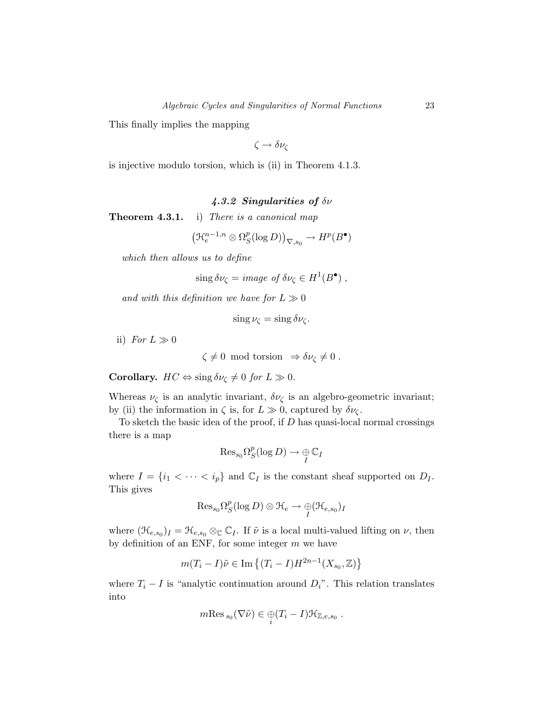This finally implies the mapping

$$
\zeta\to\delta\nu_\zeta
$$

is injective modulo torsion, which is (ii) in Theorem 4.1.3.

### *4.3.2 Singularities of δν*

**Theorem 4.3.1.** i) There is a canonical map

$$
\left(\mathfrak{R}^{n-1,n}_e\otimes\Omega^p_S(\log D)\right)_{\nabla, s_0}\to H^p(B^\bullet)
$$

which then allows us to define

 $\sin g \, \delta \nu_\zeta = \text{image of } \delta \nu_\zeta \in H^1(B^{\bullet}),$ 

and with this definition we have for  $L \gg 0$ 

$$
\sin g \nu_{\zeta} = \sin g \, \delta \nu_{\zeta}.
$$

ii) For  $L \gg 0$ 

$$
\zeta \neq 0 \text{ mod torsion } \Rightarrow \delta \nu_{\zeta} \neq 0.
$$

**Corollary.**  $HC \Leftrightarrow \text{sing } \delta \nu_{\zeta} \neq 0 \text{ for } L \gg 0.$ 

Whereas  $\nu_{\zeta}$  is an analytic invariant,  $\delta \nu_{\zeta}$  is an algebro-geometric invariant; by (ii) the information in  $\zeta$  is, for  $L \gg 0$ , captured by  $\delta \nu_{\zeta}$ .

To sketch the basic idea of the proof, if *D* has quasi-local normal crossings there is a map

$$
\mathrm{Res}_{s_0}\Omega^p_S(\log D)\to \mathop{\oplus}\limits_{I}\mathbb{C}_I
$$

where  $I = \{i_1 < \cdots < i_p\}$  and  $\mathbb{C}_I$  is the constant sheaf supported on  $D_I$ . This gives

$$
\mathrm{Res}_{s_0}\Omega^p_S(\log D) \otimes \mathfrak{H}_e \to \underset{I}{\oplus}(\mathfrak{H}_{e,s_0})_I
$$

where  $(\mathcal{H}_{e,s_0})_I = \mathcal{H}_{e,s_0} \otimes_{\mathbb{C}} \mathbb{C}_I$ . If  $\tilde{\nu}$  is a local multi-valued lifting on  $\nu$ , then by definition of an ENF, for some integer *m* we have

$$
m(T_i - I)\tilde{\nu} \in \text{Im}\left\{ (T_i - I)H^{2n-1}(X_{s_0}, \mathbb{Z})\right\}
$$

where  $T_i - I$  is "analytic continuation around  $D_i$ ". This relation translates into

$$
m\mathrm{Res}_{s_0}(\nabla\tilde{\nu})\in \bigoplus_i (T_i-I)\mathcal{H}_{\mathbb{Z},e,s_0} .
$$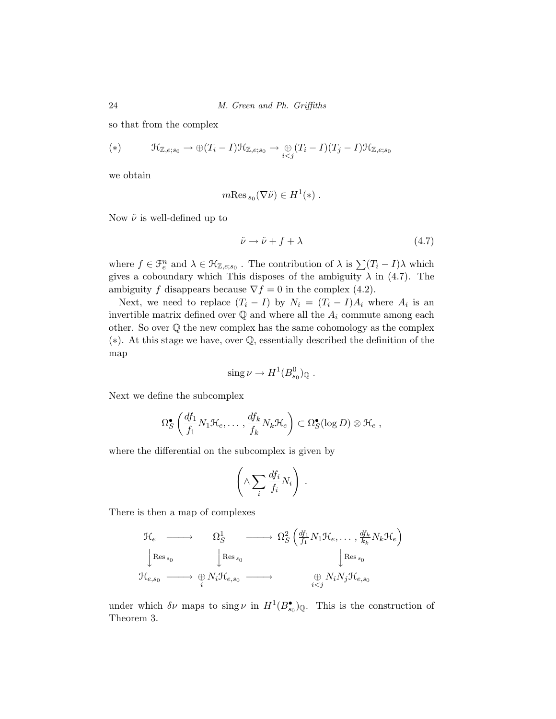so that from the complex

(\*)
$$
(\ast) \qquad \mathfrak{H}_{\mathbb{Z},e;s_0} \to \oplus (T_i - I)\mathfrak{H}_{\mathbb{Z},e;s_0} \to \underset{i < j}{\oplus} (T_i - I)(T_j - I)\mathfrak{H}_{\mathbb{Z},e;s_0}
$$

we obtain

$$
m\text{Res}_{s_0}(\nabla\tilde{\nu})\in H^1(*)\ .
$$

Now ˜*ν* is well-defined up to

$$
\tilde{\nu} \to \tilde{\nu} + f + \lambda \tag{4.7}
$$

where  $f \in \mathcal{F}_e^n$  and  $\lambda \in \mathcal{H}_{\mathbb{Z},e;s_0}$ . The contribution of  $\lambda$  is  $\sum (T_i - I)\lambda$  which gives a coboundary which This disposes of the ambiguity  $\lambda$  in (4.7). The ambiguity *f* disappears because  $\nabla f = 0$  in the complex (4.2).

Next, we need to replace  $(T_i - I)$  by  $N_i = (T_i - I)A_i$  where  $A_i$  is an invertible matrix defined over  $\mathbb Q$  and where all the  $A_i$  commute among each other. So over  $\mathbb Q$  the new complex has the same cohomology as the complex (∗). At this stage we have, over Q, essentially described the definition of the map

$$
\operatorname{sing}\nu \to H^1(B^0_{s_0})_{\mathbb{Q}}.
$$

Next we define the subcomplex

$$
\Omega_S^{\bullet} \left( \frac{df_1}{f_1} N_1 \mathcal{H}_e, \dots, \frac{df_k}{f_k} N_k \mathcal{H}_e \right) \subset \Omega_S^{\bullet} (\log D) \otimes \mathcal{H}_e ,
$$

where the differential on the subcomplex is given by

$$
\left(\wedge \sum_i \frac{df_i}{f_i} N_i\right) .
$$

There is then a map of complexes

$$
\mathcal{H}_e \longrightarrow \Omega_S^1 \longrightarrow \Omega_S^2 \left( \frac{df_1}{f_1} N_1 \mathcal{H}_e, \dots, \frac{df_k}{k_k} N_k \mathcal{H}_e \right)
$$
\n
$$
\downarrow^{\text{Res}}_{s_0} \longrightarrow \bigoplus_i^{\text{Res}}_{s_0} N_i \mathcal{H}_{e,s_0} \longrightarrow \bigoplus_{i < j}^{\text{Res}}_{s_i} N_i N_j \mathcal{H}_{e,s_0}
$$

under which  $\delta \nu$  maps to sing  $\nu$  in  $H^1(B_{s_0}^{\bullet})_{\mathbb{Q}}$ . This is the construction of Theorem 3.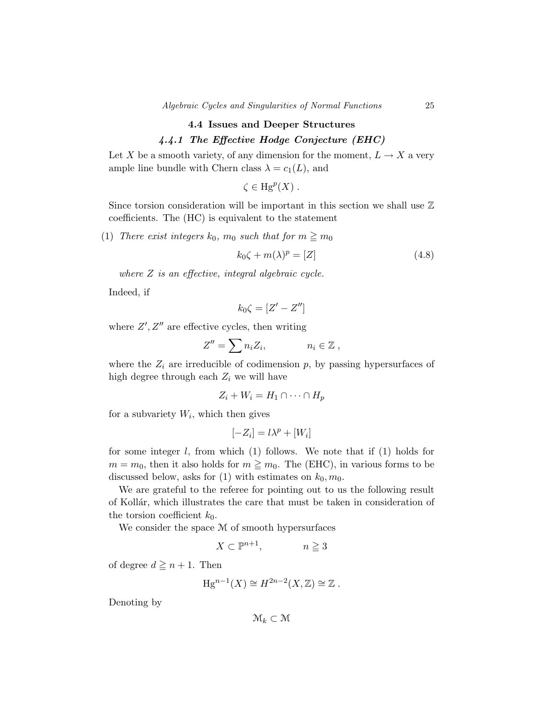# **4.4 Issues and Deeper Structures** *4.4.1 The Effective Hodge Conjecture (EHC)*

Let *X* be a smooth variety, of any dimension for the moment,  $L \to X$  a very ample line bundle with Chern class  $\lambda = c_1(L)$ , and

$$
\zeta \in \mathrm{Hg}^p(X) .
$$

Since torsion consideration will be important in this section we shall use  $\mathbb Z$ coefficients. The (HC) is equivalent to the statement

(1) There exist integers  $k_0$ ,  $m_0$  such that for  $m \ge m_0$ 

$$
k_0 \zeta + m(\lambda)^p = [Z] \tag{4.8}
$$

where *Z* is an effective, integral algebraic cycle.

Indeed, if

$$
k_0\zeta=[Z'-Z'']
$$

where  $Z', Z''$  are effective cycles, then writing

$$
Z'' = \sum n_i Z_i, \qquad n_i \in \mathbb{Z},
$$

where the  $Z_i$  are irreducible of codimension  $p$ , by passing hypersurfaces of high degree through each  $Z_i$  we will have

$$
Z_i + W_i = H_1 \cap \dots \cap H_p
$$

for a subvariety  $W_i$ , which then gives

$$
[-Z_i] = l\lambda^p + [W_i]
$$

for some integer *l*, from which (1) follows. We note that if (1) holds for  $m = m_0$ , then it also holds for  $m \geq m_0$ . The (EHC), in various forms to be discussed below, asks for  $(1)$  with estimates on  $k_0, m_0$ .

We are grateful to the referee for pointing out to us the following result of Kollár, which illustrates the care that must be taken in consideration of the torsion coefficient  $k_0$ .

We consider the space M of smooth hypersurfaces

$$
X \subset \mathbb{P}^{n+1}, \qquad n \ge 3
$$

of degree  $d \geq n + 1$ . Then

$$
\text{Hg}^{n-1}(X) \cong H^{2n-2}(X,\mathbb{Z}) \cong \mathbb{Z} .
$$

Denoting by

 $\mathcal{M}_k \subset \mathcal{M}$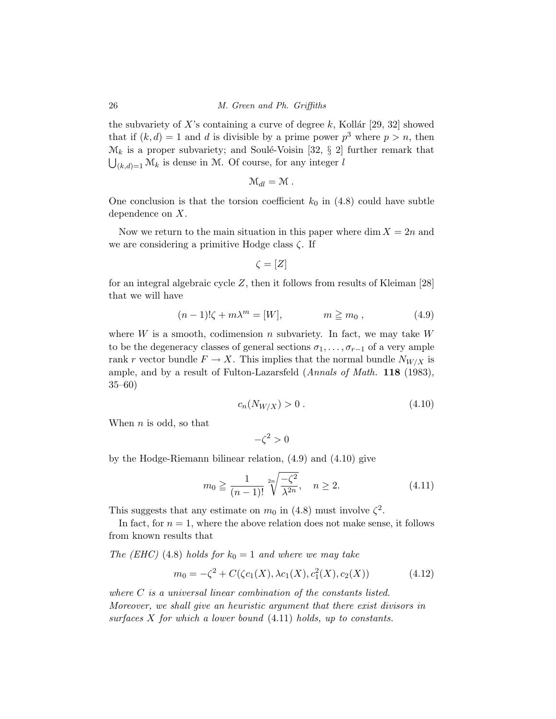the subvariety of  $X$ 's containing a curve of degree  $k$ , Kollár [29, 32] showed that if  $(k, d) = 1$  and *d* is divisible by a prime power  $p<sup>3</sup>$  where  $p > n$ , then  $\mathcal{M}_k$  is a proper subvariety; and Soulé-Voisin [32, § 2] further remark that  $\bigcup_{(k,d)=1} \mathcal{M}_k$  is dense in M. Of course, for any integer *l* 

$$
\mathcal{M}_{dl}=\mathcal{M}.
$$

One conclusion is that the torsion coefficient  $k_0$  in  $(4.8)$  could have subtle dependence on *X*.

Now we return to the main situation in this paper where  $\dim X = 2n$  and we are considering a primitive Hodge class *ζ*. If

$$
\zeta = [Z]
$$

for an integral algebraic cycle *Z*, then it follows from results of Kleiman [28] that we will have

$$
(n-1)!\zeta + m\lambda^m = [W], \qquad m \geqq m_0, \qquad (4.9)
$$

where *W* is a smooth, codimension *n* subvariety. In fact, we may take *W* to be the degeneracy classes of general sections  $\sigma_1, \ldots, \sigma_{r-1}$  of a very ample rank *r* vector bundle  $F \to X$ . This implies that the normal bundle  $N_{W/X}$  is ample, and by a result of Fulton-Lazarsfeld (Annals of Math. **118** (1983), 35–60)

$$
c_n(N_{W/X}) > 0. \tag{4.10}
$$

When *n* is odd, so that

 $-\zeta^2 > 0$ 

by the Hodge-Riemann bilinear relation, (4.9) and (4.10) give

$$
m_0 \ge \frac{1}{(n-1)!} \sqrt[2n]{\frac{-\zeta^2}{\lambda^{2n}}}, \quad n \ge 2.
$$
 (4.11)

This suggests that any estimate on  $m_0$  in (4.8) must involve  $\zeta^2$ .

In fact, for  $n = 1$ , where the above relation does not make sense, it follows from known results that

The (EHC) (4.8) holds for  $k_0 = 1$  and where we may take

$$
m_0 = -\zeta^2 + C(\zeta c_1(X), \lambda c_1(X), c_1^2(X), c_2(X))
$$
\n(4.12)

where *C* is a universal linear combination of the constants listed. Moreover, we shall give an heuristic argument that there exist divisors in surfaces *X* for which a lower bound (4.11) holds, up to constants.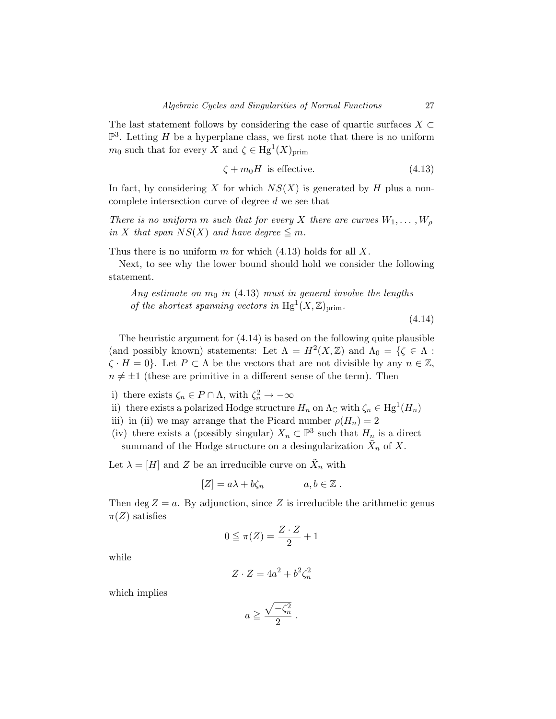The last statement follows by considering the case of quartic surfaces  $X \subset$  $\mathbb{P}^3$ . Letting *H* be a hyperplane class, we first note that there is no uniform *m*<sup>0</sup> such that for every *X* and  $\zeta \in Hg^1(X)_{\text{prim}}$ 

$$
\zeta + m_0 H \text{ is effective.} \tag{4.13}
$$

In fact, by considering *X* for which  $NS(X)$  is generated by *H* plus a noncomplete intersection curve of degree *d* we see that

There is no uniform m such that for every *X* there are curves  $W_1, \ldots, W_p$ in *X* that span  $NS(X)$  and have degree  $\leq m$ .

Thus there is no uniform *m* for which (4.13) holds for all *X*.

Next, to see why the lower bound should hold we consider the following statement.

Any estimate on  $m_0$  in  $(4.13)$  must in general involve the lengths of the shortest spanning vectors in  $Hg<sup>1</sup>(X,\mathbb{Z})_{\text{prim}}$ .

(4.14)

The heuristic argument for (4.14) is based on the following quite plausible (and possibly known) statements: Let  $\Lambda = H^2(X, \mathbb{Z})$  and  $\Lambda_0 = {\{\zeta \in \Lambda : \xi \in \Lambda\}}$  $\zeta$  · *H* = 0}. Let *P*  $\subset \Lambda$  be the vectors that are not divisible by any  $n \in \mathbb{Z}$ ,  $n \neq \pm 1$  (these are primitive in a different sense of the term). Then

i) there exists  $\zeta_n \in P \cap \Lambda$ , with  $\zeta_n^2 \to -\infty$ 

- ii) there exists a polarized Hodge structure  $H_n$  on  $\Lambda_{\mathbb{C}}$  with  $\zeta_n \in H_g^1(H_n)$
- iii) in (ii) we may arrange that the Picard number  $\rho(H_n)=2$

(iv) there exists a (possibly singular)  $X_n \subset \mathbb{P}^3$  such that  $H_n$  is a direct summand of the Hodge structure on a desingularization  $\tilde{X}_n$  of X.

Let  $\lambda = [H]$  and *Z* be an irreducible curve on  $\tilde{X}_n$  with

$$
[Z] = a\lambda + b\zeta_n \qquad a, b \in \mathbb{Z} .
$$

Then deg  $Z = a$ . By adjunction, since Z is irreducible the arithmetic genus  $\pi(Z)$  satisfies

$$
0 \leqq \pi(Z) = \frac{Z \cdot Z}{2} + 1
$$

while

$$
Z \cdot Z = 4a^2 + b^2 \zeta_n^2
$$

which implies

$$
a \geqq \frac{\sqrt{-\zeta_n^2}}{2} \; .
$$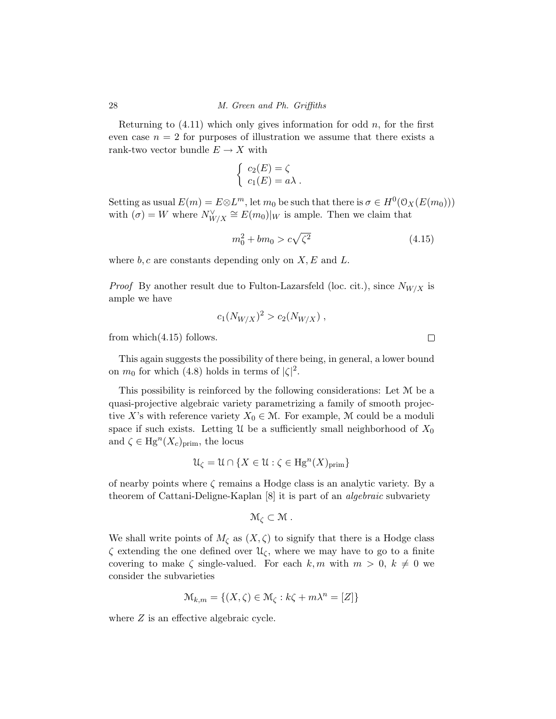Returning to  $(4.11)$  which only gives information for odd  $n$ , for the first even case  $n = 2$  for purposes of illustration we assume that there exists a rank-two vector bundle  $E \to X$  with

$$
\begin{cases}\nc_2(E) = \zeta \\
c_1(E) = a\lambda\n\end{cases}
$$

Setting as usual  $E(m) = E \otimes L^m$ , let  $m_0$  be such that there is  $\sigma \in H^0(\mathcal{O}_X(E(m_0)))$ with  $(\sigma) = W$  where  $N_{W/X}^{\vee} \cong E(m_0)|_W$  is ample. Then we claim that

$$
m_0^2 + bm_0 > c\sqrt{\zeta^2} \tag{4.15}
$$

where *b, c* are constants depending only on *X, E* and *L*.

*Proof* By another result due to Fulton-Lazarsfeld (loc. cit.), since  $N_{W/X}$  is ample we have

$$
c_1(N_{W/X})^2 > c_2(N_{W/X}) ,
$$

from which(4.15) follows.

This again suggests the possibility of there being, in general, a lower bound on  $m_0$  for which (4.8) holds in terms of  $|\zeta|^2$ .

This possibility is reinforced by the following considerations: Let M be a quasi-projective algebraic variety parametrizing a family of smooth projective *X*'s with reference variety  $X_0 \in \mathcal{M}$ . For example, M could be a moduli space if such exists. Letting  $\mathcal U$  be a sufficiently small neighborhood of  $X_0$ and  $\zeta \in Hg^{n}(X_c)_{\text{prim}}$ , the locus

$$
\mathcal{U}_{\zeta} = \mathcal{U} \cap \{ X \in \mathcal{U} : \zeta \in \text{Hg}^n(X)_{\text{prim}} \}
$$

of nearby points where *ζ* remains a Hodge class is an analytic variety. By a theorem of Cattani-Deligne-Kaplan [8] it is part of an *algebraic* subvariety

$$
\mathcal{M}_{\zeta}\subset \mathcal{M}.
$$

We shall write points of  $M_{\zeta}$  as  $(X,\zeta)$  to signify that there is a Hodge class  $\zeta$  extending the one defined over  $\mathcal{U}_{\zeta}$ , where we may have to go to a finite covering to make  $\zeta$  single-valued. For each  $k, m$  with  $m > 0, k \neq 0$  we consider the subvarieties

$$
\mathcal{M}_{k,m} = \{(X,\zeta) \in \mathcal{M}_{\zeta} : k\zeta + m\lambda^n = [Z]\}
$$

where  $Z$  is an effective algebraic cycle.

 $\Box$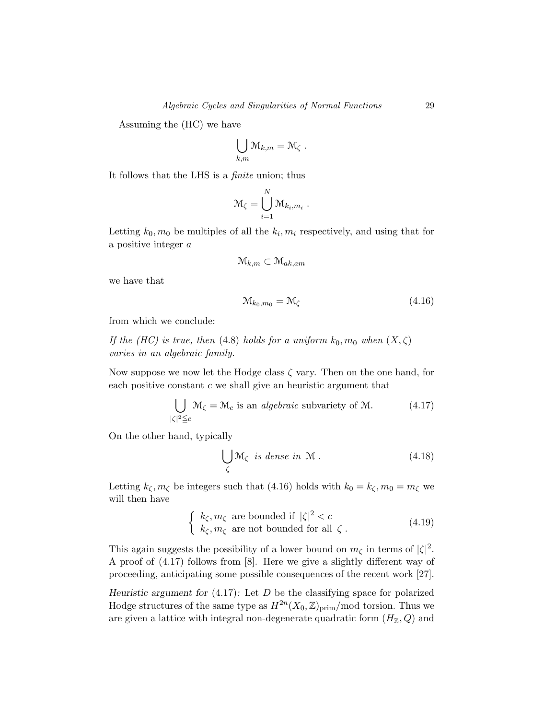Assuming the (HC) we have

$$
\bigcup_{k,m} \mathcal{M}_{k,m} = \mathcal{M}_{\zeta} .
$$

It follows that the LHS is a finite union; thus

$$
\mathcal{M}_{\zeta} = \bigcup_{i=1}^N \mathcal{M}_{k_i, m_i} \ .
$$

Letting  $k_0, m_0$  be multiples of all the  $k_i, m_i$  respectively, and using that for a positive integer *a*

$$
\mathcal{M}_{k,m} \subset \mathcal{M}_{ak,am}
$$

we have that

$$
\mathcal{M}_{k_0, m_0} = \mathcal{M}_\zeta \tag{4.16}
$$

from which we conclude:

If the (HC) is true, then (4.8) holds for a uniform  $k_0, m_0$  when  $(X, \zeta)$ varies in an algebraic family.

Now suppose we now let the Hodge class *ζ* vary. Then on the one hand, for each positive constant *c* we shall give an heuristic argument that

$$
\bigcup_{|\zeta|^2 \le c} \mathcal{M}_{\zeta} = \mathcal{M}_c \text{ is an algebraic subvariety of } \mathcal{M}. \tag{4.17}
$$

On the other hand, typically

$$
\bigcup_{\zeta} \mathcal{M}_{\zeta} \ \text{is dense in } \mathcal{M} \,. \tag{4.18}
$$

Letting  $k_{\zeta}, m_{\zeta}$  be integers such that (4.16) holds with  $k_0 = k_{\zeta}, m_0 = m_{\zeta}$  we will then have

$$
\begin{cases}\nk_{\zeta}, m_{\zeta} \text{ are bounded if } |\zeta|^2 < c \\
k_{\zeta}, m_{\zeta} \text{ are not bounded for all } \zeta\n\end{cases} \tag{4.19}
$$

This again suggests the possibility of a lower bound on  $m_{\zeta}$  in terms of  $|\zeta|^2$ . A proof of (4.17) follows from [8]. Here we give a slightly different way of proceeding, anticipating some possible consequences of the recent work [27].

*Heuristic argument for* (4.17)*:* Let *D* be the classifying space for polarized Hodge structures of the same type as  $H^{2n}(X_0, \mathbb{Z})_{\text{prim}}/ \text{mod}$  torsion. Thus we are given a lattice with integral non-degenerate quadratic form  $(H_Z, Q)$  and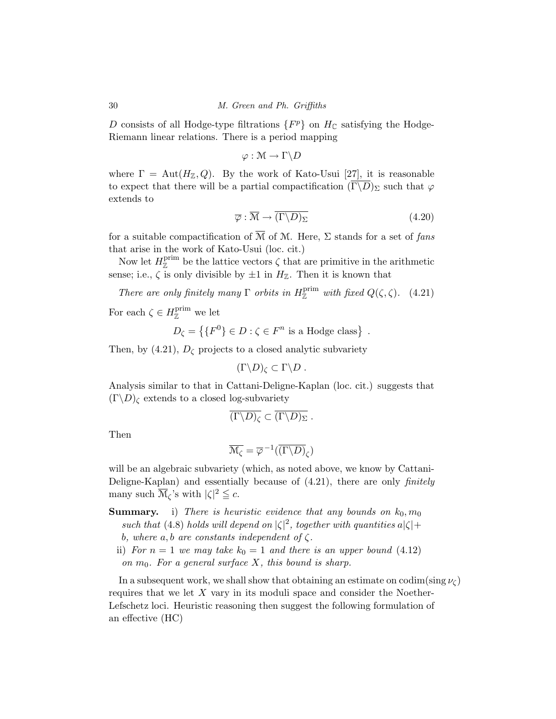*D* consists of all Hodge-type filtrations  $\{F^p\}$  on  $H_{\mathbb{C}}$  satisfying the Hodge-Riemann linear relations. There is a period mapping

$$
\varphi: \mathcal{M} \to \Gamma \backslash D
$$

where  $\Gamma = \text{Aut}(H_{\mathbb{Z}}, Q)$ . By the work of Kato-Usui [27], it is reasonable to expect that there will be a partial compactification  $(\overline{\Gamma \backslash D})_{\Sigma}$  such that  $\varphi$ extends to

$$
\overline{\varphi} : \overline{\mathcal{M}} \to \overline{(\Gamma \backslash D)_{\Sigma}} \tag{4.20}
$$

for a suitable compactification of  $\overline{\mathcal{M}}$  of M. Here,  $\Sigma$  stands for a set of fans that arise in the work of Kato-Usui (loc. cit.)

Now let  $H_{\mathbb{Z}}^{\text{prim}}$  be the lattice vectors  $\zeta$  that are primitive in the arithmetic sense; i.e.,  $\zeta$  is only divisible by  $\pm 1$  in  $H_{\mathbb{Z}}$ . Then it is known that

There are only finitely many  $\Gamma$  orbits in  $H_{\mathbb{Z}}^{\text{prim}}$  with fixed  $Q(\zeta,\zeta)$ . (4.21)

For each  $\zeta \in H_{\mathbb{Z}}^{\text{prim}}$  we let

$$
D_{\zeta} = \{ \{ F^0 \} \in D : \zeta \in F^n \text{ is a Hodge class} \} .
$$

Then, by  $(4.21)$ ,  $D_{\zeta}$  projects to a closed analytic subvariety

$$
(\Gamma \backslash D)_{\zeta} \subset \Gamma \backslash D .
$$

Analysis similar to that in Cattani-Deligne-Kaplan (loc. cit.) suggests that  $(\Gamma \backslash D)$ <sub>*c*</sub> extends to a closed log-subvariety

$$
\overline{(\Gamma \backslash D)_{\zeta}} \subset \overline{(\Gamma \backslash D)_{\Sigma}} \ .
$$

Then

$$
\overline{\mathcal{M}_{\zeta}}=\overline{\varphi}^{-1}(\overline{(\Gamma\backslash D)}_{\zeta})
$$

will be an algebraic subvariety (which, as noted above, we know by Cattani-Deligne-Kaplan) and essentially because of  $(4.21)$ , there are only *finitely* many such  $\overline{\mathcal{M}}_{\zeta}$ 's with  $|\zeta|^2 \leq c$ .

- **Summary.** i) There is heuristic evidence that any bounds on  $k_0, m_0$ such that (4.8) holds will depend on  $|\zeta|^2$ , together with quantities  $a|\zeta|$ + *b*, where  $a, b$  are constants independent of  $\zeta$ .
	- ii) For  $n = 1$  we may take  $k_0 = 1$  and there is an upper bound (4.12) on  $m_0$ . For a general surface  $X$ , this bound is sharp.

In a subsequent work, we shall show that obtaining an estimate on codim(sing  $\nu_{\zeta}$ ) requires that we let *X* vary in its moduli space and consider the Noether-Lefschetz loci. Heuristic reasoning then suggest the following formulation of an effective (HC)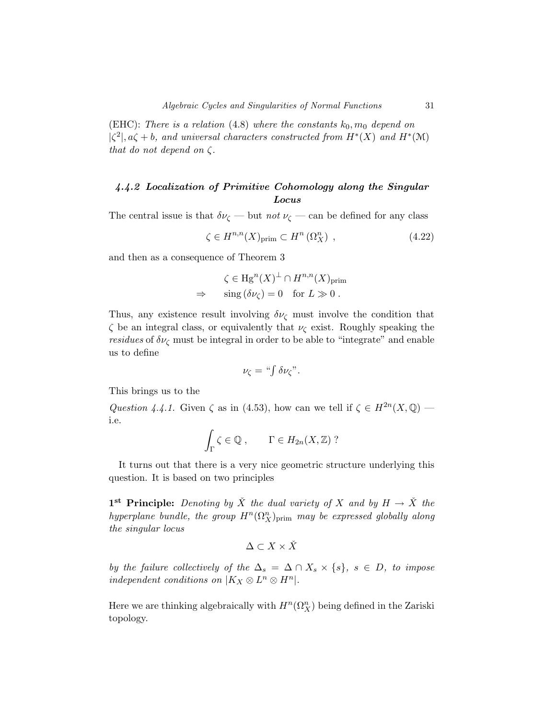(EHC): There is a relation (4.8) where the constants  $k_0, m_0$  depend on  $|\zeta^2|, a\zeta + b$ , and universal characters constructed from  $H^*(X)$  and  $H^*(\mathcal{M})$ that do not depend on *ζ*.

# *4.4.2 Localization of Primitive Cohomology along the Singular Locus*

The central issue is that  $\delta \nu_{\zeta}$  — but *not*  $\nu_{\zeta}$  — can be defined for any class

$$
\zeta \in H^{n,n}(X)_{\text{prim}} \subset H^n\left(\Omega_X^n\right) ,\tag{4.22}
$$

and then as a consequence of Theorem 3

$$
\zeta \in \mathrm{Hg}^n(X)^{\perp} \cap H^{n,n}(X)_{\mathrm{prim}}
$$
  
\n
$$
\Rightarrow \quad \mathrm{sing} \, (\delta \nu_{\zeta}) = 0 \quad \text{for } L \gg 0 \, .
$$

Thus, any existence result involving  $\delta \nu_{\zeta}$  must involve the condition that *ζ* be an integral class, or equivalently that *ν*<sup>ζ</sup> exist. Roughly speaking the *residues* of  $\delta \nu_c$  must be integral in order to be able to "integrate" and enable us to define

$$
\nu_{\zeta} = \text{``}\int \delta \nu_{\zeta} \text{''}.
$$

This brings us to the

Question 4.4.1. Given  $\zeta$  as in (4.53), how can we tell if  $\zeta \in H^{2n}(X, \mathbb{Q})$  i.e.

$$
\int_{\Gamma} \zeta \in \mathbb{Q} , \qquad \Gamma \in H_{2n}(X, \mathbb{Z}) ?
$$

It turns out that there is a very nice geometric structure underlying this question. It is based on two principles

**1**<sup>st</sup> **Principle:** Denoting by  $\check{X}$  the dual variety of  $X$  and by  $H \to \check{X}$  the  $hyperplane$  bundle, the group  $H^n(\Omega^n_X)_{\rm prim}$  may be expressed globally along the singular locus

$$
\Delta\subset X\times\check X
$$

by the failure collectively of the  $\Delta_s = \Delta \cap X_s \times \{s\}$ ,  $s \in D$ , to impose independent conditions on  $|K_X \otimes L^n \otimes H^n|$ .

Here we are thinking algebraically with  $H^n(\Omega_X^n)$  being defined in the Zariski topology.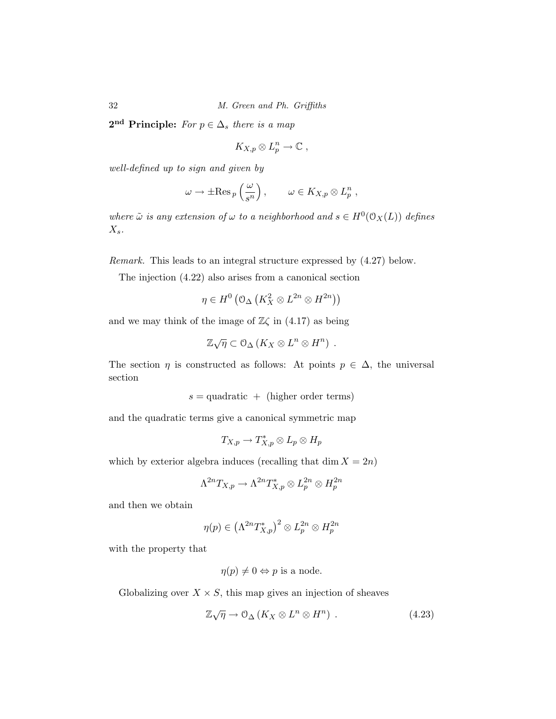2<sup>nd</sup> **Principle:** For  $p \in \Delta_s$  there is a map

$$
K_{X,p}\otimes L_p^n\to\mathbb{C}\;,
$$

well-defined up to sign and given by

$$
\omega \to \pm \operatorname{Res}_{p}\left(\frac{\omega}{s^{n}}\right), \qquad \omega \in K_{X,p} \otimes L_{p}^{n} ,
$$

where  $\tilde{\omega}$  is any extension of  $\omega$  to a neighborhood and  $s \in H^0(\mathcal{O}_X(L))$  defines *X*s.

Remark. This leads to an integral structure expressed by (4.27) below.

The injection (4.22) also arises from a canonical section

$$
\eta \in H^0\left(\mathfrak{O}_{\Delta}\left(K_X^2 \otimes L^{2n} \otimes H^{2n}\right)\right)
$$

and we may think of the image of  $\mathbb{Z}\zeta$  in (4.17) as being

$$
\mathbb{Z}\sqrt{\eta} \subset \mathcal{O}_{\Delta}\left(K_X \otimes L^n \otimes H^n\right) .
$$

The section  $\eta$  is constructed as follows: At points  $p \in \Delta$ , the universal section

 $s =$ quadratic + (higher order terms)

and the quadratic terms give a canonical symmetric map

$$
T_{X,p}\to T^*_{X,p}\otimes L_p\otimes H_p
$$

which by exterior algebra induces (recalling that  $\dim X = 2n$ )

$$
\Lambda^{2n}T_{X,p}\to \Lambda^{2n}T^*_{X,p}\otimes L^{2n}_p\otimes H^{2n}_p
$$

and then we obtain

$$
\eta(p) \in \left(\Lambda^{2n}T^*_{X,p}\right)^2 \otimes L_p^{2n} \otimes H_p^{2n}
$$

with the property that

$$
\eta(p) \neq 0 \Leftrightarrow p
$$
 is a node.

Globalizing over  $X \times S$ , this map gives an injection of sheaves

$$
\mathbb{Z}\sqrt{\eta} \to \mathcal{O}_{\Delta}\left(K_X \otimes L^n \otimes H^n\right) . \tag{4.23}
$$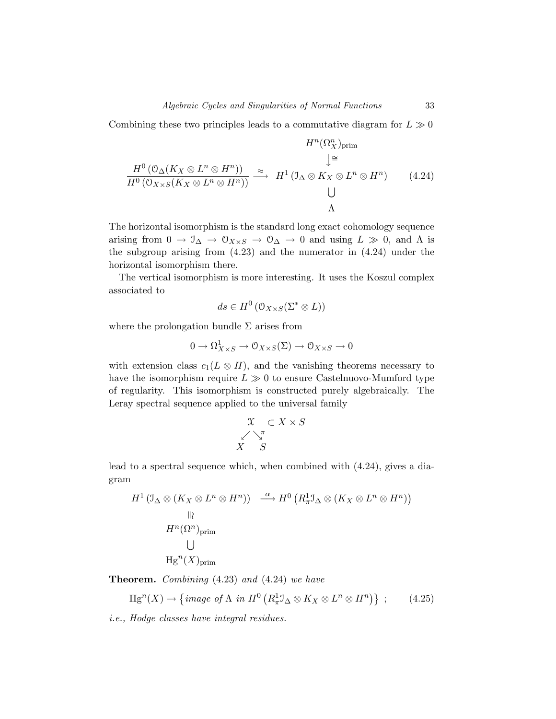Combining these two principles leads to a commutative diagram for  $L \gg 0$ 

$$
H^{n}(\Omega_{X}^{n})_{\text{prim}}
$$
\n
$$
\downarrow \cong
$$
\n
$$
\frac{H^{0}(\mathcal{O}_{\Delta}(K_{X} \otimes L^{n} \otimes H^{n}))}{H^{0}(\mathcal{O}_{X \times S}(K_{X} \otimes L^{n} \otimes H^{n}))} \xrightarrow{\approx} H^{1}(\mathcal{I}_{\Delta} \otimes K_{X} \otimes L^{n} \otimes H^{n})
$$
\n
$$
\downarrow
$$
\n
$$
\downarrow
$$
\n
$$
\Lambda
$$
\n(4.24)

The horizontal isomorphism is the standard long exact cohomology sequence arising from  $0 \to \mathcal{I}_{\Delta} \to \mathcal{O}_{X \times S} \to \mathcal{O}_{\Delta} \to 0$  and using  $L \gg 0$ , and  $\Lambda$  is the subgroup arising from (4.23) and the numerator in (4.24) under the horizontal isomorphism there.

The vertical isomorphism is more interesting. It uses the Koszul complex associated to

$$
ds \in H^0\left(\mathcal{O}_{X \times S}(\Sigma^* \otimes L)\right)
$$

where the prolongation bundle  $\Sigma$  arises from

$$
0 \to \Omega^1_{X \times S} \to \mathcal{O}_{X \times S}(\Sigma) \to \mathcal{O}_{X \times S} \to 0
$$

with extension class  $c_1(L \otimes H)$ , and the vanishing theorems necessary to have the isomorphism require  $L \gg 0$  to ensure Castelnuovo-Mumford type of regularity. This isomorphism is constructed purely algebraically. The Leray spectral sequence applied to the universal family

$$
\begin{array}{c}\n\mathfrak{X} & \subset X \times S \\
\hline\n\swarrow \searrow^{\pi} \\
X & S\n\end{array}
$$

lead to a spectral sequence which, when combined with (4.24), gives a diagram

$$
H^{1} (\mathcal{I}_{\Delta} \otimes (K_{X} \otimes L^{n} \otimes H^{n})) \xrightarrow{\alpha} H^{0} (R_{\pi}^{1} \mathcal{I}_{\Delta} \otimes (K_{X} \otimes L^{n} \otimes H^{n}))
$$
  
\n
$$
H^{n} (\Omega^{n})_{\text{prim}}
$$
  
\n
$$
H g^{n} (X)_{\text{prim}}
$$

**Theorem.** Combining (4.23) and (4.24) we have

$$
\text{Hg}^n(X) \to \left\{ \text{image of } \Lambda \text{ in } H^0\left( R^1_\pi \mathcal{I}_\Delta \otimes K_X \otimes L^n \otimes H^n \right) \right\} ;\qquad(4.25)
$$

i.e., Hodge classes have integral residues.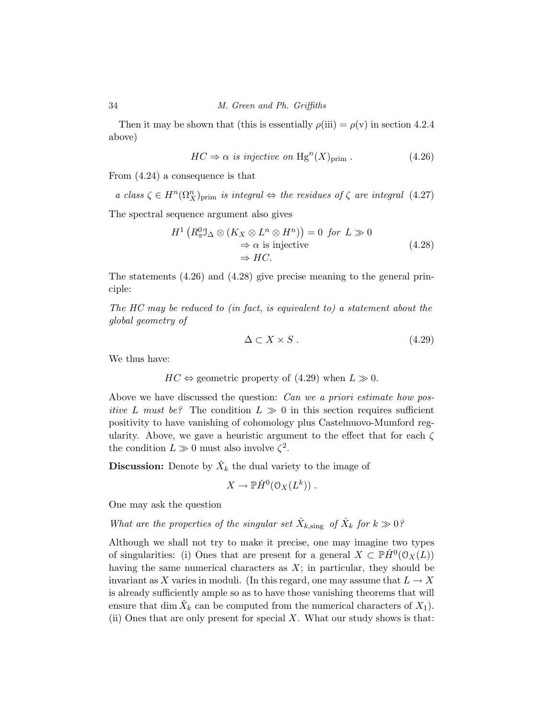Then it may be shown that (this is essentially  $\rho(iii) = \rho(v)$  in section 4.2.4 above)

$$
HC \Rightarrow \alpha \text{ is injective on } \text{Hg}^n(X)_{\text{prim}}.
$$
 (4.26)

From (4.24) a consequence is that

a class  $\zeta \in H^n(\Omega^n_X)_{\text{prim}}$  is integral  $\Leftrightarrow$  the residues of  $\zeta$  are integral (4.27)

The spectral sequence argument also gives

$$
H^{1}\left(R_{\pi}^{0} \mathfrak{I}_{\Delta} \otimes (K_{X} \otimes L^{n} \otimes H^{n})\right) = 0 \text{ for } L \gg 0
$$
  
\n
$$
\Rightarrow \alpha \text{ is injective}
$$
  
\n
$$
\Rightarrow HC.
$$
\n(4.28)

The statements (4.26) and (4.28) give precise meaning to the general principle:

The HC may be reduced to (in fact, is equivalent to) a statement about the global geometry of

$$
\Delta \subset X \times S \tag{4.29}
$$

We thus have:

 $HC \Leftrightarrow$  geometric property of (4.29) when  $L \gg 0$ .

Above we have discussed the question: *Can we a priori estimate how positive L must be?* The condition  $L \gg 0$  in this section requires sufficient positivity to have vanishing of cohomology plus Castelnuovo-Mumford regularity. Above, we gave a heuristic argument to the effect that for each *ζ* the condition  $L \gg 0$  must also involve  $\zeta^2$ .

**Discussion:** Denote by  $\check{X}_k$  the dual variety to the image of

$$
X \to \mathbb{P} H^0(\mathcal{O}_X(L^k)) .
$$

One may ask the question

What are the properties of the singular set  $\check{X}_{k,\text{sing}}$  of  $\check{X}_k$  for  $k \gg 0$ ?

Although we shall not try to make it precise, one may imagine two types of singularities: (i) Ones that are present for a general  $X \subset \mathbb{P} H^0(\mathcal{O}_X(L))$ having the same numerical characters as *X*; in particular, they should be invariant as X varies in moduli. (In this regard, one may assume that  $L \to X$ is already sufficiently ample so as to have those vanishing theorems that will ensure that dim  $X_k$  can be computed from the numerical characters of  $X_1$ ). (ii) Ones that are only present for special *X*. What our study shows is that: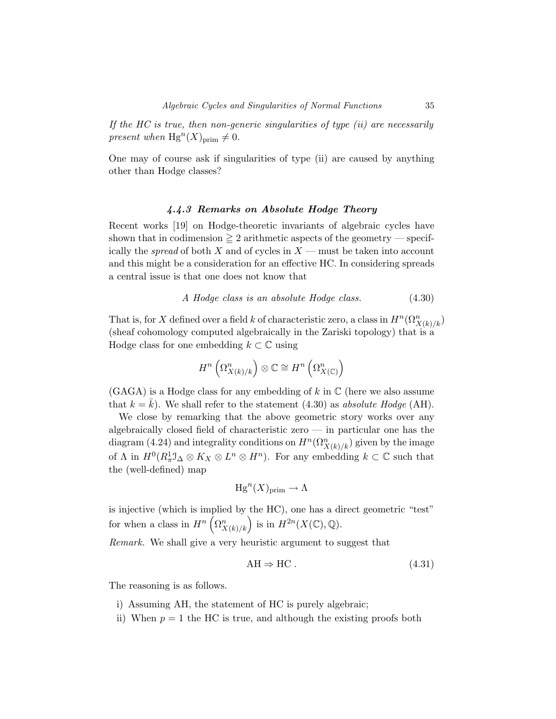If the HC is true, then non-generic singularities of type  $(ii)$  are necessarily present when  $Hg^{n}(X)_{\text{prim}} \neq 0$ .

One may of course ask if singularities of type (ii) are caused by anything other than Hodge classes?

### *4.4.3 Remarks on Absolute Hodge Theory*

Recent works [19] on Hodge-theoretic invariants of algebraic cycles have shown that in codimension  $\geq 2$  arithmetic aspects of the geometry — specifically the spread of both *X* and of cycles in *X* — must be taken into account and this might be a consideration for an effective HC. In considering spreads a central issue is that one does not know that

$$
A Hodge class is an absolute Hodge class.
$$
 (4.30)

That is, for *X* defined over a field *k* of characteristic zero, a class in  $H^n(\Omega^n_{X(k)/k})$ (sheaf cohomology computed algebraically in the Zariski topology) that is a Hodge class for one embedding  $k \subset \mathbb{C}$  using

$$
H^n\left(\Omega^n_{X(k)/k}\right)\otimes\mathbb{C}\cong H^n\left(\Omega^n_{X(\mathbb{C})}\right)
$$

(GAGA) is a Hodge class for any embedding of *k* in C (here we also assume that  $k = \bar{k}$ ). We shall refer to the statement (4.30) as absolute Hodge (AH).

We close by remarking that the above geometric story works over any algebraically closed field of characteristic zero — in particular one has the diagram (4.24) and integrality conditions on  $H^n(\Omega^n_{X(k)/k})$  given by the image of  $\Lambda$  in  $H^0(R^1_\pi \mathcal{I}_\Delta \otimes K_X \otimes L^n \otimes H^n)$ . For any embedding  $k \subset \mathbb{C}$  such that the (well-defined) map

$$
\mathrm{Hg}^n(X)_{\mathrm{prim}} \to \Lambda
$$

is injective (which is implied by the HC), one has a direct geometric "test" for when a class in  $H^n\left(\Omega^n_{X(k)/k}\right)$  is in  $H^{2n}(X(\mathbb{C}), \mathbb{Q})$ .

Remark. We shall give a very heuristic argument to suggest that

$$
AH \Rightarrow HC. \tag{4.31}
$$

The reasoning is as follows.

- i) Assuming AH, the statement of HC is purely algebraic;
- ii) When  $p = 1$  the HC is true, and although the existing proofs both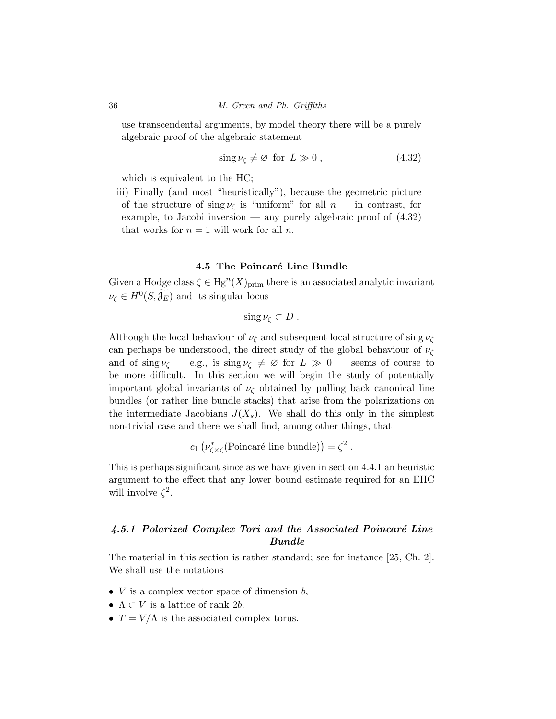use transcendental arguments, by model theory there will be a purely algebraic proof of the algebraic statement

$$
\sin \nu \zeta \neq \varnothing \text{ for } L \gg 0 , \qquad (4.32)
$$

which is equivalent to the HC;

iii) Finally (and most "heuristically"), because the geometric picture of the structure of  $\sin g \nu_{\zeta}$  is "uniform" for all  $n -$  in contrast, for example, to Jacobi inversion — any purely algebraic proof of  $(4.32)$ that works for  $n = 1$  will work for all *n*.

### **4.5 The Poincaré Line Bundle**

Given a Hodge class  $\zeta \in \text{Hg}^n(X)_{\text{prim}}$  there is an associated analytic invariant  $\nu_{\zeta} \in H^0(S, \mathcal{J}_E)$  and its singular locus

$$
\operatorname{sing}\nu_{\zeta}\subset D.
$$

Although the local behaviour of  $\nu_{\zeta}$  and subsequent local structure of sing  $\nu_{\zeta}$ can perhaps be understood, the direct study of the global behaviour of *ν*<sup>ζ</sup> and of sing  $\nu_{\zeta}$  — e.g., is sing  $\nu_{\zeta} \neq \emptyset$  for  $L \gg 0$  — seems of course to be more difficult. In this section we will begin the study of potentially important global invariants of  $\nu_{\zeta}$  obtained by pulling back canonical line bundles (or rather line bundle stacks) that arise from the polarizations on the intermediate Jacobians  $J(X_s)$ . We shall do this only in the simplest non-trivial case and there we shall find, among other things, that

 $c_1 \left( \nu_{\zeta \times \zeta}^*$ (Poincaré line bundle)) =  $\zeta^2$ .

This is perhaps significant since as we have given in section 4.4.1 an heuristic argument to the effect that any lower bound estimate required for an EHC will involve  $\zeta^2$ .

### *4.5.1 Polarized Complex Tori and the Associated Poincar´e Line Bundle*

The material in this section is rather standard; see for instance [25, Ch. 2]. We shall use the notations

- *V* is a complex vector space of dimension *b*,
- $\Lambda \subset V$  is a lattice of rank 2*b*.
- $T = V/\Lambda$  is the associated complex torus.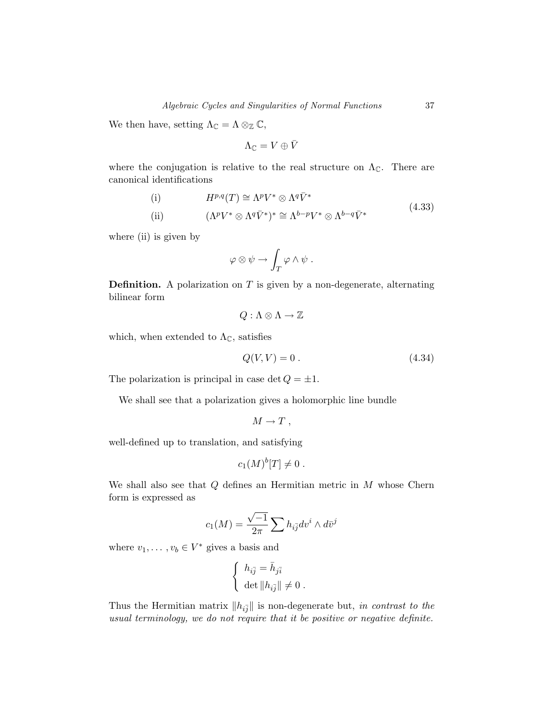We then have, setting  $\Lambda_{\mathbb{C}} = \Lambda \otimes_{\mathbb{Z}} \mathbb{C}$ ,

$$
\Lambda_{\mathbb{C}}=V\oplus\bar{V}
$$

where the conjugation is relative to the real structure on  $\Lambda_{\mathbb{C}}$ . There are canonical identifications

(i) 
$$
H^{p,q}(T) \cong \Lambda^p V^* \otimes \Lambda^q \bar{V}^*
$$
  
\n(ii)  $(\Lambda^p V^* \otimes \Lambda^q \bar{V}^*)^* \cong \Lambda^{b-p} V^* \otimes \Lambda^{b-q} \bar{V}^*$  (4.33)

where (ii) is given by

$$
\varphi \otimes \psi \to \int_T \varphi \wedge \psi .
$$

**Definition.** A polarization on *T* is given by a non-degenerate, alternating bilinear form

$$
Q:\Lambda\otimes\Lambda\to\mathbb{Z}
$$

which, when extended to  $\Lambda_{\mathbb{C}}$ , satisfies

$$
Q(V,V) = 0.
$$
\n
$$
(4.34)
$$

The polarization is principal in case  $\det Q = \pm 1$ .

We shall see that a polarization gives a holomorphic line bundle

$$
M \to T \ ,
$$

well-defined up to translation, and satisfying

$$
c_1(M)^b[T] \neq 0.
$$

We shall also see that *Q* defines an Hermitian metric in *M* whose Chern form is expressed as

$$
c_1(M) = \frac{\sqrt{-1}}{2\pi} \sum h_{i\bar{j}} dv^i \wedge d\bar{v}^j
$$

where  $v_1, \ldots, v_b \in V^*$  gives a basis and

$$
\left\{ \begin{array}{l} h_{i\bar{j}}=\bar{h}_{j\bar{i}} \\ \det \|h_{i\bar{j}}\|\neq 0 \ . \end{array} \right.
$$

Thus the Hermitian matrix  $||h_{i\bar{j}}||$  is non-degenerate but, in contrast to the usual terminology, we do not require that it be positive or negative definite.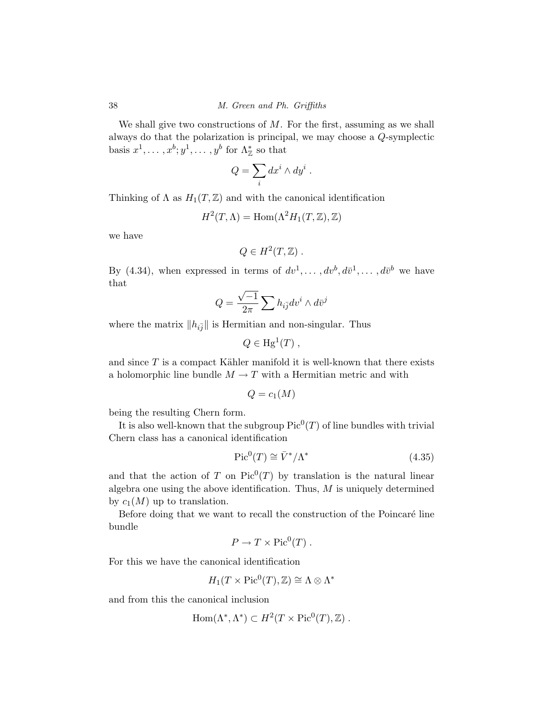We shall give two constructions of *M*. For the first, assuming as we shall always do that the polarization is principal, we may choose a *Q*-symplectic basis  $x^1, \ldots, x^b; y^1, \ldots, y^b$  for  $\Lambda^*_{\mathbb{Z}}$  so that

$$
Q = \sum_i dx^i \wedge dy^i .
$$

Thinking of  $\Lambda$  as  $H_1(T,\mathbb{Z})$  and with the canonical identification

$$
H^2(T, \Lambda) = \text{Hom}(\Lambda^2 H_1(T, \mathbb{Z}), \mathbb{Z})
$$

we have

$$
Q \in H^2(T, \mathbb{Z}) .
$$

By (4.34), when expressed in terms of  $dv^1, \ldots, dv^b, d\bar{v}^1, \ldots, d\bar{v}^b$  we have that

$$
Q = \frac{\sqrt{-1}}{2\pi} \sum h_{i\bar{j}} dv^i \wedge d\bar{v}^j
$$

where the matrix  $||h_{i\bar{j}}||$  is Hermitian and non-singular. Thus

$$
Q \in \mathrm{Hg}^1(T) ,
$$

and since  $T$  is a compact Kähler manifold it is well-known that there exists a holomorphic line bundle  $M \to T$  with a Hermitian metric and with

$$
Q=c_1(M)
$$

being the resulting Chern form.

It is also well-known that the subgroup  $Pic^{0}(T)$  of line bundles with trivial Chern class has a canonical identification

$$
\text{Pic}^0(T) \cong \bar{V}^*/\Lambda^* \tag{4.35}
$$

and that the action of *T* on  $Pic^0(T)$  by translation is the natural linear algebra one using the above identification. Thus, *M* is uniquely determined by  $c_1(M)$  up to translation.

Before doing that we want to recall the construction of the Poincaré line bundle

$$
P \to T \times Pic^0(T) .
$$

For this we have the canonical identification

$$
H_1(T \times \mathrm{Pic}^0(T), \mathbb{Z}) \cong \Lambda \otimes \Lambda^*
$$

and from this the canonical inclusion

$$
Hom(\Lambda^*, \Lambda^*) \subset H^2(T \times Pic^0(T), \mathbb{Z}) .
$$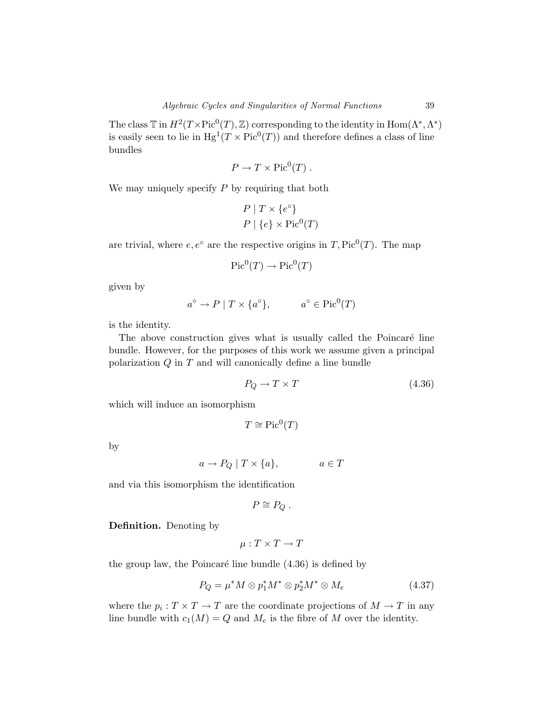The class  $\mathbb T$  in  $H^2(T \times \mathrm{Pic}^0(T), \mathbb Z)$  corresponding to the identity in  $\mathrm{Hom}(\Lambda^*, \Lambda^*)$ is easily seen to lie in  $Hg^{1}(T \times Pic^{0}(T))$  and therefore defines a class of line bundles

$$
P \to T \times Pic^0(T) .
$$

We may uniquely specify *P* by requiring that both

$$
P | T \times \{e^{\circ}\}\
$$
  

$$
P | \{e\} \times Pic^{0}(T)
$$

are trivial, where  $e, e^{\circ}$  are the respective origins in *T*, Pic<sup>0</sup>(*T*). The map

$$
\operatorname{Pic}^0(T) \to \operatorname{Pic}^0(T)
$$

given by

$$
a^{\circ} \to P \mid T \times \{a^{\circ}\}, \qquad a^{\circ} \in \text{Pic}^0(T)
$$

is the identity.

The above construction gives what is usually called the Poincaré line bundle. However, for the purposes of this work we assume given a principal polarization *Q* in *T* and will canonically define a line bundle

$$
P_Q \to T \times T \tag{4.36}
$$

which will induce an isomorphism

$$
T\cong \mathrm{Pic}^0(T)
$$

by

$$
a \to P_Q \mid T \times \{a\}, \qquad a \in T
$$

and via this isomorphism the identification

$$
P\cong P_Q.
$$

**Definition.** Denoting by

$$
\mu: T \times T \to T
$$

the group law, the Poincaré line bundle  $(4.36)$  is defined by

$$
P_Q = \mu^* M \otimes p_1^* M^* \otimes p_2^* M^* \otimes M_e \tag{4.37}
$$

where the  $p_i : T \times T \to T$  are the coordinate projections of  $M \to T$  in any line bundle with  $c_1(M) = Q$  and  $M_e$  is the fibre of  $M$  over the identity.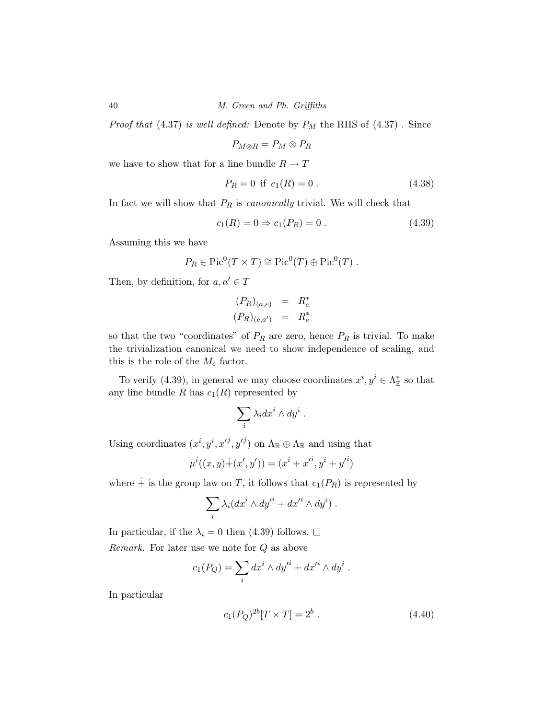*Proof that* (4.37) is well defined: Denote by  $P_M$  the RHS of (4.37). Since

$$
P_{M\otimes R}=P_M\otimes P_R
$$

we have to show that for a line bundle  $R\to T$ 

$$
P_R = 0 \text{ if } c_1(R) = 0. \tag{4.38}
$$

In fact we will show that  $P_R$  is *canonically* trivial. We will check that

$$
c_1(R) = 0 \Rightarrow c_1(P_R) = 0.
$$
\n(4.39)

Assuming this we have

$$
P_R \in Pic^0(T \times T) \cong Pic^0(T) \oplus Pic^0(T) .
$$

Then, by definition, for  $a, a' \in T$ 

$$
(P_R)_{(a,e)} = R_e^*
$$
  

$$
(P_R)_{(e,a')} = R_e^*
$$

so that the two "coordinates" of  $P_R$  are zero, hence  $P_R$  is trivial. To make the trivialization canonical we need to show independence of scaling, and this is the role of the  $M_e$  factor.

To verify (4.39), in general we may choose coordinates  $x^i, y^i \in \Lambda^*_{\mathbb{Z}}$  so that any line bundle  $R$  has  $c_1(R)$  represented by

$$
\sum_i \lambda_i dx^i \wedge dy^i .
$$

Using coordinates  $(x^i, y^i, x'^j, y'^j)$  on  $\Lambda_{\mathbb{R}} \oplus \Lambda_{\mathbb{R}}$  and using that

$$
\mu^{i}((x, y) \dot{+} (x', y')) = (x^{i} + x'^{i}, y^{i} + y'^{i})
$$

where  $\dot{+}$  is the group law on T, it follows that  $c_1(P_R)$  is represented by

$$
\sum_i \lambda_i (dx^i \wedge dy'^i + dx'^i \wedge dy^i) .
$$

In particular, if the  $\lambda_i = 0$  then (4.39) follows.  $\square$ Remark. For later use we note for *Q* as above

$$
c_1(P_Q) = \sum_i dx^i \wedge dy'^i + dx'^i \wedge dy^i.
$$

In particular

$$
c_1(P_Q)^{2b}[T \times T] = 2^b . \tag{4.40}
$$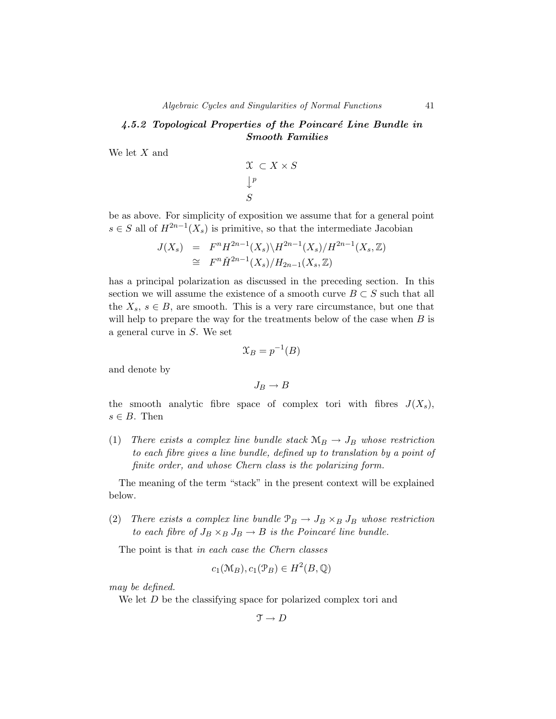### *4.5.2 Topological Properties of the Poincar´e Line Bundle in Smooth Families*

We let *X* and

$$
\begin{array}{c}\n\mathfrak{X} \subset X \times S \\
\downarrow^p \\
S\n\end{array}
$$

be as above. For simplicity of exposition we assume that for a general point *s* ∈ *S* all of  $H^{2n-1}(X_s)$  is primitive, so that the intermediate Jacobian

$$
J(X_s) = F^n H^{2n-1}(X_s) \backslash H^{2n-1}(X_s) / H^{2n-1}(X_s, \mathbb{Z})
$$
  
\n
$$
\cong F^n \check{H}^{2n-1}(X_s) / H_{2n-1}(X_s, \mathbb{Z})
$$

has a principal polarization as discussed in the preceding section. In this section we will assume the existence of a smooth curve  $B \subset S$  such that all the  $X_s$ ,  $s \in B$ , are smooth. This is a very rare circumstance, but one that will help to prepare the way for the treatments below of the case when *B* is a general curve in *S*. We set

$$
\mathfrak{X}_B = p^{-1}(B)
$$

and denote by

$$
J_B\to B
$$

the smooth analytic fibre space of complex tori with fibres  $J(X_s)$ ,  $s \in B$ . Then

(1) There exists a complex line bundle stack  $M_B \rightarrow J_B$  whose restriction to each fibre gives a line bundle, defined up to translation by a point of finite order, and whose Chern class is the polarizing form.

The meaning of the term "stack" in the present context will be explained below.

(2) There exists a complex line bundle  $\mathcal{P}_B \to J_B \times_B J_B$  whose restriction to each fibre of  $J_B \times_B J_B \to B$  is the Poincaré line bundle.

The point is that in each case the Chern classes

$$
c_1(\mathcal{M}_B), c_1(\mathcal{P}_B) \in H^2(B, \mathbb{Q})
$$

may be defined.

We let *D* be the classifying space for polarized complex tori and

$$
\mathfrak{T} \to D
$$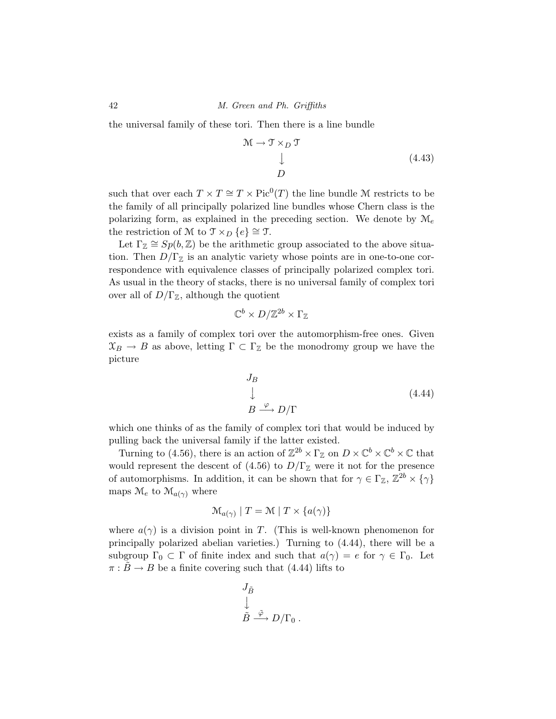the universal family of these tori. Then there is a line bundle

$$
\mathcal{M} \to \mathcal{T} \times_D \mathcal{T}
$$
  
\n
$$
\downarrow
$$
\n(4.43)

such that over each  $T \times T \cong T \times Pic^{0}(T)$  the line bundle M restricts to be the family of all principally polarized line bundles whose Chern class is the polarizing form, as explained in the preceding section. We denote by  $\mathcal{M}_e$ the restriction of M to  $\mathcal{T} \times_D \{e\} \cong \mathcal{T}$ .

Let  $\Gamma_{\mathbb{Z}} \cong Sp(b, \mathbb{Z})$  be the arithmetic group associated to the above situation. Then  $D/\Gamma_{\mathbb{Z}}$  is an analytic variety whose points are in one-to-one correspondence with equivalence classes of principally polarized complex tori. As usual in the theory of stacks, there is no universal family of complex tori over all of  $D/\Gamma_{\mathbb{Z}}$ , although the quotient

$$
\mathbb{C}^b \times D/\mathbb{Z}^{2b} \times \Gamma_{\mathbb{Z}}
$$

exists as a family of complex tori over the automorphism-free ones. Given  $\mathfrak{X}_B \to B$  as above, letting  $\Gamma \subset \Gamma_{\mathbb{Z}}$  be the monodromy group we have the picture

$$
J_B
$$
  
\n
$$
\downarrow
$$
  
\n
$$
B \xrightarrow{\varphi} D/\Gamma
$$
\n(4.44)

which one thinks of as the family of complex tori that would be induced by pulling back the universal family if the latter existed.

Turning to (4.56), there is an action of  $\mathbb{Z}^{2b} \times \Gamma_{\mathbb{Z}}$  on  $D \times \mathbb{C}^b \times \mathbb{C}^b \times \mathbb{C}$  that would represent the descent of (4.56) to  $D/\Gamma_{\mathbb{Z}}$  were it not for the presence of automorphisms. In addition, it can be shown that for  $\gamma \in \Gamma_{\mathbb{Z}}$ ,  $\mathbb{Z}^{2b} \times {\gamma}$ maps  $\mathcal{M}_e$  to  $\mathcal{M}_{a(\gamma)}$  where

$$
\mathcal{M}_{a(\gamma)} \mid T = \mathcal{M} \mid T \times \{a(\gamma)\}\
$$

where  $a(\gamma)$  is a division point in *T*. (This is well-known phenomenon for principally polarized abelian varieties.) Turning to (4.44), there will be a subgroup  $\Gamma_0 \subset \Gamma$  of finite index and such that  $a(\gamma) = e$  for  $\gamma \in \Gamma_0$ . Let  $\pi$  :  $\bar{B} \rightarrow B$  be a finite covering such that (4.44) lifts to

$$
\begin{aligned} &J_{\tilde{B}} \\ &\downarrow \\ &\tilde{B} \stackrel{\tilde{\varphi}}{\longrightarrow} D/\Gamma_0 \ . \end{aligned}
$$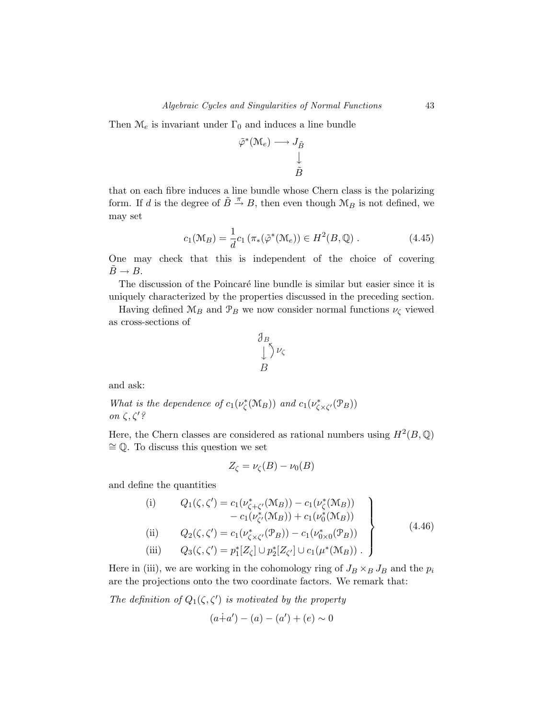Then  $\mathcal{M}_e$  is invariant under  $\Gamma_0$  and induces a line bundle

$$
\tilde{\varphi}^*(\mathcal{M}_e) \longrightarrow J_{\tilde{B}} \downarrow
$$
  

$$
\downarrow \qquad \qquad \downarrow \qquad \tilde{B}
$$

that on each fibre induces a line bundle whose Chern class is the polarizing form. If *d* is the degree of  $\tilde{B} \stackrel{\pi}{\rightarrow} B$ , then even though  $\mathcal{M}_B$  is not defined, we may set

$$
c_1(\mathcal{M}_B) = \frac{1}{d}c_1(\pi_*(\tilde{\varphi}^*(\mathcal{M}_e)) \in H^2(B, \mathbb{Q}). \tag{4.45}
$$

One may check that this is independent of the choice of covering  $\ddot{B} \rightarrow B$ .

The discussion of the Poincaré line bundle is similar but easier since it is uniquely characterized by the properties discussed in the preceding section.

Having defined  $\mathcal{M}_B$  and  $\mathcal{P}_B$  we now consider normal functions  $\nu_{\zeta}$  viewed as cross-sections of

$$
\begin{array}{c}\n\mathcal{J}_B \\
\downarrow \searrow \nu_\zeta \\
B\n\end{array}
$$

and ask:

What is the dependence of  $c_1(\nu_{\zeta}^*(\mathcal{M}_B))$  and  $c_1(\nu_{\zeta\times\zeta'}^*(\mathcal{P}_B))$ on *ζ,ζ* ?

Here, the Chern classes are considered as rational numbers using  $H^2(B, \mathbb{Q})$ ∼= Q. To discuss this question we set

$$
Z_{\zeta} = \nu_{\zeta}(B) - \nu_0(B)
$$

and define the quantities

(i) 
$$
Q_1(\zeta, \zeta') = c_1(\nu_{\zeta+\zeta'}^*(\mathcal{M}_B)) - c_1(\nu_{\zeta}^*(\mathcal{M}_B))
$$
  
\t\t\t $- c_1(\nu_{\zeta'}^*(\mathcal{M}_B)) + c_1(\nu_0^*(\mathcal{M}_B))$   
\n(ii)  $Q_2(\zeta, \zeta') = c_1(\nu_{\zeta\times\zeta'}^*(\mathcal{P}_B)) - c_1(\nu_{0\times 0}^*(\mathcal{P}_B))$   
\n(iii)  $Q_3(\zeta, \zeta') = p_1^* [Z_\zeta] \cup p_2^* [Z_{\zeta'}] \cup c_1(\mu^*(\mathcal{M}_B)).$  (4.46)

Here in (iii), we are working in the cohomology ring of  $J_B \times_B J_B$  and the  $p_i$ are the projections onto the two coordinate factors. We remark that:

The definition of  $Q_1(\zeta,\zeta')$  is motivated by the property

$$
(a+a') - (a) - (a') + (e) \sim 0
$$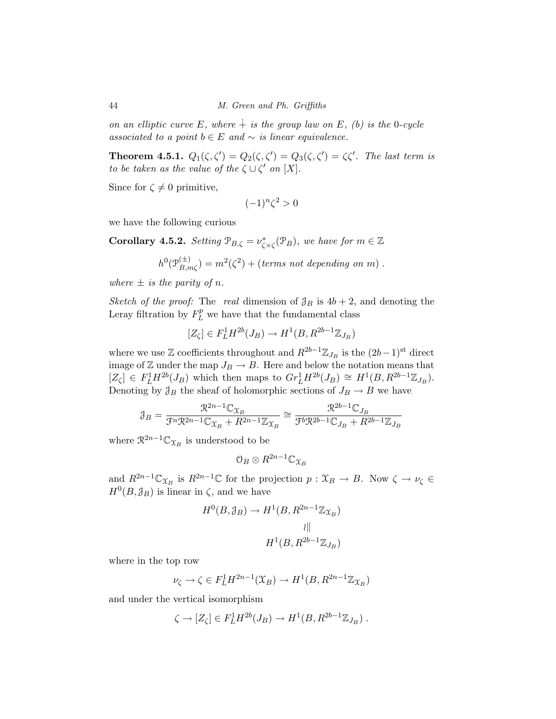on an elliptic curve  $E$ , where  $\dot{+}$  is the group law on  $E$ , (b) is the 0-cycle associated to a point  $b \in E$  and  $\sim$  *is linear equivalence.* 

**Theorem 4.5.1.**  $Q_1(\zeta, \zeta') = Q_2(\zeta, \zeta') = Q_3(\zeta, \zeta') = \zeta \zeta'$ . The last term is to be taken as the value of the  $\zeta \cup \zeta'$  on  $[X]$ .

Since for  $\zeta \neq 0$  primitive,

$$
(-1)^n \zeta^2 > 0
$$

we have the following curious

**Corollary 4.5.2.** Setting  $\mathcal{P}_{B,\zeta} = \nu_{\zeta \times \zeta}^*(\mathcal{P}_B)$ , we have for  $m \in \mathbb{Z}$ 

$$
h^{0}(\mathcal{P}_{B,m\zeta}^{(\pm)}) = m^{2}(\zeta^{2}) + (\text{terms not depending on } m).
$$

where  $\pm$  *is the parity of n.* 

Sketch of the proof: The real dimension of  $\mathcal{J}_B$  is  $4b+2$ , and denoting the Leray filtration by  $F_L^p$  we have that the fundamental class

$$
[Z_{\zeta}] \in F^1_L H^{2b}(J_B) \to H^1(B, R^{2b-1} \mathbb{Z}_{J_B})
$$

where we use  $\mathbb{Z}$  coefficients throughout and  $R^{2b-1}\mathbb{Z}_{J_B}$  is the  $(2b-1)$ <sup>st</sup> direct image of Z under the map  $J_B \to B$ . Here and below the notation means that  $[Z_{\zeta}] \in F_L^1 H^{2b}(J_B)$  which then maps to  $Gr_L^1 H^{2b}(J_B) \cong H^1(B, R^{2b-1} \mathbb{Z}_{J_B})$ . Denoting by  $\mathcal{J}_B$  the sheaf of holomorphic sections of  $J_B \to B$  we have

$$
\mathcal{J}_B = \frac{\mathcal{R}^{2n-1}\mathbb{C}_{\mathcal{X}_B}}{\mathcal{F}^n \mathcal{R}^{2n-1}\mathbb{C}_{\mathcal{X}_B} + R^{2n-1}\mathbb{Z}_{\mathcal{X}_B}} \cong \frac{\mathcal{R}^{2b-1}\mathbb{C}_{J_B}}{\mathcal{F}^b \mathcal{R}^{2b-1}\mathbb{C}_{J_B} + R^{2b-1}\mathbb{Z}_{J_B}}
$$

where  $\mathbb{R}^{2n-1}\mathbb{C}_{\mathfrak{X}_B}$  is understood to be

$$
0_B \otimes R^{2n-1} \mathbb{C}_{\mathfrak{X}_B}
$$

and  $R^{2n-1}\mathbb{C}_{\mathfrak{X}_B}$  is  $R^{2n-1}\mathbb{C}$  for the projection  $p: \mathfrak{X}_B \to B$ . Now  $\zeta \to \nu_{\zeta} \in$  $H^0(B,\mathcal{J}_B)$  is linear in  $\zeta$ , and we have

$$
H^{0}(B, \mathcal{J}_{B}) \to H^{1}(B, R^{2n-1}\mathbb{Z}_{\mathfrak{X}_{B}})
$$

$$
\downarrow \parallel
$$

$$
H^{1}(B, R^{2b-1}\mathbb{Z}_{J_{B}})
$$

where in the top row

$$
\nu_{\zeta} \to \zeta \in F_L^1 H^{2n-1}(\mathfrak{X}_B) \to H^1(B, R^{2n-1}\mathbb{Z}_{\mathfrak{X}_B})
$$

and under the vertical isomorphism

$$
\zeta \to [Z_{\zeta}] \in F^1_L H^{2b}(J_B) \to H^1(B, R^{2b-1}\mathbb{Z}_{J_B}).
$$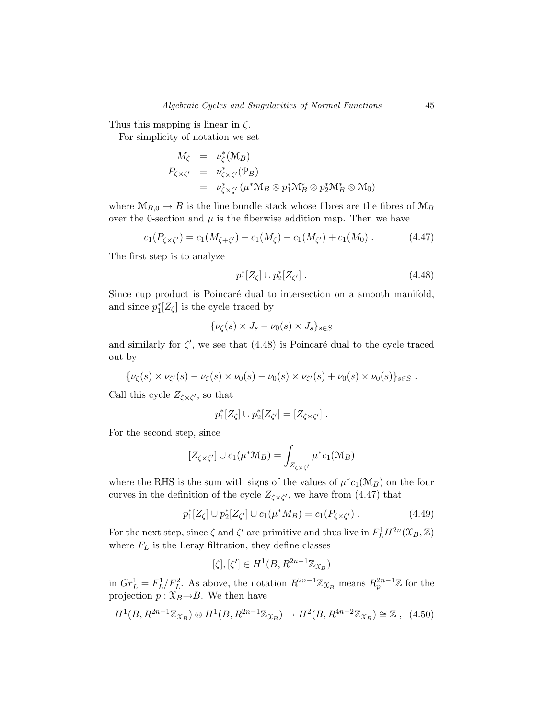Thus this mapping is linear in *ζ*.

For simplicity of notation we set

$$
M_{\zeta} = \nu_{\zeta}^* (\mathcal{M}_B)
$$
  
\n
$$
P_{\zeta \times \zeta'} = \nu_{\zeta \times \zeta'}^* (\mathcal{P}_B)
$$
  
\n
$$
= \nu_{\zeta \times \zeta'}^* (\mu^* \mathcal{M}_B \otimes p_1^* \mathcal{M}_B^* \otimes p_2^* \mathcal{M}_B^* \otimes \mathcal{M}_0)
$$

where  $M_{B,0} \to B$  is the line bundle stack whose fibres are the fibres of  $M_B$ over the 0-section and  $\mu$  is the fiberwise addition map. Then we have

$$
c_1(P_{\zeta \times \zeta'}) = c_1(M_{\zeta + \zeta'}) - c_1(M_{\zeta}) - c_1(M_{\zeta'}) + c_1(M_0). \qquad (4.47)
$$

The first step is to analyze

$$
p_1^*[Z_\zeta] \cup p_2^*[Z_{\zeta'}]. \tag{4.48}
$$

Since cup product is Poincaré dual to intersection on a smooth manifold, and since  $p_1^*[Z_\zeta]$  is the cycle traced by

$$
\{\nu_{\zeta}(s) \times J_s - \nu_0(s) \times J_s\}_{s \in S}
$$

and similarly for  $\zeta'$ , we see that  $(4.48)$  is Poincaré dual to the cycle traced out by

$$
\{\nu_{\zeta}(s) \times \nu_{\zeta'}(s) - \nu_{\zeta}(s) \times \nu_0(s) - \nu_0(s) \times \nu_{\zeta'}(s) + \nu_0(s) \times \nu_0(s)\}_{s \in S}.
$$

Call this cycle  $Z_{\zeta \times \zeta'}$ , so that

$$
p_1^*[Z_\zeta] \cup p_2^*[Z_{\zeta'}] = [Z_{\zeta \times \zeta'}].
$$

For the second step, since

$$
[Z_{\zeta \times \zeta'}] \cup c_1(\mu^* \mathcal{M}_B) = \int_{Z_{\zeta \times \zeta'}} \mu^* c_1(\mathcal{M}_B)
$$

where the RHS is the sum with signs of the values of  $\mu^* c_1(\mathcal{M}_B)$  on the four curves in the definition of the cycle  $Z_{\zeta \times \zeta'}$ , we have from (4.47) that

$$
p_1^*[Z_\zeta] \cup p_2^*[Z_{\zeta'}] \cup c_1(\mu^* M_B) = c_1(P_{\zeta \times \zeta'}) \ . \tag{4.49}
$$

For the next step, since  $\zeta$  and  $\zeta'$  are primitive and thus live in  $F^1_L H^{2n}(\mathfrak{X}_B, \mathbb{Z})$ where  $F_L$  is the Leray filtration, they define classes

$$
[\zeta], [\zeta'] \in H^1(B, R^{2n-1} \mathbb{Z}_{\mathfrak{X}_B})
$$

in  $Gr_L^1 = F_L^1/F_L^2$ . As above, the notation  $R^{2n-1}\mathbb{Z}_{\mathfrak{X}_B}$  means  $R_p^{2n-1}\mathbb{Z}$  for the projection  $p : \mathfrak{X}_B \rightarrow B$ . We then have

$$
H^1(B, R^{2n-1}\mathbb{Z}_{\mathfrak{X}_B}) \otimes H^1(B, R^{2n-1}\mathbb{Z}_{\mathfrak{X}_B}) \to H^2(B, R^{4n-2}\mathbb{Z}_{\mathfrak{X}_B}) \cong \mathbb{Z}, \tag{4.50}
$$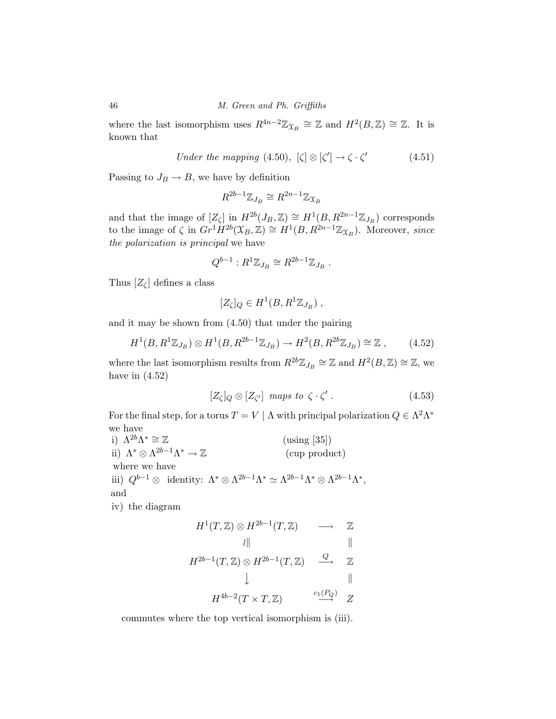where the last isomorphism uses  $R^{4n-2}\mathbb{Z}_{\mathfrak{X}_B} \cong \mathbb{Z}$  and  $H^2(B,\mathbb{Z}) \cong \mathbb{Z}$ . It is known that

Under the mapping (4.50), 
$$
[\zeta] \otimes [\zeta'] \to \zeta \cdot \zeta'
$$
 (4.51)

Passing to  $J_B \rightarrow B$ , we have by definition

$$
R^{2b-1}\mathbb{Z}_{J_B}\cong R^{2n-1}\mathbb{Z}_{\mathfrak{X}_B}
$$

and that the image of  $[Z_{\zeta}]$  in  $H^{2b}(J_B, \mathbb{Z}) \cong H^1(B, R^{2n-1}\mathbb{Z}_{J_B})$  corresponds to the image of  $\zeta$  in  $Gr^1 \check{H}^{2b}(\mathfrak{X}_B, \mathbb{Z}) \cong H^1(B, R^{2n-1}\mathbb{Z}_{\mathfrak{X}_B})$ . Moreover, since the polarization is principal we have

$$
Q^{b-1}: R^1 \mathbb{Z}_{J_B} \cong R^{2b-1} \mathbb{Z}_{J_B} .
$$

Thus  $[Z_{\zeta}]$  defines a class

$$
[Z_{\zeta}]_Q \in H^1(B, R^1 \mathbb{Z}_{J_B}),
$$

and it may be shown from (4.50) that under the pairing

$$
H^1(B, R^1 \mathbb{Z}_{J_B}) \otimes H^1(B, R^{2b-1} \mathbb{Z}_{J_B}) \to H^2(B, R^{2b} \mathbb{Z}_{J_B}) \cong \mathbb{Z} \;, \tag{4.52}
$$

where the last isomorphism results from  $R^{2b}\mathbb{Z}_{J_B} \cong \mathbb{Z}$  and  $H^2(B,\mathbb{Z}) \cong \mathbb{Z}$ , we have in  $(4.52)$ 

$$
[Z_{\zeta}]_Q \otimes [Z_{\zeta'}] \quad \text{maps to} \quad \zeta \cdot \zeta' \ . \tag{4.53}
$$

For the final step, for a torus  $T = V \mid \Lambda$  with principal polarization  $Q \in \Lambda^2 \Lambda^*$ we have

i)  $\Lambda^{2b}\Lambda^* \cong \mathbb{Z}$  (using [35]) ii)  $\Lambda^* \otimes \Lambda^{2b-1} \Lambda^* \to \mathbb{Z}$  (cup product) where we have iii)  $Q^{b-1} \otimes \text{ identity: } \Lambda^* \otimes \Lambda^{2b-1} \Lambda^* \simeq \Lambda^{2b-1} \Lambda^* \otimes \Lambda^{2b-1} \Lambda^*,$ and iv) the diagram

$$
H^{1}(T, \mathbb{Z}) \otimes H^{2b-1}(T, \mathbb{Z}) \longrightarrow \mathbb{Z}
$$
  
\n
$$
\downarrow \qquad \qquad \downarrow \qquad \qquad \downarrow
$$
  
\n
$$
H^{2b-1}(T, \mathbb{Z}) \otimes H^{2b-1}(T, \mathbb{Z}) \xrightarrow{Q} \mathbb{Z}
$$
  
\n
$$
\downarrow \qquad \qquad \downarrow \qquad \qquad \downarrow
$$
  
\n
$$
H^{4b-2}(T \times T, \mathbb{Z}) \xrightarrow{c_{1}(P_{Q})} Z
$$

commutes where the top vertical isomorphism is (iii).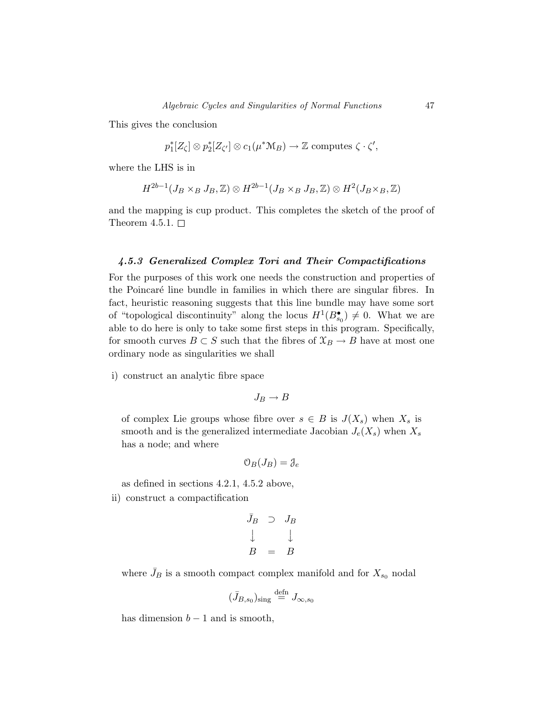This gives the conclusion

$$
p_1^*[Z_\zeta] \otimes p_2^*[Z_{\zeta'}] \otimes c_1(\mu^* \mathcal{M}_B) \to \mathbb{Z} \text{ computes } \zeta \cdot \zeta',
$$

where the LHS is in

$$
H^{2b-1}(J_B\times_B J_B,\mathbb{Z})\otimes H^{2b-1}(J_B\times_B J_B,\mathbb{Z})\otimes H^2(J_B\times_B,\mathbb{Z})
$$

and the mapping is cup product. This completes the sketch of the proof of Theorem 4.5.1.  $\square$ 

### *4.5.3 Generalized Complex Tori and Their Compactifications*

For the purposes of this work one needs the construction and properties of the Poincaré line bundle in families in which there are singular fibres. In fact, heuristic reasoning suggests that this line bundle may have some sort of "topological discontinuity" along the locus  $H^1(B_{s_0}^{\bullet}) \neq 0$ . What we are able to do here is only to take some first steps in this program. Specifically, for smooth curves  $B \subset S$  such that the fibres of  $\mathfrak{X}_B \to B$  have at most one ordinary node as singularities we shall

i) construct an analytic fibre space

$$
J_B \to B
$$

of complex Lie groups whose fibre over  $s \in B$  is  $J(X_s)$  when  $X_s$  is smooth and is the generalized intermediate Jacobian  $J_e(X_s)$  when  $X_s$ has a node; and where

$$
\mathfrak{O}_B(J_B)=\mathfrak{J}_e
$$

as defined in sections 4.2.1, 4.5.2 above,

ii) construct a compactification

$$
\begin{array}{ccc}\n\bar{J}_B & \supset & J_B \\
\downarrow & & \downarrow \\
B & = & B\n\end{array}
$$

where  $\bar{J}_B$  is a smooth compact complex manifold and for  $X_{s_0}$  nodal

$$
(\bar{J}_{B,s_0})_{\text{sing}} \stackrel{\text{defn}}{=} J_{\infty,s_0}
$$

has dimension  $b-1$  and is smooth,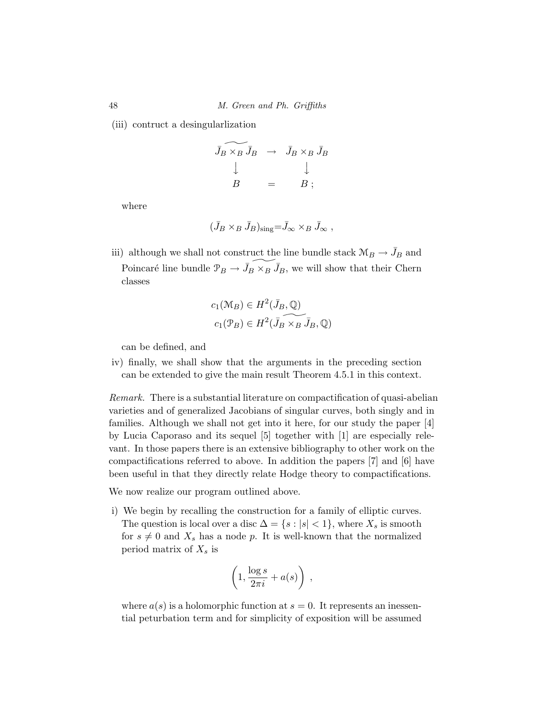(iii) contruct a desingularlization

$$
\begin{array}{ccc}\n\bar{J}_B \times_B \bar{J}_B & \to & \bar{J}_B \times_B \bar{J}_B \\
\downarrow & & \downarrow \\
B & = & B ;\n\end{array}
$$

where

$$
(\bar{J}_B\times_B\bar{J}_B)_{\text{sing}}=\bar{J}_{\infty}\times_B\bar{J}_{\infty}\;,
$$

iii) although we shall not construct the line bundle stack  $\mathcal{M}_B \to \bar{J}_B$  and Poincaré line bundle  $\mathcal{P}_B \to \bar{J}_B \times_B \bar{J}_B$ , we will show that their Chern classes

$$
c_1(\mathcal{M}_B) \in H^2(\bar{J}_B, \mathbb{Q})
$$
  

$$
c_1(\mathcal{P}_B) \in H^2(\bar{J}_B \times_B \bar{J}_B, \mathbb{Q})
$$

can be defined, and

iv) finally, we shall show that the arguments in the preceding section can be extended to give the main result Theorem 4.5.1 in this context.

Remark. There is a substantial literature on compactification of quasi-abelian varieties and of generalized Jacobians of singular curves, both singly and in families. Although we shall not get into it here, for our study the paper [4] by Lucia Caporaso and its sequel [5] together with [1] are especially relevant. In those papers there is an extensive bibliography to other work on the compactifications referred to above. In addition the papers [7] and [6] have been useful in that they directly relate Hodge theory to compactifications.

We now realize our program outlined above.

i) We begin by recalling the construction for a family of elliptic curves. The question is local over a disc  $\Delta = \{s : |s| < 1\}$ , where  $X_s$  is smooth for  $s \neq 0$  and  $X_s$  has a node p. It is well-known that the normalized period matrix of  $X_s$  is

$$
\left(1, \frac{\log s}{2\pi i} + a(s)\right) ,
$$

where  $a(s)$  is a holomorphic function at  $s = 0$ . It represents an inessential peturbation term and for simplicity of exposition will be assumed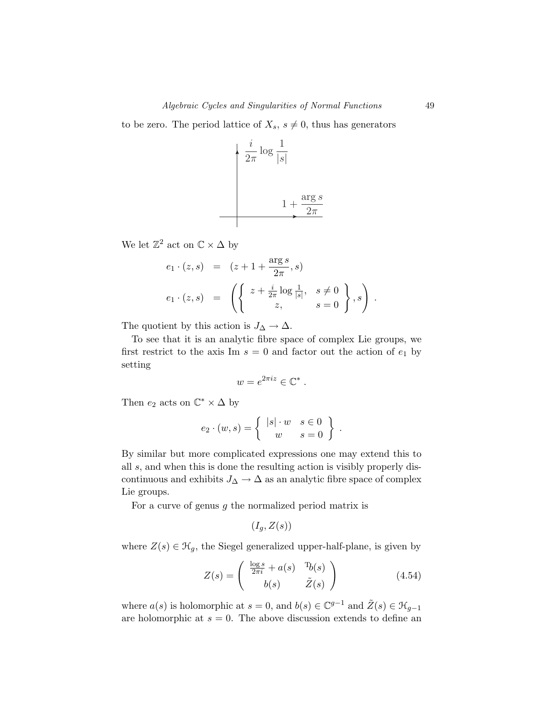to be zero. The period lattice of  $X_s$ ,  $s \neq 0$ , thus has generators

$$
\frac{i}{2\pi} \log \frac{1}{|s|}
$$

$$
1 + \frac{\arg s}{2\pi}
$$

We let  $\mathbb{Z}^2$  act on  $\mathbb{C} \times \Delta$  by

$$
e_1 \cdot (z, s) = (z + 1 + \frac{\arg s}{2\pi}, s)
$$
  

$$
e_1 \cdot (z, s) = \left( \left\{ \begin{array}{ll} z + \frac{i}{2\pi} \log \frac{1}{|s|}, & s \neq 0 \\ z, & s = 0 \end{array} \right\}, s \right)
$$

The quotient by this action is  $J_{\Delta} \to \Delta$ .

To see that it is an analytic fibre space of complex Lie groups, we first restrict to the axis Im  $s = 0$  and factor out the action of  $e_1$  by setting

$$
w=e^{2\pi i z}\in\mathbb{C}^*.
$$

Then  $e_2$  acts on  $\mathbb{C}^* \times \Delta$  by

$$
e_2 \cdot (w, s) = \left\{ \begin{array}{cc} |s| \cdot w & s \in 0 \\ w & s = 0 \end{array} \right\} .
$$

By similar but more complicated expressions one may extend this to all *s*, and when this is done the resulting action is visibly properly discontinuous and exhibits  $J_{\Delta} \rightarrow \Delta$  as an analytic fibre space of complex Lie groups.

For a curve of genus *g* the normalized period matrix is

$$
(I_g, Z(s))
$$

where  $Z(s) \in \mathcal{H}_g$ , the Siegel generalized upper-half-plane, is given by

$$
Z(s) = \begin{pmatrix} \frac{\log s}{2\pi i} + a(s) & \mathrm{T}_b(s) \\ b(s) & \tilde{Z}(s) \end{pmatrix}
$$
(4.54)

where  $a(s)$  is holomorphic at  $s = 0$ , and  $b(s) \in \mathbb{C}^{g-1}$  and  $\tilde{Z}(s) \in \mathcal{H}_{g-1}$ are holomorphic at  $s = 0$ . The above discussion extends to define an

*.*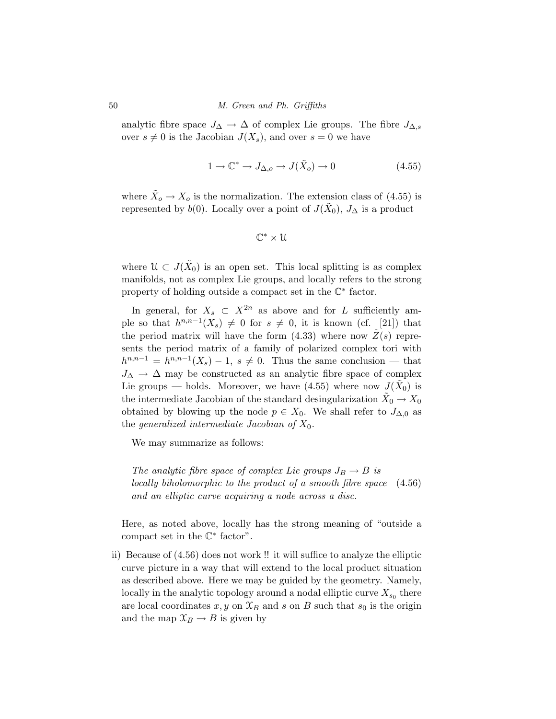analytic fibre space  $J_{\Delta} \to \Delta$  of complex Lie groups. The fibre  $J_{\Delta,s}$ over  $s \neq 0$  is the Jacobian  $J(X_s)$ , and over  $s = 0$  we have

$$
1 \to \mathbb{C}^* \to J_{\Delta,o} \to J(\tilde{X}_o) \to 0 \tag{4.55}
$$

where  $\tilde{X}_{o} \to X_{o}$  is the normalization. The extension class of (4.55) is represented by *b*(0). Locally over a point of  $J(X_0)$ ,  $J_\Delta$  is a product

$$
\mathbb{C}^*\times\mathcal{U}
$$

where  $\mathcal{U} \subset J(\tilde{X}_0)$  is an open set. This local splitting is as complex manifolds, not as complex Lie groups, and locally refers to the strong property of holding outside a compact set in the C<sup>∗</sup> factor.

In general, for  $X_s \subset X^{2n}$  as above and for *L* sufficiently ample so that  $h^{n,n-1}(X_s) \neq 0$  for  $s \neq 0$ , it is known (cf. [21]) that the period matrix will have the form  $(4.33)$  where now  $\tilde{Z}(s)$  represents the period matrix of a family of polarized complex tori with  $h^{n,n-1} = h^{n,n-1}(X_s) - 1$ ,  $s \neq 0$ . Thus the same conclusion — that  $J_{\Delta} \rightarrow \Delta$  may be constructed as an analytic fibre space of complex Lie groups — holds. Moreover, we have  $(4.55)$  where now  $J(\bar{X}_0)$  is the intermediate Jacobian of the standard desingularization  $X_0 \to X_0$ obtained by blowing up the node  $p \in X_0$ . We shall refer to  $J_{\Delta,0}$  as the generalized intermediate Jacobian of *X*0.

We may summarize as follows:

The analytic fibre space of complex Lie groups  $J_B \rightarrow B$  is locally biholomorphic to the product of a smooth fibre space and an elliptic curve acquiring a node across a disc. (4.56)

Here, as noted above, locally has the strong meaning of "outside a compact set in the  $\mathbb{C}^*$  factor".

ii) Because of (4.56) does not work !! it will suffice to analyze the elliptic curve picture in a way that will extend to the local product situation as described above. Here we may be guided by the geometry. Namely, locally in the analytic topology around a nodal elliptic curve  $X_{s_0}$  there are local coordinates  $x, y$  on  $\mathfrak{X}_B$  and  $s$  on  $B$  such that  $s_0$  is the origin and the map  $\mathfrak{X}_B \to B$  is given by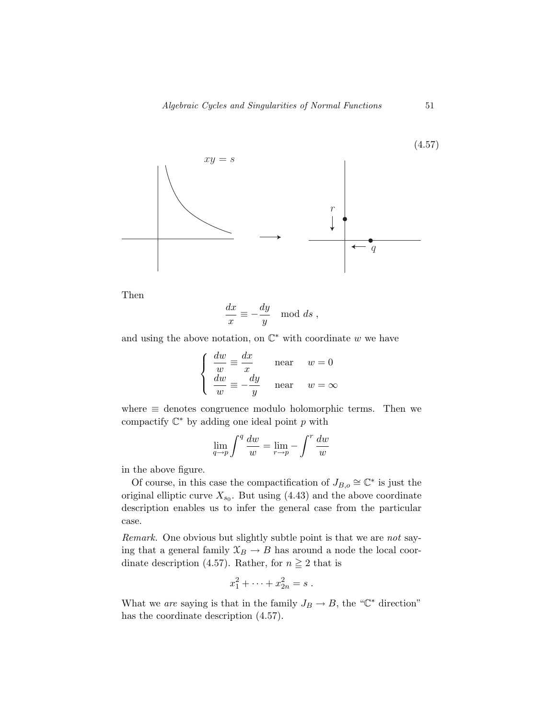

Then

$$
\frac{dx}{x} \equiv -\frac{dy}{y} \mod ds,
$$

and using the above notation, on  $\mathbb{C}^*$  with coordinate w we have

$$
\begin{cases}\n\frac{dw}{w} \equiv \frac{dx}{x} & \text{near} \quad w = 0 \\
\frac{dw}{w} \equiv -\frac{dy}{y} & \text{near} \quad w = \infty\n\end{cases}
$$

where  $\equiv$  denotes congruence modulo holomorphic terms. Then we compactify C<sup>∗</sup> by adding one ideal point *p* with

$$
\lim_{q \to p} \int^q \frac{dw}{w} = \lim_{r \to p} - \int^r \frac{dw}{w}
$$

in the above figure.

Of course, in this case the compactification of  $J_{B,o} \cong \mathbb{C}^*$  is just the original elliptic curve  $X_{s_0}$ . But using (4.43) and the above coordinate description enables us to infer the general case from the particular case.

Remark. One obvious but slightly subtle point is that we are not saying that a general family  $\mathfrak{X}_B \to B$  has around a node the local coordinate description (4.57). Rather, for  $n \geq 2$  that is

$$
x_1^2 + \cdots + x_{2n}^2 = s \; .
$$

What we are saying is that in the family  $J_B \to B$ , the " $\mathbb{C}^*$  direction" has the coordinate description (4.57).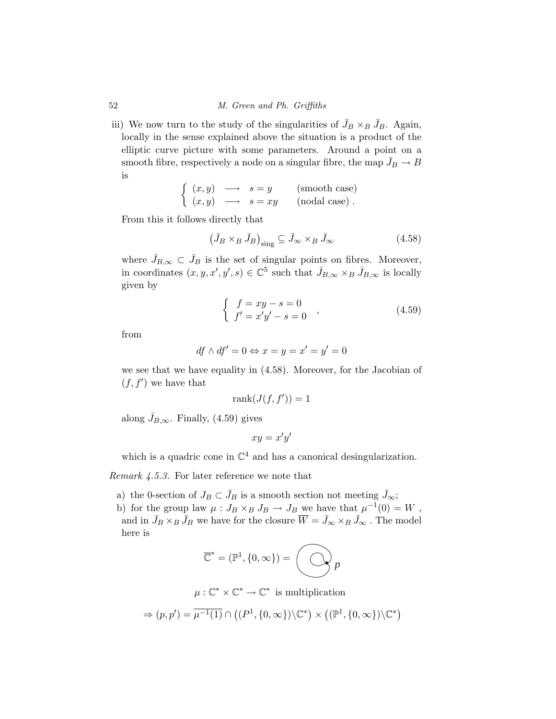iii) We now turn to the study of the singularities of  $\bar{J}_B \times_B \bar{J}_B$ . Again, locally in the sense explained above the situation is a product of the elliptic curve picture with some parameters. Around a point on a smooth fibre, respectively a node on a singular fibre, the map  $\bar{J}_B \to B$ is

$$
\begin{cases}\n(x, y) \longrightarrow s = y \quad \text{(smooth case)} \\
(x, y) \longrightarrow s = xy \quad \text{(nodal case)}\n\end{cases}
$$

From this it follows directly that

$$
\left(\bar{J}_B \times_B \bar{J}_B\right)_{\text{sing}} \subseteq \bar{J}_\infty \times_B \bar{J}_\infty \tag{4.58}
$$

where  $\bar{J}_{B,\infty} \subset \bar{J}_B$  is the set of singular points on fibres. Moreover, in coordinates  $(x, y, x', y', s) \in \mathbb{C}^5$  such that  $\bar{J}_{B,\infty} \times_B \bar{J}_{B,\infty}$  is locally given by

$$
\begin{cases}\nf = xy - s = 0 \\
f' = x'y' - s = 0\n\end{cases}
$$
\n(4.59)

from

$$
df \wedge df' = 0 \Leftrightarrow x = y = x' = y' = 0
$$

we see that we have equality in (4.58). Moreover, for the Jacobian of  $(f, f')$  we have that

$$
\mathrm{rank}(J(f,f'))=1
$$

along  $\bar{J}_{B,\infty}$ . Finally, (4.59) gives

$$
xy = x'y'
$$

which is a quadric cone in  $\mathbb{C}^4$  and has a canonical desingularization.

Remark 4.5.3. For later reference we note that

- a) the 0-section of  $J_B \subset \bar{J}_B$  is a smooth section not meeting  $\bar{J}_\infty$ ;
- b) for the group law  $\mu: J_B \times_B J_B \to J_B$  we have that  $\mu^{-1}(0) = W$ , and in  $\bar{J}_B \times_B \bar{J}_B$  we have for the closure  $\overline{W} = \bar{J}_{\infty} \times_B \bar{J}_{\infty}$  . The model here is

$$
\overline{\mathbb{C}}^* = (\mathbb{P}^1, \{0, \infty\}) = \left(\bigodot p\right)
$$

$$
\mu: \mathbb{C}^* \times \mathbb{C}^* \to \mathbb{C}^*
$$
 is multiplication

$$
\Rightarrow (p,p') = \overline{\mu^{-1}(1)} \cap \left( (P^1, \{0,\infty\}) \backslash \mathbb{C}^* \right) \times \left( (\mathbb{P}^1, \{0,\infty\}) \backslash \mathbb{C}^* \right)
$$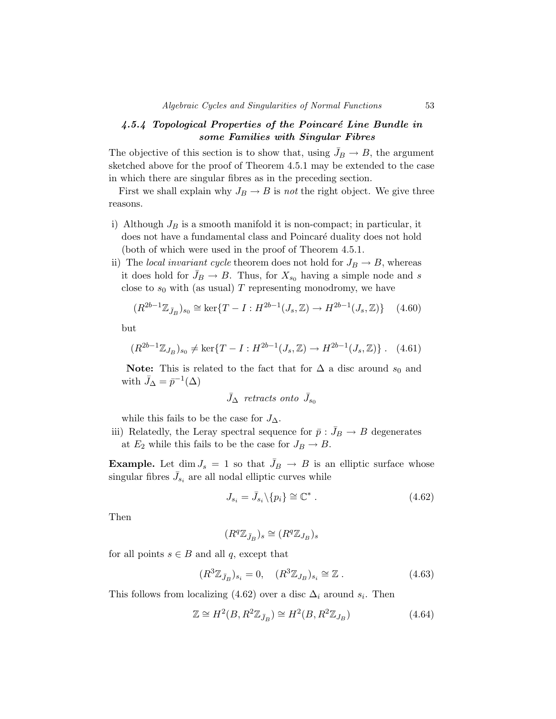### *4.5.4 Topological Properties of the Poincar´e Line Bundle in some Families with Singular Fibres*

The objective of this section is to show that, using  $\bar{J}_B \to B$ , the argument sketched above for the proof of Theorem 4.5.1 may be extended to the case in which there are singular fibres as in the preceding section.

First we shall explain why  $J_B \to B$  is *not* the right object. We give three reasons.

- i) Although  $J_B$  is a smooth manifold it is non-compact; in particular, it does not have a fundamental class and Poincaré duality does not hold (both of which were used in the proof of Theorem 4.5.1.
- ii) The *local invariant cycle* theorem does not hold for  $J_B \rightarrow B$ , whereas it does hold for  $\bar{J}_B \to B$ . Thus, for  $X_{s_0}$  having a simple node and *s* close to  $s_0$  with (as usual)  $T$  representing monodromy, we have

$$
(R^{2b-1}\mathbb{Z}_{\bar{J}_B})_{s_0} \cong \ker\{T - I : H^{2b-1}(J_s, \mathbb{Z}) \to H^{2b-1}(J_s, \mathbb{Z})\} \tag{4.60}
$$

but

$$
(R^{2b-1}\mathbb{Z}_{J_B})_{s_0} \neq \ker\{T - I : H^{2b-1}(J_s, \mathbb{Z}) \to H^{2b-1}(J_s, \mathbb{Z})\}.
$$
 (4.61)

**Note:** This is related to the fact that for  $\Delta$  a disc around  $s_0$  and with  $\bar{J}_\Delta = \bar{p}^{-1}(\Delta)$ 

$$
\bar{J}_{\Delta} \;\; retracts\; onto\; \bar{J}_{s_0}
$$

while this fails to be the case for *J*∆.

iii) Relatedly, the Leray spectral sequence for  $\bar{p}$  :  $\bar{J}_B \rightarrow B$  degenerates at  $E_2$  while this fails to be the case for  $J_B \to B$ .

**Example.** Let dim  $J_s = 1$  so that  $\bar{J}_B \rightarrow B$  is an elliptic surface whose singular fibres  $\bar{J}_{s_i}$  are all nodal elliptic curves while

$$
J_{s_i} = \bar{J}_{s_i} \backslash \{p_i\} \cong \mathbb{C}^* \ . \tag{4.62}
$$

Then

$$
(R^{q}\mathbb{Z}_{\bar{J}_{B}})_{s}\cong(R^{q}\mathbb{Z}_{J_{B}})_{s}
$$

for all points  $s \in B$  and all  $q$ , except that

$$
(R^3 \mathbb{Z}_{\bar{J}_B})_{s_i} = 0, \quad (R^3 \mathbb{Z}_{J_B})_{s_i} \cong \mathbb{Z} . \tag{4.63}
$$

This follows from localizing (4.62) over a disc  $\Delta_i$  around  $s_i$ . Then

$$
\mathbb{Z} \cong H^2(B, R^2 \mathbb{Z}_{\bar{J}_B}) \cong H^2(B, R^2 \mathbb{Z}_{J_B})
$$
\n(4.64)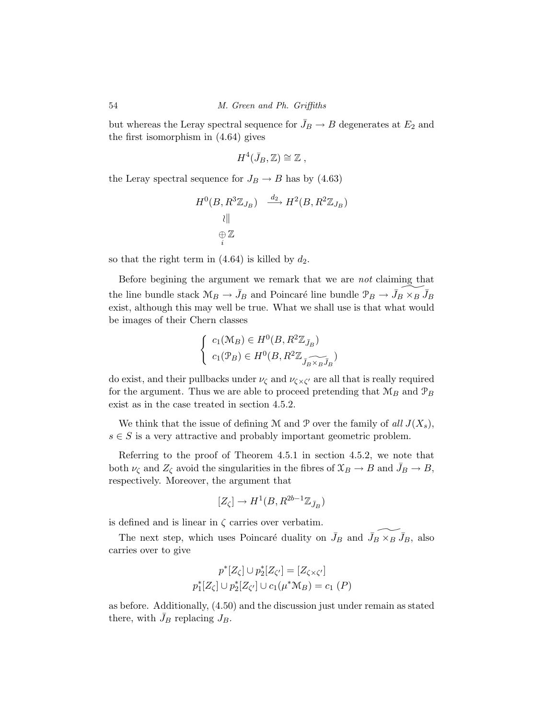but whereas the Leray spectral sequence for  $\bar{J}_B \to B$  degenerates at  $E_2$  and the first isomorphism in (4.64) gives

$$
H^4(\bar{J}_B,\mathbb{Z})\cong \mathbb{Z} \ ,
$$

the Leray spectral sequence for  $J_B \to B$  has by (4.63)

$$
H^{0}(B, R^{3} \mathbb{Z}_{J_{B}}) \xrightarrow{d_{2}} H^{2}(B, R^{2} \mathbb{Z}_{J_{B}})
$$
  
 
$$
\langle \parallel
$$
  
 
$$
\bigoplus_{i} \mathbb{Z}
$$

so that the right term in  $(4.64)$  is killed by  $d_2$ .

Before begining the argument we remark that we are not claiming that the line bundle stack  $\mathcal{M}_B \to \bar{J}_B$  and Poincaré line bundle  $\mathcal{P}_B \to \bar{J}_B \times_B \bar{J}_B$ exist, although this may well be true. What we shall use is that what would be images of their Chern classes

$$
\begin{cases} c_1(\mathcal{M}_B) \in H^0(B, R^2 \mathbb{Z}_{\bar{J}_B}) \\ c_1(\mathcal{P}_B) \in H^0(B, R^2 \mathbb{Z}_{\widetilde{J_B \times_B J_B}}) \end{cases}
$$

do exist, and their pullbacks under  $\nu_{\zeta}$  and  $\nu_{\zeta \times \zeta'}$  are all that is really required for the argument. Thus we are able to proceed pretending that  $\mathcal{M}_B$  and  $\mathcal{P}_B$ exist as in the case treated in section 4.5.2.

We think that the issue of defining M and P over the family of all  $J(X_s)$ ,  $s \in S$  is a very attractive and probably important geometric problem.

Referring to the proof of Theorem 4.5.1 in section 4.5.2, we note that both  $\nu_{\zeta}$  and  $Z_{\zeta}$  avoid the singularities in the fibres of  $\mathfrak{X}_B \to B$  and  $\bar{J}_B \to B$ , respectively. Moreover, the argument that

$$
[Z_\zeta]\to H^1(B,R^{2b-1}\mathbb{Z}_{\bar{J}_B})
$$

is defined and is linear in  $\zeta$  carries over verbatim.

The next step, which uses Poincaré duality on  $\bar{J}_B$  and  $\bar{J}_B \times_B \bar{J}_B$ , also carries over to give

$$
p^*[Z_{\zeta}] \cup p_2^*[Z_{\zeta'}] = [Z_{\zeta \times \zeta'}]
$$
  

$$
p_1^*[Z_{\zeta}] \cup p_2^*[Z_{\zeta'}] \cup c_1(\mu^* \mathcal{M}_B) = c_1(P)
$$

as before. Additionally, (4.50) and the discussion just under remain as stated there, with  $\bar{J}_B$  replacing  $J_B$ .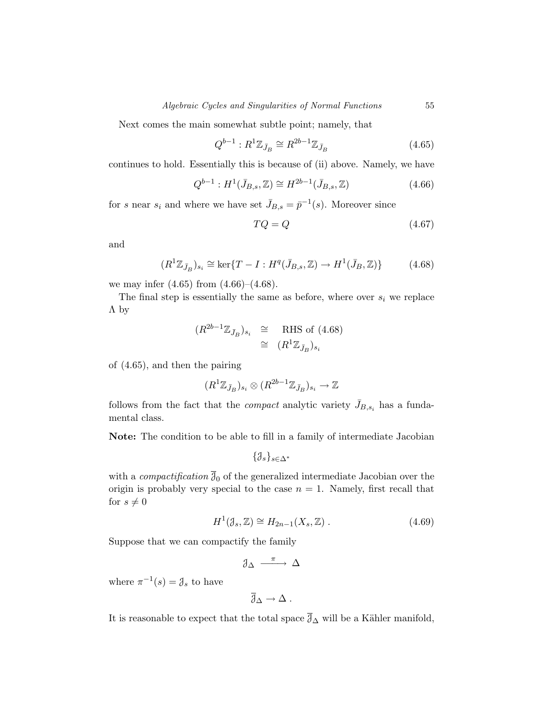Next comes the main somewhat subtle point; namely, that

$$
Q^{b-1}: R^1 \mathbb{Z}_{\bar{J}_B} \cong R^{2b-1} \mathbb{Z}_{\bar{J}_B}
$$
\n
$$
(4.65)
$$

continues to hold. Essentially this is because of (ii) above. Namely, we have

$$
Q^{b-1}: H^1(\bar{J}_{B,s}, \mathbb{Z}) \cong H^{2b-1}(\bar{J}_{B,s}, \mathbb{Z})
$$
\n(4.66)

for *s* near  $s_i$  and where we have set  $\bar{J}_{B,s} = \bar{p}^{-1}(s)$ . Moreover since

$$
TQ = Q \tag{4.67}
$$

and

$$
(R^1 \mathbb{Z}_{\bar{J}_B})_{s_i} \cong \ker\{T - I : H^q(\bar{J}_{B,s}, \mathbb{Z}) \to H^1(\bar{J}_B, \mathbb{Z})\} \tag{4.68}
$$

we may infer  $(4.65)$  from  $(4.66)$ – $(4.68)$ .

The final step is essentially the same as before, where over  $s_i$  we replace Λ by

$$
(R^{2b-1}\mathbb{Z}_{\bar{J}_B})_{s_i} \cong \text{RHS of } (4.68)
$$
  

$$
\cong (R^1\mathbb{Z}_{\bar{J}_B})_{s_i}
$$

of (4.65), and then the pairing

$$
(R^1\mathbb{Z}_{\bar{J}_B})_{s_i} \otimes (R^{2b-1}\mathbb{Z}_{\bar{J}_B})_{s_i} \to \mathbb{Z}
$$

follows from the fact that the *compact* analytic variety  $\bar{J}_{B,s_i}$  has a fundamental class.

**Note:** The condition to be able to fill in a family of intermediate Jacobian

$$
\{\mathcal{J}_s\}_{s\in\Delta^*}
$$

with a *compactification*  $\overline{\mathcal{J}}_0$  of the generalized intermediate Jacobian over the origin is probably very special to the case  $n = 1$ . Namely, first recall that for  $s \neq 0$ 

$$
H^{1}(\mathcal{J}_{s}, \mathbb{Z}) \cong H_{2n-1}(X_{s}, \mathbb{Z}). \qquad (4.69)
$$

Suppose that we can compactify the family

$$
\mathcal{J}_{\Delta} \xrightarrow{\pi} \Delta
$$

where  $\pi^{-1}(s) = \mathcal{J}_s$  to have

$$
\overline{\mathcal{J}}_\Delta \to \Delta \;.
$$

It is reasonable to expect that the total space  $\overline{\partial}_{\Delta}$  will be a Kähler manifold,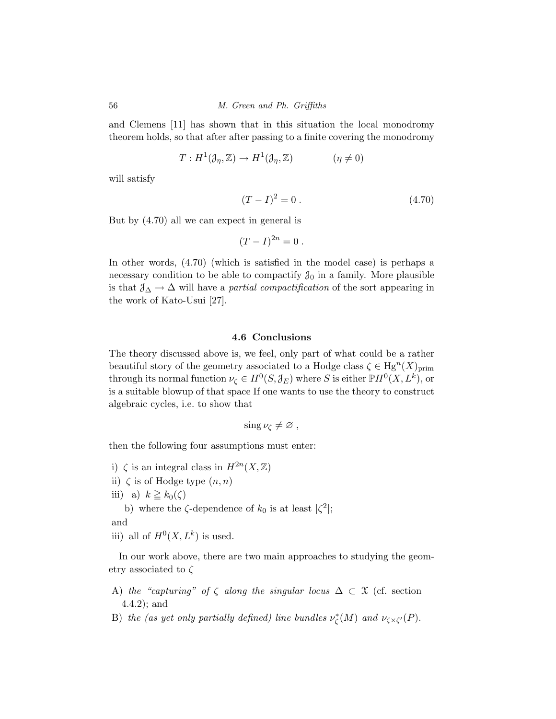and Clemens [11] has shown that in this situation the local monodromy theorem holds, so that after after passing to a finite covering the monodromy

$$
T: H^{1}(\mathcal{J}_{\eta}, \mathbb{Z}) \to H^{1}(\mathcal{J}_{\eta}, \mathbb{Z}) \qquad (\eta \neq 0)
$$

will satisfy

$$
(T - I)^2 = 0.
$$
\n(4.70)

But by (4.70) all we can expect in general is

$$
(T-I)^{2n}=0.
$$

In other words, (4.70) (which is satisfied in the model case) is perhaps a necessary condition to be able to compactify  $\mathcal{J}_0$  in a family. More plausible is that  $\mathcal{J}_{\Delta} \to \Delta$  will have a *partial compactification* of the sort appearing in the work of Kato-Usui [27].

#### **4.6 Conclusions**

The theory discussed above is, we feel, only part of what could be a rather beautiful story of the geometry associated to a Hodge class  $\zeta \in Hg^{n}(X)_{\text{prim}}$ through its normal function  $\nu_{\zeta} \in H^0(S, \mathcal{J}_E)$  where *S* is either  $\mathbb{P}H^0(X, L^k)$ , or is a suitable blowup of that space If one wants to use the theory to construct algebraic cycles, i.e. to show that

$$
\sin g \nu_{\zeta} \neq \varnothing ,
$$

then the following four assumptions must enter:

- i)  $\zeta$  is an integral class in  $H^{2n}(X,\mathbb{Z})$
- ii)  $\zeta$  is of Hodge type  $(n, n)$
- iii) a)  $k \geq k_0(\zeta)$

b) where the  $\zeta$ -dependence of  $k_0$  is at least  $|\zeta^2|$ ;

and

iii) all of  $H^0(X, L^k)$  is used.

In our work above, there are two main approaches to studying the geometry associated to *ζ*

- A) the "capturing" of  $\zeta$  along the singular locus  $\Delta \subset \mathfrak{X}$  (cf. section 4.4.2); and
- B) the (as yet only partially defined) line bundles  $\nu_{\zeta}^{*}(M)$  and  $\nu_{\zeta \times \zeta'}(P)$ .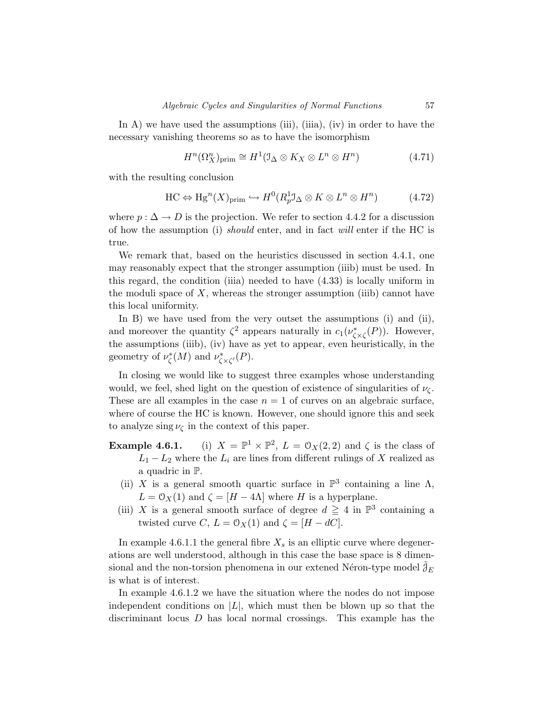In A) we have used the assumptions (iii), (iiia), (iv) in order to have the necessary vanishing theorems so as to have the isomorphism

$$
H^{n}(\Omega_X^n)_{\text{prim}} \cong H^1(\mathbb{J}_{\Delta} \otimes K_X \otimes L^n \otimes H^n) \tag{4.71}
$$

with the resulting conclusion

$$
\mathrm{HC} \Leftrightarrow \mathrm{Hg}^n(X)_{\mathrm{prim}} \hookrightarrow H^0(R^1_p \mathcal{I}_\Delta \otimes K \otimes L^n \otimes H^n) \tag{4.72}
$$

where  $p : \Delta \to D$  is the projection. We refer to section 4.4.2 for a discussion of how the assumption (i) should enter, and in fact will enter if the HC is true.

We remark that, based on the heuristics discussed in section 4.4.1, one may reasonably expect that the stronger assumption (iiib) must be used. In this regard, the condition (iiia) needed to have (4.33) is locally uniform in the moduli space of *X*, whereas the stronger assumption (iiib) cannot have this local uniformity.

In B) we have used from the very outset the assumptions (i) and (ii), and moreover the quantity  $\zeta^2$  appears naturally in  $c_1(\nu^*_{\zeta \times \zeta}(P))$ . However, the assumptions (iiib), (iv) have as yet to appear, even heuristically, in the geometry of  $\nu^*_{\zeta}(M)$  and  $\nu^*_{\zeta \times \zeta'}(P)$ .

In closing we would like to suggest three examples whose understanding would, we feel, shed light on the question of existence of singularities of  $\nu_{\zeta}$ . These are all examples in the case  $n = 1$  of curves on an algebraic surface, where of course the HC is known. However, one should ignore this and seek to analyze sing  $\nu_{\zeta}$  in the context of this paper.

- **Example 4.6.1.** (i)  $X = \mathbb{P}^1 \times \mathbb{P}^2$ ,  $L = \mathcal{O}_X(2, 2)$  and  $\zeta$  is the class of  $L_1 - L_2$  where the  $L_i$  are lines from different rulings of *X* realized as a quadric in P.
	- (ii) *X* is a general smooth quartic surface in  $\mathbb{P}^3$  containing a line Λ,  $L = \mathcal{O}_X(1)$  and  $\zeta = [H - 4\Lambda]$  where *H* is a hyperplane.
	- (iii) *X* is a general smooth surface of degree  $d \geq 4$  in  $\mathbb{P}^3$  containing a twisted curve *C*,  $L = \mathcal{O}_X(1)$  and  $\zeta = [H - dC]$ .

In example 4.6.1.1 the general fibre  $X_s$  is an elliptic curve where degenerations are well understood, although in this case the base space is 8 dimensional and the non-torsion phenomena in our extened Néron-type model  $\tilde{\mathcal{J}}_E$ is what is of interest.

In example 4.6.1.2 we have the situation where the nodes do not impose independent conditions on  $|L|$ , which must then be blown up so that the discriminant locus *D* has local normal crossings. This example has the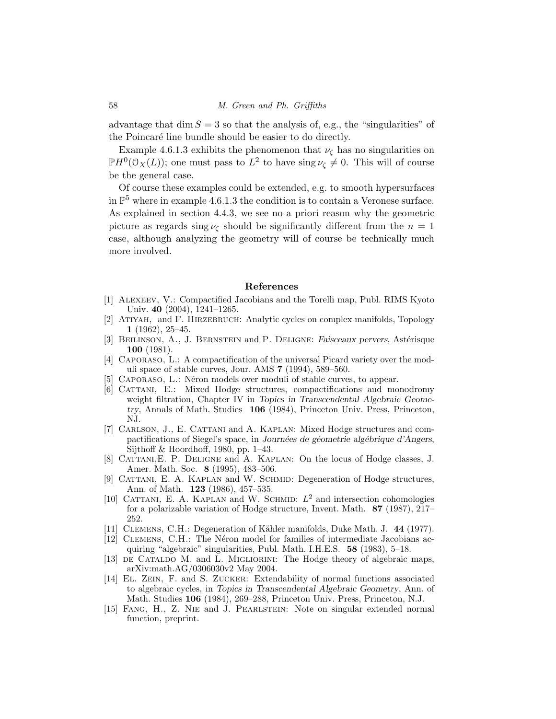advantage that  $\dim S = 3$  so that the analysis of, e.g., the "singularities" of the Poincaré line bundle should be easier to do directly.

Example 4.6.1.3 exhibits the phenomenon that  $\nu_{\zeta}$  has no singularities on  $\mathbb{P}H^0(\mathcal{O}_X(L))$ ; one must pass to  $L^2$  to have sing  $\nu_{\zeta} \neq 0$ . This will of course be the general case.

Of course these examples could be extended, e.g. to smooth hypersurfaces in  $\mathbb{P}^5$  where in example 4.6.1.3 the condition is to contain a Veronese surface. As explained in section 4.4.3, we see no a priori reason why the geometric picture as regards sing  $\nu_c$  should be significantly different from the  $n = 1$ case, although analyzing the geometry will of course be technically much more involved.

#### **References**

- [1] Alexeev, V.: Compactified Jacobians and the Torelli map, Publ. RIMS Kyoto Univ. **40** (2004), 1241–1265.
- [2] Atiyah, and F. Hirzebruch: Analytic cycles on complex manifolds, Topology **1** (1962), 25–45.
- [3] BEILINSON, A., J. BERNSTEIN and P. DELIGNE: *Faisceaux pervers*, Astérisque **100** (1981).
- [4] Caporaso, L.: A compactification of the universal Picard variety over the moduli space of stable curves, Jour. AMS **7** (1994), 589–560.
- CAPORASO, L.: Néron models over moduli of stable curves, to appear.
- [6] Cattani, E.: Mixed Hodge structures, compactifications and monodromy weight filtration, Chapter IV in *Topics in Transcendental Algebraic Geometry*, Annals of Math. Studies **106** (1984), Princeton Univ. Press, Princeton, NJ.
- [7] Carlson, J., E. Cattani and A. Kaplan: Mixed Hodge structures and compactifications of Siegel's space, in *Journées de géometrie algébrique d'Angers*, Sijthoff & Hoordhoff, 1980, pp. 1–43.
- [8] Cattani,E. P. Deligne and A. Kaplan: On the locus of Hodge classes, J. Amer. Math. Soc. **8** (1995), 483–506.
- [9] CATTANI, E. A. KAPLAN and W. SCHMID: Degeneration of Hodge structures, Ann. of Math. **123** (1986), 457–535.
- [10] CATTANI, E. A. KAPLAN and W. SCHMID:  $L^2$  and intersection cohomologies for a polarizable variation of Hodge structure, Invent. Math. **87** (1987), 217– 252.
- [11] Clemens, C.H.: Degeneration of K¨ahler manifolds, Duke Math. J. **44** (1977).
- [12] Clemens, C.H.: The N´eron model for families of intermediate Jacobians acquiring "algebraic" singularities, Publ. Math. I.H.E.S. **58** (1983), 5–18.
- [13] de Cataldo M. and L. Migliorini: The Hodge theory of algebraic maps, arXiv:math.AG/0306030v2 May 2004.
- [14] El. Zein, F. and S. Zucker: Extendability of normal functions associated to algebraic cycles, in *Topics in Transcendental Algebraic Geometry*, Ann. of Math. Studies **106** (1984), 269–288, Princeton Univ. Press, Princeton, N.J.
- [15] Fang, H., Z. Nie and J. Pearlstein: Note on singular extended normal function, preprint.